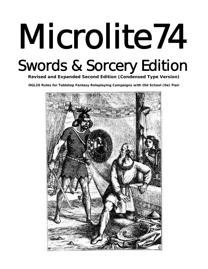# Microlite74 Swords & Sorcery Edition

*Revised and Expanded Second Edition (Condensed Type Version)* 

*OGL20 Rules for Tabletop Fantasy Roleplaying Campaigns with Old School (0e) Flair* 

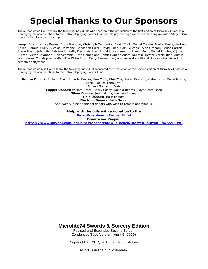# **Special Thanks to Our Sponsors**

*The author would like to thank the following individuals who sponsored the production of the first edition of Microlite74 Swords & Sorcery by making donations to the RetroRoleplaying Cancer Fund to help pay the huge cancer bills treating my wife's Stage 3 Oral Cancer without insurance ran up.* 

Joseph Bloch, Jeffrey Bowes, Chris Brandon, Christoph Camomile, David Cook, Daniel Corwin, Martin Costa, Andrew Cowie, Samuel Curry, Nicolas Delzenne, Sebastian Dietz, David Finch, Cain Gillespie, Alan Graham, Bruce Harlick, Steve Hyatt, John Lile, Fabrizio Luzzatti, Frank Mentzer, Ronaldo Nascimento, Ronald Pehr, Daniel Proctor, C J de Putron, Victor Raymond, Dan Schmidt, Titan Games and Comics Online,Adam Toulmin, Hector Varela-Rios, Austin Warnstrom, Christopher Weller, The Write Stuff, Terry Zimmerman, and several additional donors who wished to remain anonymous.

*The author would also like to thank the following individual sponsored the production of this second edition of Microlite74 Swords & Sorcery by making donations to the RetroRoleplaying Cancer Fund.* 

**Bronze Donors:** Richard Allen, Roberto Caecas, Ken Cook, Chet Cox, Susan Evanson, Cabe Johns, David Morris, Brett Slocum, John Taft, Arnaud Gomes do Vale **Copper Donors:** William Ames, Henry Casey, Donald Reams, Lloyd Rasmussen **Silver Donors:** Jenni Monte, Herman Rogers **Gold Donors:** 3rd Millenium **Electrum Donors:** Keith Nelson *And twenty-nine additional donors who wish to remain anonymous.* 

> **Help with the bills with a donation to the RetroRoleplaying Cancer Fund Donate via Paypal:**

**https://www.paypal.com/cgi-bin/webscr?cmd=\_s-xclick&hosted\_button\_id=5599990**

**Microlite74 Swords & Sorcery Edition** 

Revised and Expanded Second Edition Condensed Type Version (April 9, 2016)

Copyright © 2012, 2016 Randall S Stukey

All art is in the public domain.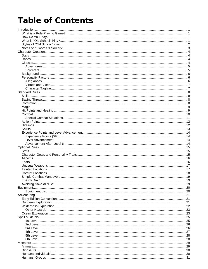# **Table of Contents**

| Energy Drain | 1 <sub>Q</sub> |
|--------------|----------------|
|              |                |
|              |                |
|              |                |
|              |                |
|              |                |
|              |                |
|              |                |
|              |                |
|              |                |
|              |                |
|              |                |
|              |                |
|              |                |
|              |                |
|              |                |
|              |                |
| Monsters     |                |
|              |                |
|              |                |
|              |                |
|              |                |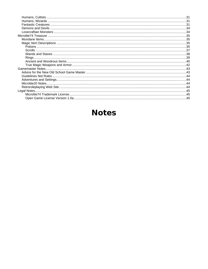# **Notes**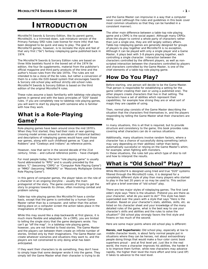### **INTRODUCTION**

*Microlite74 Swords & Sorcery Edition*, like its parent game, *Microlite20*, is a trimmed-down, sub-miniature version of the Primary Fantasy SRD rules (see license for more info) that has been designed to be quick and easy to play. The goal of Microlite74 games, however, is to recreate the style and feel of that very first ("0e") fantasy roleplaying game published back in 1974.

The *Microlite74 Swords & Sorcery Edition* rules are based on three little booklets found in the boxed set of the 1974 0e edition, the four 0e supplements, material from the publisher's official magazine and third party products of the time and the author's house rules from the late 1970s. The rules are not intended to be a clone of the 0e rules, but rather a conversion of them to a rules-lite D20-based system that encourages Swords & Sorcery old-school play without strictly old-school rules. *Microlite74 Swords & Sorcery Edition* is based on the third edition of the original *Microlite74* rules.

These rules assume a basic familiarity with tabletop role-playing games in general and with the basic principles of "D20" based rules. If you are completely new to tabletop role-playing games, you will want to start by playing with someone who is familiar with how they work.

### **What is a Role-Playing Game?**

Role-playing games have been around since the mid 1970's. When they first started, they had their roots in war-gaming (moving model armies around in simulation of historical battles) and descriptions of roleplaying games would have used those war games, along with such childhood games as "Cops and Robbers" and "Cowboys and Indians" as reference points.

However, now that we're in the second decade of the 21st century, times – and cultural reference points – have changed.

For most people today, the term "role playing game" is usually found abbreviated to "RPG" and is usually preceded by the letters "C" (becoming "CRPG" or "Computer Role Playing Game") or "MMO" (becoming "MMORPG" or "Massively Multiplayer Online Role Playing Game").

In this genre of computer games, the player takes on the role of a character in an ongoing storyline – usually the main protagonist of the story. The game consists of trying to get the story to progress towards its climax, often involving combat and problem solving.

Table-top role-playing games like *Microlite74* have a similar basis, except that the game is controlled by a human Game Master rather than by a computer, and rather than the action taking place on a computer screen the action takes place in the imaginations of the players.

While this may sound like a step backwards at first glance, it is much more flexible and adaptable. On a CRPG, you are limited to telling the single story that the game designers wrote. You can't go "off the map". In a tabletop role-playing game, however, you are not limited to fixed stories. The Game Master and the players can between them create an infinite number of stories, limited only by their imaginations. The Game Master can create whatever scenarios and situations they want to, and the players are not constrained to only doing what has been anticipated.

If they want their characters to do something, they don't have to simply hope that some designer wrote it into the game. They simply tell the Game Master what their character is trying to do

and the Game Master can improvise in a way that a computer never could (although the rules and guidelines in this book cover most common situations so that they can be handled in a consistent manner).

The other main difference between a table-top role-playing game and a CRPG is the social aspect. Although many CRPGs allow the player to control a whole party of characters rather than just a single one, they are still largely solitary affairs. Table-top roleplaying games are generally designed for groups of players to play together and *Microlite74* is no exception. Although it can be played with only a single player and a Game Master, it plays best with 3-8 players playing together, each controlling a single character. Interaction between the characters controlled by the different players, as well as nonscripted interaction between the characters controlled by players and characters controlled by the Game Master, is one of the chief elements of a table-top role-playing game.

### **How Do You Play?**

Before starting, one person will decide to be the Game Master. That person is responsible for establishing a setting for the game (either creating their own or using a published one). The other players create characters that live in that setting. The characters have a set of abilities which represent their capabilities; for example how strong they are or what sort of magic they are capable of using.

Then, normal play consists of the Game Master describing the situation that the characters find themselves in, and the players responding by telling the Game Master what their characters are doing.

In many situations, this is all that is required, but to provide structure and consistency to the game, this book provides rules covering what characters can do in various situations.

Additionally, many situations involve random factors, where a character has a chance of successfully doing something (which may vary depending on their abilities) rather than being automatically successful or relying on the Game Master's whim; for example, when fighting with monsters. In these situations, the rules tell you which type of dice to roll and how to interpret the results.

### **What is "Old School" Play?**

While *Microlite74* is designed using tried and true "D20" systems filtered through the Microlite20 rules, it is designed for a completely different style of play than many players who started to play in the last 20 years or so may be used to. This section will give a brief overview of "old school" play.

There are two major styles of roleplaying games. The first (and older) style says "Here is the situation. Pretend you are there as your character, what do you want to do?" This style has been superseded over the years with a style that says "Here is the situation. Based on your character's stats, abilities, skills, etc. as listed on his character sheet and your knowledge of the many detailed rules of the game, what is the best way to use your character's skills and abilities and the rules to solve the situation?" Old school play strongly favors the first style and frowns on too much of the second.

Here are some major points where old school play is different:

**Heroic, not Superheroic:** Old school play, especially at low to middle character levels, is about fairly normal people put in situations where they can be heroes, not about extraordinary people doing things that would make a four-color comic book superhero proud – and at first level yet. Just like in the real world, the more a character improves his abilities, the harder it is to improve them further, while new characters may advance rapidly, the higher their level the more effort and time (and XP) it takes to advance to the next level.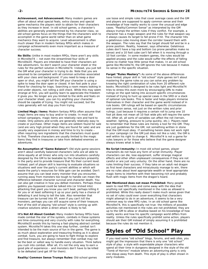**Achievement, not Advancement:** Many modern games are often all about what special feats, extra classes and special game mechanics the players wish to obtain for their characters as they increase in level. In old school games, a character's abilities are generally predetermined by his character class, so old school games focus on the things that the characters wish to accomplish in the game world rather than on what game mechanics they want to acquire. Level advancement is often much slower than in modern fantasy RPGs which makes in campaign achievements even more important as a measure of character success.

**No Skills:** Unlike in most modern RPGs, there aren't any skills in *Microlite74* -- not even the streamlined four skills of Microlite20. Players are intended to have their characters act like adventurers. So don't search your character sheet or the rules for the perfect solution in *Microlite74*. Instead, you just tell the GM what your character is trying to do. Note that you are assumed to be competent with all common activities associated with your class and background. If you need to keep a door open or shut, you might tell the GM your character is using a spike to keep the door open or closed. A ten foot pole is your friend for checking for traps. Searching a room means looking in and under objects, not rolling a skill check. While this may seem strange at first, you will quickly learn to appreciate the freedom it gives you. No longer are you limited to the skills and feats on your character sheet, you can try anything your character should be capable of trying. You might not succeed, but the rules generally will not stop you from trying.

**Limited Magic Items:** Modern fantasy RPGs often assume that magic items are easy to buy and/or to create. In most old school campaigns, magic items are relatively rare and hard to create. Only potions and scrolls are generally relatively easy to create or purchase. Other magic items are seldom found for sale (and are very high priced when they are found for sale) and are usually very expensive in money and time to try to create – often requiring rare ingredients that the characters must quest to find. Therefore characters are usually limited to the magic items they find in treasures or take from defeated enemies on adventures.

**No Assumption of "Game Balance":** Old style game sessions aren't about carefully balanced characters (who are all able to shine equally at all times) who only run into situations carefully designed by the GM to be beatable by the characters presently in the party and to provide treasure that fits their current level. Instead, part of player skill is learning to evaluate situations so situations well over the party's current abilities or which will waste the party's resources for little gain can be avoided. Don't assume that you can beat every monster that you encounter, running away from monsters too tough to handle can mean the difference between character survival and character death. You can also get creative in how you defeat monsters. Perhaps those goblins you bypassed could be talked into (or tricked into) attacking that giant you know you can't beat, perhaps killing it for you or at least softening it up so your party has a chance of defeating it and living to tell the tale. Also remember that treasure can be turned into XP, even if you can't kill the monsters, perhaps you can still acquire some of their treasure. Part of the skill of playing "old school" style is coming up with creative solutions when a direct attack is likely to fail.

**It's Not All About Combat:** Many modern fantasy RPGs have made combat the star of the system, combats in these systems are time-consuming and very crunchy with rules for everything. *Microlite20* avoids this by having a fast-playing abstract combat system. *Microlite74* takes this one step further, combat isn't intended to be the main source of fun in the game. The game is as much about exploration and treasuring finding as it is about combat. Sure, you are going to have to fight things to explore and find treasure, but always remember that combat may not be the best or safest way to handle every situation. Think before you rush into combat. After all, it's not the only way to earn a good pile of experience – and monsters don't have to be killed to be defeated (and get XP for them).

**Reality/Common Sense Trumps Rules:** Old-school games

#### **-2- MICROLITE74 SWORDS & SORCERY 2E**

use loose and simple rules that cover average cases and the GM and players are supposed to apply common sense and their knowledge of how reality works to cover the unusual and edge cases. "Reality/Common Sense" as interpreted by the GM always trumps the written rules if they conflict. For example, a character has a magic weapon and the rules for that weapon say it always causes its target to fall prone if hit. The character hits a gelatinous cube moving down the corridor toward them with the weapon. The rules say that the target should fall and be in a prone position. Reality, however, says otherwise. Gelatinous cubes don't have a top and bottom (so prone penalties make no sense) and a 10 foot cube can't fall when it is moving through a 10 foot corridor. In some modern games, the rules would be applied anyway and the cube would suffer the effects of falling prone no matter how little sense that makes. In an old school game like *Microlite74*, the GM ignores the rule because it makes no sense in the specific situation.

**Forget "Rules Mastery":** As some of the above differences have hinted, player skill in "old school" style games isn't about mastering the game rules so you can solve any problem by knowing the right combination of rules from 20 different rule books. *Microlite20* is designed to be rules light and *Microlite74* tries to stress this even more by encouraging GMs to make rulings on the spot taking into account specific circumstances instead of trying to hunt up special cases in the SRD or a stack of optional rule books. This is faster and helps players immerse themselves in their character and the game world instead of in rule books. GM rulings will be based on specific circumstances and common sense, not just on the written rules and prior rulings. Just because it requires a certain roll to jump one 10 foot pit does not mean all 10 foot wide pits will require the same roll. After all, all sorts of variables can affect the roll (terrain, weather, lighting, pressure to jump quickly, etc.). Players need to remember that these rules are merely a tool for the GM. They are just guidelines for the GM, not something written in stone that the GM must obey. If something herein does not work right in your campaign (or the GM just does not like a rule), the GM is well within his right to change it. *Microlite74* is not a game for rules lawyers or for those who believe that the game designer always knows what is best.

**No Script Immunity:** In most old school games, player characters do not have any form of script immunity. Player characters can die, lose equipment, suffer strange magical effects and other often unpleasant consequences if they are not careful or are just very unlucky. On the other hand, there are no rules limiting their success. If they take on an adult red dragon as first level characters and miraculously manage to win, there are no rules about level appropriate wealth or level appropriate magic items to interfere with their becoming rich and probably flush with magic items from the dragon's hoard.

**Not Mentioned does not mean Prohibited:** Many people seem to read RPG rules and come away with the idea that anything not specifically mentioned in the rules as allowed is prohibited. While this really doesn't make much sense given that no set of rules could ever cover everything that characters might attempt to do in an adventure, it seems to be a very common way to view RPG rules. In an old school game like *Microlite74*, this is specifically not true: the millions of possible activities not mentioned in the rules are not prohibited, they are up to the GM to allow or disallow based on his knowledge of how reality works and how his specific campaign world differs from reality. Unless the rules specifically prohibit some action, players should ask their GM instead of simply assuming it is prohibited because the rules do not mention it.

### **Styles of "Old School" Play**

If you read some "old school" blogs, forums, and web sites, you might get the impression that there is only one "old school'" style of play: a style with expendable player characters who spend all their time in dungeons designed in the style of the old "Tomb of Horrors" module where an adventuring party is only one slipup away from death. This style of play is often shown in early modules.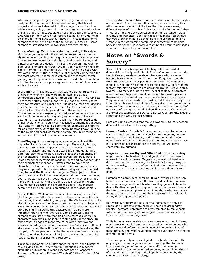#### **MICROLITE74 SWORDS & SORCERY 2E - 3 -**

What most people forget is that these early modules were designed for tournament play where the party that lasted longest and make it deepest into the dungeon was the winner. While a few gaming groups did run their regular campaigns like this and enjoy it, most people did not enjoy such games and the GMs who ran them were often referred to as "Killer GMs" (who often found themselves without players). Instead most home campaigns were a mixture of the following four styles – some campaigns stressing one or two styles over the others.

**Power-Gaming:** Many players start out playing in this style. Most soon get bored with it and add more and more of other styles. A power-gaming campaign is all about character power. Characters are known by their class, level, special items, and amazing powers and deeds. ("I killed the Demon King with my 15th Level Fighter/Magic-User/Druid. It only took two hits from Thor's Hammer to knock him out. Then I cut off his head with my vorpal blade.") There is often a lot of player competition for the most powerful character in campaigns that stress powergaming. A lot of people look down on this style, but it can be a lot of fun to play a pure power-game in a group of players who all like the style.

**Wargaming:** This is probably the style old school rules were originally written for. The wargaming style of play is a competition between the player group and the GM. The GM sets up tactical battles, puzzles, and the like and the players solve them for treasure and experience. Fudging die rolls and ignoring rules (either for or against the players) is frowned upon as it detracts from the challenge and fun of the adventure. Characters in pure wargaming campaigns often were expendable and had little personality or goals (beyond staying live and getting rich) as a character with such might be tempted to do things dysfunctional to survival. Published tournament dungeons like Tomb of Horrors could be considered examples of extreme forms of this style. Once the RPG hobby became known outside of the minis and board wargaming community, pure forms of the wargaming style quickly became uncommon.

**Role-Playing:** A pure role-playing campaign is almost the opposite of a pure wargaming campaign. Player skill, tactics, and rules aren't really important. What is important is the player's character and that character's life in the game. In a pure role-playing campaign, players create the personality of their characters in great detail and players generally have a large emotional investments made in them and do not consider their characters expendable. Players tend to have their characters act within their personalities and within the beliefs they're supposed to hold – even when doing so is not the best thing to do at the time within the game. The object is to live your character's life in the campaign world. You "win" be having your character achieve his goals, goals which may or may not have anything to do with the game's goals of exploring and accumulating treasure and experience points. The modern computer game *The Sims* is an example of this style of play.

**Story-Telling:** While all campaigns tell a story after-the-fact (that is, you can tell a story based on the characters actions in the game), in a story-telling campaign, the GM has worked out a story in advance and the player characters are the protagonists. The campaign world usually has a detailed background and back story behind it. Knowing this background may be more important than knowing the rules. Some pure story telling campaigns are little more that single-line railroads where the characters play their almost pre-scripted parts in the story. In other cases, things are more free-form with story flow and events created by interactions between the GM's basic outline of story events and the actions of individual characters during the campaign. Some people consider the more pure forms of storytelling campaigns boring straight-jackets while others love the idea of being a major part of a real story.

These four major styles of play appeared early in the history of role-playing games. They were first mentioned in a general circulation publication in Glenn Blacow's article "Aspects of Adventure Gaming" in *Different Worlds* #10 (the October 1980 issue).

The important thing to take from this section isn't the four styles or their labels (as there are other systems for describing this with their own labels), but the idea that there were many different styles of "old school" play back in the "old school" days – not just the single style stressed in some "old school" blogs, forums, and web sites. Don't let those sites make you believe that you aren't playing old school right if your campaign isn't strongly in the wargaming camp. Most successful campaigns back in "old school" days were a mixture of all four major styles – and a heaping helping of minor styles.

### **Notes on "Swords & Sorcery"**

Swords & Sorcery is a genre of fantasy fiction somewhat different from the type of "Heroic Fantasy" more common today. Heroic Fantasy tends to be about characters who are or will become heroes who take on larger than life quests, save the world (or at least a major part of it), or both. The *Lord of the Rings* is a well-known example of Heroic Fantasy. Most modern fantasy role-playing games are designed around Heroic Fantasy. Swords & Sorcery is a more gritty level of fantasy. Characters aren't heroes; they are normal people out to make a place for themselves in the world, and to acquire riches in the process. They may do heroic deeds on occasion, but these are likely to be little things, like saving a princess from a dragon or preventing a vampire from taking over a small town, rather than the stuff of epic tales of saving the world. Robert E. Howard's Conan stories are excellent examples of Swords & Sorcery, as are Fritz Lieber's Fafhrd and the Gray Mouser stories.

Here are some elements that make a Swords & Sorcery setting different from a Heroic Fantasy setting.

**Human-Centric:** Swords & Sorcery settings tend to be humancentric. Intelligent non-human species are the enemy, out to eliminate or enslave humans, and return the world to nonhuman rule. The demi-human species common in most fantasy RPGs either do not exist or are the enemy too. All player characters are humans.

**Magic is Untrustworthy and Often Bad:** In Heroic Fantasy, magic tends to be trustworthy and good, even if the Enemy abuses it for evil purposes. Mages are generally at least notdistrusted members of society. In Swords & Sorcery, magic is not trustworthy, as its use often has bad side-effects on those who use it, and magic is used for evil far more than it is for good.

Humans can barely control magic. It was invented by the nonhuman races that once ruled the world and is alien to mankind. Sorcerers are generally not trusted, as they generally have to deal with alien beings from beyond sanity, human sacrifices, and the like to have much power at all. Even those who avoid such things are seen as threats, and they might turn to black magic at any time to gain more power.

In Swords & Sorcery settings, normal humans can only cast simple spells directly; more complex spells require lengthy rituals. Therefore, sorcerers are often tempted to make pacts with demons and evil godlings to gain power and escape the limitations of human magic use.

While humans may be able to create some minor magic items, most powerful magic items were created by the inhumans who ruled the world before the dominance of humankind. Few of these remain, and wars have been fought over newly discovered powerful magic items.

There are generally no wizard guilds or schools of magic. The only ways to learn magic are either from forgotten tomes of lore, by serving an often dangerous and/or demeaning apprenticeship to an experienced sorcerer, or by joining the cult of some demon or godling in the hope being trained by the sorcerers that serve as its clergy.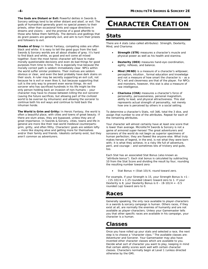**The Gods are Distant or Evil:** Powerful deities in Swords & Sorcery settings tend to be either distant and aloof, or evil. The gods of humankind generally grant no special powers to their priests, other than occasional hints and vague directions in dreams and visions – and the promise of a good afterlife to those who follow them faithfully. The demons and godlings that do grant powers are generally evil, and aim to turn their priests and followers to evil.

**Shades of Grey:** In Heroic Fantasy, competing sides are often black and white: it is easy to tell the good guys from the bad. Swords & Sorcery worlds are all about shades of grey. It's hard to find black and white, as good and evil come all mixed together. Even the most heroic character will have to make morally questionable decisions and even do bad things for good purposes from time to time. This is especially true because the morally correct path is seldom immediately clear. NPCs within the world suffer similar problems. Their motives are seldom obvious or clear, and even the best probably have dark stains on their souls. A ruler may be secretly supporting an evil cult, not because he is evil or even likes it, but because supporting that cult is the only way to prevent even worse things. An evil sorcerer who has sacrificed hundreds in his life might be the only person holding back an invasion of non-humans – your character may have to choose between killing the evil sorcerer (saving the future sacrifices, but allowing part of the civilized world to be overran by inhumans) and allowing the sorcerer to continue both his evil ways and continue to hold back the inhuman horde.

**The World is Grim and Gritty:** In Heroic Fantasy, the world is often a beautiful place, with cities and towns of great beauty. If there are slum areas, they are bypassed, unless they are of great importance. In Swords & Sorcery, cities, towns and life in general are more like their real-world medieval counterparts: grim, gritty, and often filthy. Characters' goals are seldom lofty — more like staying alive and getting more for themselves and/or their family and friends. Idealists certainly exist, but they aren't common as adventurers.

# **CHARACTER CREATION**

### **Stats**

There are 4 stats (also called attributes): Strength, Dexterity, Mind, and Charisma:

- **Strength (STR)** measures a character's muscle and physical power as well as his health and stamina.
- **Dexterity (DEX)** measures hand-eye coordination, agility, reflexes, and balance.
- **Mind (MIND)** is a measure of a character's willpower, perception, intuition , formal education and knowledge and not a measure of how smart the character is – as a PC's wit and cleverness are that of the player. For NPCs and monsters, however, this stat is also a measure of raw intelligence.
- **Charisma (CHA)** measures a character's force of personality, persuasiveness, personal magnetism, ability to lead, and physical attractiveness. This stat represents actual strength of personality, not merely how one is perceived by others in a social setting.

To determine a character's Stats, roll 3d6, total the 3 dice, and assign that number to one of the attributes. Repeat for each of the remaining attributes.

Your character will almost certainly have at least one score that is lower than average. *Microlite74 Swords & Sorcery* is not a game of armored super-heroes! The great adventurers and sorcerers of the world do not begin as superior specimens of human perfection; they are flawed like anyone else. What truly makes heroes of legend, in the end, is not what they were born with; it is what they achieve, in a risky life full of adventure, peril, and courage – and sometimes lots of trickery and guile, too.

Each Stat has an associated Stat Bonus (also known as "attribute bonus"). Each stat bonus is calculated by subtracting 10 from the Stat Score and dividing the result by four, rounding the resulting number toward zero:

• Stat Bonus = (Stat-10)/4, round toward zero.

For example, if your Strength is 15, your Strength Bonus is +1 -  $-(15-10)/4 = 1.25$  rounded (down) toward zero to 1. If your Dexterity is 8, your Dexterity Bonus is  $0 - (8-10)/4 = -0.5$ rounded (up) toward zero to 0.

### **Races**

Generally speaking, the only race available to player-characters in a swords & sorcery campaign is human. Others races, if they exist at all, are normally the enemies of humanity and are not available as player-characters. Unless your Gamemaster tells you that other specific races are available in his campaign, your character is a human.

### **Classes**

Once you have rolled up your stats and selected a race, the next step is to choose a "character class." The available classes are: Adventurer and Sorcerer. Your Gamemaster may also have invented other character classes which are available to you. Decide what sort of character you want to play, keeping in mind that certain ability scores work well with certain character classes. Characters normally begin at Level 1 (unless directed otherwise by the GM).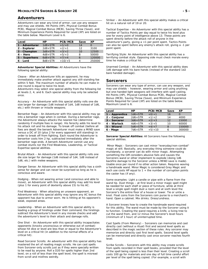#### **Adventurers**

Adventurers can wear any kind of armor, can use any weapon and may use shields. *Hit Points* (HP), *Physical Combat Bonus* PCB), *Magical Combat Bonus* (MCB), *Saving Throw* (Save), and *Minimum Experience Points Required for* Level (XP) are listed on the table below. Maximum Level is 6.

| Level          | НP          | PCB/MCB   | Save | ХP     |
|----------------|-------------|-----------|------|--------|
| 1 - Adventurer | $1d8 + STR$ | $+1/10$   | 14   |        |
| 2 - Explorer   | $2d8 + STR$ | $+2/+1$   | 12   | 3100   |
| 3 - Champion   | $3d8 + STR$ | $+3/+2$   | 10   | 12500  |
| 4 – Hero       | $4d8 + STR$ | $+5/+3$   | 8    | 50000  |
| 5 - Superhero  | $6d8 + STR$ | $+7/+4$   |      | 120000 |
| 6 - Lord       | $8d8 + STR$ | $+10/ +5$ | Δ    | 250000 |

**Adventurer Special Abilities:** All Adventurers have the following special ability:

*Cleave* - After an Adventurer kills an opponent, he may immediately make another attack against any still-standing foe within 5 feet. The maximum number of attacks he can make in one round is equal to twice his level.

Adventurers may select one special ability from the following list at levels 2, 4, and 6. Each special ability may only be selected once.

*Accuracy* – An Adventurer with this special ability rolls one die size larger for damage (1d6 instead of 1d4, 1d8 instead of 1d6, etc.) with thrown or missile weapons.

*Berserker Rage* – An Adventurer with this special ability may go into a berserker rage when in combat. During a berserker rage, the Adventurer always attacks the nearest foe (determine randomly if multiple foes in range). His ferocity adds his level to his attack roll and his damage. To break off combat (before all foes are dead) the berserk Adventurer must make a MIND save versus a DC of 10 (plus 2 for every opponent still standing) in order to break off from fighting. Each round the Adventurer is berserker costs him 2 hp, subtracted immediately after the berserker rage ends. A berserk Adventurer cannot use any combat stunts nor the Find Weakness, Leadership, or Tactical Expertise special abilities.

*Brutal Attack* – An Adventurer with this special ability rolls one die size larger for damage (1d6 instead of 1d4, 1d8 instead of 1d6, etc.) with melee weapons.

*Danger Sense:* An Adventurer with this special ability has a sixth sense for danger and can never be surprised so long as he is conscious and aware.

*Dodging* - When not wearing armor (and conscious and able to move), an Adventurer with this special ability may add his level (plus 1 for every point of dexterity above 15) to his AC.

*Find Weakness* - When attacking an unaware opponent, an Adventurer with this special ability may ignore any AC bonus the opponent has due to armor worn. He is hitting at his opponent's weak, exposed areas.

*Leadership* - When an Adventurer with this special ability is leading a group of hirelings under their command, the hirelings subtract the Adventurer's level in any morale checks and add the adventurer's level to their attack and damage rolls.

*One Shot* – An Adventurer with this special ability incapacitates opponents (knocks unconscious or otherwise out of combat) whose hit dice or level are less than or equal to the Adventurer's level on a critical hit (in addition to the normal effects of a critical hit).

*Read Sorcerer Scrolls:* An adventurer with this special ability has mastered the art of reading magic scrolls. He can cast spells from Sorcerer-only scrolls just as if they were specially written to be read by anyone. Roll a D20 for spells higher than 2nd level, on a roll of less than the spell level, the spell is misread from scroll and misfires weirdly.

*Striker* – An Adventurer with this special ability makes a critical hit on a natural roll of 19 or 20.

*Tactical Expertise* – An Adventurer with this special ability has a number of Tactics Points per day equal to twice his level plus one for every point of intelligence above 13. These points are spent directly before the attack roll of anyone in the adventurer's party, giving a +1 per point spent. Tactics Points can also be spent before any enemy's attack roll, giving a -1 per point spent.

*Terrifying Style*: An Adventurer with this special ability has a terrifying combat style. Opposing side must check morale every time he makes a critical hit.

*Unarmed Combat* – An Adventurer with this special ability does 1d6 damage with his bare hands (instead of the standard 1d2 bare handed damage).

#### **Sorcerers**

Sorcerers can wear any type of armor, can use any weapon, and may use shields – however, wearing armor and using anything but one-handed light weapons will interfere with spell casting. *Hit Points* (HP), *Physical Combat Bonus* PCB), *Magical Combat Bonus* (MCB), *Saving Throw* (Save), and *Minimum Experience Points Required for* Level (XP) are listed on the table below. Maximum Level is 6.

| Level          | НP          | <b>PCB/MCB</b> | Save | ΧP     |
|----------------|-------------|----------------|------|--------|
| 1 - Apprentice | $1d6 + STR$ | $+0/11$        | 16   | O      |
| 2 - Conjurer   | $2d6 + STR$ | $+1/+2$        | 14   | 4000   |
| 3 - Sorcerer   | $3d6 + STR$ | $+2/+3$        | 12   | 15000  |
| 4 - Warlock    | $4d6 + STR$ | $+3/+5$        | 10   | 60000  |
| 5 - Wizard     | $5d6 + STR$ | $+4/+7$        | 8    | 150000 |
| 6 - Mage       | $7d6 + STR$ | $+5/+10$       | 6    | 300000 |

**Sorcerer Special Abilities:** All Sorcerers have the following special abilities.

 *Minor Magic* - Sorcerers can cast minor "everyday/non-combat" magic at will. Basically, any everyday thing someone could do mundanely, a sorcerer can do with minor magic. Attempting something the GM considers abusive fails and causes the Sorcerers wand or other implement to explode (doing 1d6 backfire damage to the Sorcerer unless a MIND save is made). Usable once per round if no other action taken. Requires waving a handmade wand. Minor Magic is considered Grey Magic and each use costs HP equal to  $1 +$  the number of corruption points the caster has (if any).

Some examples: Light a candle or pipe with a flame from the wand tip. Dust things – at first level a minor magic spell might be needed for each shelf or piece of furniture, while at third level a single spell might dust a room and at sixth level the Sorcerer's the entire floor of a house or tower. Tie or untie a knot. Float coins from the Sorcerers coin purse to a merchant's hand. Open a cabinet. Mix drinks. Dress/undress.

A Sorcerer knows how to create the handmade wand required for this ability. The wand must be made by the Sorcerer using it to function. Creating the wand requires a knife, a living tree to cut the wand from, and 12 minus the Sorcerer's level hours (minimum of 1 hour) of uninterrupted time.

*Cast Spells (From Memory)* – Sorcerers can memorize and cast directly cast (without a ritual) first and second level spells as described in the magic section of these rules. Any sorcerer may memorize and directly cast first level spells. Second level spells can be memorized and directly cast once sorcerer reaches fourth level.

*Scribe Scrolls* – Sorcerers with this ability may create scrolls from spells recorded in their spell books, provided that the level of the spell being copied is less than their level. Creating a scroll costs 100 gp for materials and one day of full time careful effort per level of the spell being copied. (For example, a scroll with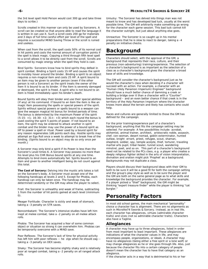the 3rd level spell Hold Person would cost 300 gp and take three days to scribe.)

Scrolls created in this manner can only be used by Sorcerers. A scroll can be created so that anyone able to read the language it is written in can use it. Such a scroll costs 200 gp for materials and 3 days of full time careful effort per level of the spell and requires a successful MIND Saving Throw or the scroll is ruined and useless.

When cast from the scroll, the spell costs 50% of its normal cost in hit points and costs the normal amount of corruption points if the spell is black magic. Copying a third through fifth level spell to a scroll allows it to be directly cast from the scroll. Scrolls are consumed by magic energy when the spell they hold is cast.

*Bind Spirits:* Sorcerers know how to bind spirits they defeat in spirit combat. Binding a Spirit costs 15 HP and causes the spirit to invisibly hover around the binder. Binding a spirit to an object requires a non-magical item and costs 25 HP. A spirit bound to an item may be given to another person (even if the other person is not a Sorcerer) as the spirit treats the owner of the item it is bound to as its binder. If the item is severely damaged or destroyed, the spirit is freed. A spirit who is not bound to an item is freed immediately upon his binder's death.

Bound Spirits will obey their binder and use their special abilities (if any) at his command. If bound to an item the item is like an magic item possessing the spells or special powers of the spirit. Spirits without special powers or spells bound to a weapon can give the weapon magical hit bonus for limited periods of time. The bonus is determined by the maximum Power of the spirit  $(5-15: +1; 16-30: +2; 31+: +3)$  which each round the bonus is used costing the spirit 5 points of power. If not bound to an item, the spirit may be ordered to attack another in spirit combat and the binder may use the power of a bound spirit as HP to power a spell or ritual. Power used by a bound spirit for any reason regenerates 1d6 points each day. Hostile spirits may attempt an Ego Roll once a week to attempt to break free of the binding. (Spirits bound to an object may do so only once per month.)

A Sorcerer may only bind a spirit if its Power is less than the Sorcerer's Level times 6. A Sorcerer may possess no more than his level plus his CHR Bonus bound spirits at any one time. Attempts to bind more automatically fail. Spirits bound to an item and given to another intelligent being do not count against this total.

**The Cost of Sorcery:** Delving into the mystic arts takes a toll on the Sorcerer's body. A Sorcerer must accept one of the following handicaps at levels 2 and 5. Except for Phobia, each handicap can only be taken once. The handicap may be determined randomly or the GM may allow the player to select.

*Frail:* the Sorcerer is unhealthy and weak of frame, subtracting 1 from the number of hit points gained at each level (minimum 0).

*Meager Fortitude:* Character is sickly and weak of stomach, taking a -3 penalty on STR saves.

*Noncombatant:* The Sorcerer's intensive studies have left him inept at melee combat; take a -2 penalty on all melee attack rolls.

*Phobia:* The Sorcerer has acquired a fear of some common object or situation so strong it can overwhelm him. Phobias can be temporarily overcome with a MIND save.

*Poor Reflexes:* The Sorcerer's lack of time for physical activity has left him with poor reflexes -- he zigs when he should zag - taking a -3 penalty on DEX saves.

*Shaky:* The Sorcerer has become slightly shaky and is relatively poor at ranged combat, taking a -2 penalty on all ranged attack rolls.

*Unlucky:* The Sorcerer has delved into things man was not meant to know and has developed bad luck, usually at the worst possible time. The GM will arbitrarily make something go wrong for the character each game session. This bad luck cannot kill the character outright, but just about anything else goes.

*Unreactive:* The Sorcerer is so caught up in his mental preparations that he is slow to react to danger, taking a -4 penalty on initiative checks.

### **Background**

Characters should select, with the approval of the GM, a background that represents their race, culture, and their previous (non-adventuring) training/experience. The selection of a character's background is as important as the selection of a class as a character's background gives the character a broad base of skills and knowledge.

The GM will consider the character's background just as he would the character's class when deciding if a character will succeed with an action. For example, a character with an "Human (Holy Panamon Imperium) Engineer" background should have a much better chance of damming a creek or building a bridge over it than a character with a "Courtier" background – and an even better chance if that creek is in the territory of the Holy Panamon Imperium where the character knows more about the terrain and likely has contacts who could help.

Races and cultures are generally limited to those the GM has defined for the campaign.

For the prior training/experience part of a character's background, anything that fits the campaign setting may be selected. For example: A few possibilities include: acrobat, alchemist, animal trainer, architect, aristocratic noble, assassin, chef, con-woman, desert nomad, goblin exterminator, hunted outlaw, knight errant, priest, refugee, scout, shaman, shepherd, soldier, spy, temple acolyte, thief, torturer, traveling martial arts pupil, tribal healer, tunnel scout, wandering minstrel, poet, and so on. This part of a character's background need not be related to the PCs class, e.g. a player who creates a deeply religious fighter skilled in the arts of vision interpretation, divination and oration might pick 'Prophet' as a background. Backgrounds may not duplicate a class.

Players should discuss their background ideas with their GM to both to be sure it will be a good fit for both the campaign setting and the group's play style as well as to be sure the player and the GM are both on the same general page as to what skills and knowledge the background provides the character. For example, if a player picked a "thief" background, the GM might be thinking "expert treasure finder" while the player is thinking "cat burglar.'

### **Personality Factors**

In most old school games, the main mechanical "personality" choice a character has is alignment. There are no alignments as such in *Microlite74 Swords & Sorcery*. Instead, as in real life, each character has allegiances, virtues (admirable character traits) and vices (not so admirable character traits). Characters also have a Tagline.

#### **Allegiances**

A character may have up to three allegiances, listed in order from most important to least important. These allegiances are indications of what the character values in life, and may encompass people, organizations, or ideals. A character may have no allegiances (being either a free spirit or a lone wolf) or may change allegiances as he or she goes through life. Also, just because the character fits into a certain category of people doesn't mean the character has to have that category as an allegiance.

If the character acts in a way that is detrimental to his or her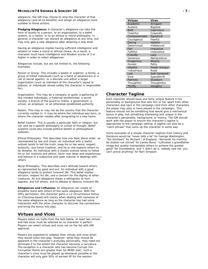#### **MICROLITE74 SWORDS & SORCERY 2E - 7 -**

allegiance, the GM may choose to strip the character of that allegiance (and all its benefits) and assign an allegiance more suitable to those actions.

**Pledging Allegiance:** A character's allegiance can take the form of loyalty to a person, to an organization, to a belief system, to a nation, or to an ethical or moral philosophy. In general, a character can discard an allegiance at any time, but may only gain a new allegiance after attaining a new level.

Having an allegiance implies having sufficient intelligence and wisdom to make a moral or ethical choice. As a result, a character must have Intelligence and Wisdom scores of 3 or higher in order to select allegiances.

Allegiances include, but are not limited to, the following examples.

*Person or Group:* This includes a leader or superior, a family, a group of linked individuals (such as a band of adventurers or a cell of secret agents), or a discrete unit within a larger organization (such as members of the character's squad or platoon, or individuals whose safety the character is responsible for).

*Organization:* This may be a company or guild, a gathering of like-minded individuals, a fraternal brotherhood, a secret society, a branch of the guard or militia, a government, a school, an employer, or an otherwise established authority.

*Nation:* This may or may not be the country that the character currently resides in. It may be where the individual was born, or where the character resides after emigrating to a new home.

*Belief System:* This is usually a particular faith or religion, but can also be a specific philosophy or school of thought. Belief systems could also include political beliefs or philosophical outlooks.

*Ethical Philosophy:* This describes how one feels about order, as represented by law and chaos. An individual with a lawful outlook tends to tell the truth, keep his or her word, respect authority, and honor tradition, and he or she expects others to do likewise. An individual with a chaotic outlook tends to follow his or her instincts and whims, favor new ideas and experiences, and behave in a subjective and open manner in dealings with others.

*Moral Philosophy:* This describes one's attitude toward others, as represented by good and evil. An individual with a good allegiance tends to protect innocent life. This belief implies altruism, respect for life, and a concern for the dignity of other creatures. An evil allegiance shows a willingness to hurt, oppress, and kill others, and to debase or destroy innocent life.

**Allegiances and Influence:** An allegiance can create an empathic bond with others of the same allegiance. With the GM's permission, the character gains  $a + 2$  circumstance bonus on Charisma-based skill checks when dealing with someone of the same allegiance-as long as the character has had some interaction with the other character to discover the connections and bring the bonus into play.

#### **Virtues and Vices**

Players select six traits from the lists below, at least two virtues and two vices must be selected as no character is perfect. Players can select virtues and vices not on the list with GM approval.

Players are expected to roleplay their virtues and vices when they would come into play. However, while they should be apparent in the character's everyday personality, they need not dominate it to the extent the character becomes a caricature. The exception is a character who has become Corrupt (his Corruption Points are greater than his MIND stat), such a character's vices must be played up whenever possible or the character will only gain 50% of earned XP for the session.

| <b>Virtues</b> | <b>Vices</b>   |
|----------------|----------------|
| Academic       | Arrogant       |
| Austere        | Bigoted        |
| <b>Bold</b>    | Capricious     |
| Cheerful       | Cowardly       |
| Compassionate  | Egoistical     |
| Courageous     | Fearful        |
| Daring         | Hateful        |
| Determined     | Hidebound      |
| Fair           | Impulsive      |
| Faithful       | Insensitive    |
| Friendly       | Lazy           |
| Generous       | Manipulative   |
| Gregarious     | <b>Miserly</b> |
| Honest         | Petty          |
| Hopeful        | Power Hungry   |
| Industrious    | Rude           |
| Just           | Self-Centered  |
| Kind           | Spendthrift    |
| Patriotic      | Stubborn       |
| Thoughtful     | Thoughtless    |
| Thrifty        | Vengeful       |

#### **Character Tagline**

Each character should have one fairly unique feature in his personality or background that sets him or her apart from other characters and npcs in the campaign (and from other characters the player may play or have played in the campaign). This feature should not be something that would give a mechanical bonus in play, but something interesting and unique in the character's personality, background, or history. The GM should work with the player to ensure the character's tagline is appropriate to the campaign setting. A tagline can also be a "catch phrase" that sums up the character in some way.

Some examples of a simple character taglines from history and literature would be "never tells a lie" for George Washington, "the lionheart" for Richard I of England, "demands his martinis be shaken not stirred" for James Bond, "cultivates a grandfather image but quietly manipulates others to achieve the greater good" for Dumbledore, and "I didn't do it, nobody saw me, you can't prove anything" for Bart Simpson.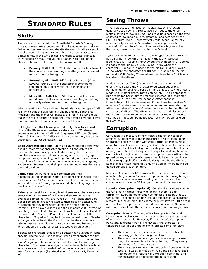# **STANDARD RULES**

### **Skills**

There are no specific skills in *Microlite74 Swords & Sorcery*. Instead players are expected to think like adventurers, tell the GM what they are doing and the GM decides if it will succeed in the situation, taking into account the characters' classes and backgrounds. If the GM decides a random success chance is truly needed he may resolve the situation with a roll of his choice or he may call for one of the following rolls:

- *Primary Skill Roll:* 1d20 + Stat Bonus + Class Level if the character is attempting something directly related to their class or background.
- *Secondary Skill Roll:* 1d20 + Stat Bonus + (Class Level/2, round up) if the character is attempting something only loosely related to their class or background.
- *Minor Skill Roll:* 1d20 +Stat Bonus + (Class Level/3, round down) if the character is attempting something not really related to their class or background.

When the GM calls for a skill roll, he will declare the type of skill roll, which stat the skill roll falls under, and any situational modifiers and the player will make a skill roll. (The GM should make the roll in secret if seeing the result would give the player more information than his character should have.)

Roll higher than the GM assigned Difficulty Class to succeed. Unless the GM rules otherwise, a natural roll of 20 always succeeds for a Primary Skill Roll. Suggested Difficulty Classes: Easy - 8, Normal - 12, Difficult - 16, Hard - 20, Very Hard - 24, Legendary - 28, Unbelievable - 32.

**Basic Adventuring Skills:** Unless a player specifies otherwise about a character at character creation, all characters are assumed to have basic practical adventuring skills such as maintaining weapons and armor, riding a horse, setting up a camp, swimming, climbing, cooking, first aid, etc., and have a rough idea of the value of common coins, trade goods, gems, and jewels. Success should simply be assumed unless there are unusual conditions.

**Languages**: All humans speak common and their national/cultural language. Other intelligent beings speak their own languages (30% chance of also speaking common). Beings with a MIND over 10 may speak one additional language per point of MIND over 10.

**Talents:** At level 2 (and every level thereafter), characters may select one narrow area of skill where they are better than average: something they are "Good at." This talent should be either something directly related to their class or background - or something they have spent game time and/or money learning. If the player wishes (and the GM approves), instead of selecting a new talent a talent the character is already "Good at" be improved to "Expert at" at a later level and a talent the character is "Expert at" may be improved a final time to "Master at" at yet a later level. The GM will consider the character's talents just as he would the character's class and background when deciding if a character will succeed with an action.

Talents let characters choose to be better than average in some specific, limited field. For example, while any character can try to swing from vines, a character that is "Good at: Swinging from Vines" is going to be more successful at it than the average character. If you need to assign numerical benefits to talents for when a success roll is needed, +2 per level is a good place to start for most talents (i.e. Good at +2, Expert at +4, Master at: +6).

### **Saving Throws**

When subject to an unusual or magical attack, characters generally get a saving throw to avoid or reduce the effect. To make a saving throw, roll 1d20, add modifiers based on the type of saving throw (and any circumstantial modifiers set by the GM). A natural roll of 1 automatically fails. A natural roll of 20 automatically succeeds. Otherwise, the saving throw is successful if the total of the roll and modifiers is greater than the saving throw listed for the character's level.

*Types of Saving Throws:* There are five types of saving rolls: A Basic Saving Throw which is made without any attribute modifiers, a STR Saving Throw where the character's STR bonus is added to the die roll, a DEX Saving Throw when the characters DEX bonus is added to the die roll, a MIND Saving Throw where the character's MIND bonus is added to the die roll, and a CHA Saving Throw where the character's CHA bonus is added to the die roll.

*Avoiding Save-or-"Die" (Optional):* There are a number of effects which cause the character to be taken out of play permanently or for a long period of time unless a saving throw is made (e.g. instant death, turn to stone, etc.). If this standard rule seems too harsh, try the following instead. If a character fails a save-or-"die" roll, the negative effect happens immediately but it can be reversed if the character receives 5 minutes of careful care in a non-combat environment starting within a number of minutes/melee rounds equal to the affected character's CON stat. The GM may rule that certain issues still require further treatment within 24 hours or the effect recurs (e.g. poison must still be neutralized) or may not be handled this way at all.

### **Corruption**

Corruption is a measure of how much a character has been affected by black magic and in measured in Corruption Points. Characters begin the game with zero Corruption Points. Most Adventurers will seldom if ever gain Corruption Points. Sorcerers who cast spells of Black Magic will easily gain Corruption Points, gaining Corruption Points equal to the spell's level any time he casts a black magic spell or ritual. Corruption points will also be gained by any character who uses a magic item that duplicates a black magic spell effect or that is designated by the GM as an item of black magic, generally only one Corruption Point will be gained per use a such an item.

**Monster Corruption (Optional):** The GM may have certain monsters (e.g. demons) cause corruption in other living beings. Each time a character is wounded by such a monster, the character must save vs STR or gain one point of corruption.

**Location Corruption (Optional):** Certain vile locations may at the GM's option cause those who linger in them to gain corruption. Every period of time (10 minutes, 1 hour, 1 day, 1 week, etc. – depending on how corrupt the area is) a character remains in such an area, the character must save vs STR or gain one point of corruption. See Tainted Locations in the Optional rules for a sample of other effects a corrupt location might have.

**Corruption Effects:** The only effect having a few Corruption Points has on a character is that it costs him more to cast spells of white or grey magic. However, if a character's Corruption Point total is greater than his MIND stat, the character is considered Corrupt and the following effects come into play:

- The character's vices become much more noticeable and exaggerated (See Alignment rules)
- The character can no longer cast White magic or use magic items associated with white magic. They simply do not work for the character.
- The character can no longer reduce his Corruption Point total by a week of mediation. Only the sixth level spell Restoration will reduce his Corruption point total and the character will not cooperate in its casting.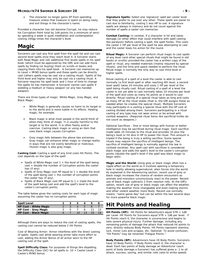#### **MICROLITE74 SWORDS & SORCERY 2E - 9 -**

The character no longer gains XP from spending treasure unless that treasure in spent on doing nasty and evil things in the character's name.

Provided a character has not become Corrupt, he may reduce his Corruption Point total by 1d4 points (to a minimum of zero) by spending a week in quiet meditation and contemplation costing 100gp times the character's level.

### **Magic**

Sorcerers can cast any first spell from the spell list and can cast second level spells once they reach level 4. A Sorcerer starts with Read Magic and 1d2 additional first levels spells in his spell book (which must be approved by the GM) and can add more spells by finding (or buying) them on scrolls or books and copying them into his spell book. A Sorcerer can memorize up to Level + MIND bonus spells and these spells can be directly cast (others spells may be cast via a casting ritual). Spells of the third level and higher may only be cast via a casting ritual. A Sorcerer requires his spell book and 1 hour of time to change the spells he has memorized. A Sorcerer cannot cast spells if wielding a medium or heavy weapon (or any two-handed weapon).

There are three types of magic: White Magic, Grey Magic, and Black Magic:

- White Magic is generally causes no harm to its target or to the world and is more subtle in its effects. Healing magic, for example.
- Black magic is what most people in the world think of when they think of magic. It is usually harmful to the target or to the world. It is often flashy and/or coercive. Casting black magic or using an item that uses black magic causes Corruption.
- Grey magic falls between the above two extremes. Gray magic can enhance other magic or change reality in ways that are not overly beneficial or malicious. Illusion magic is also gray magic.

**Casting Cost:** Casting a spell of any kind costs Hit Points. The cost depends on the type of the spell.

- *Spells of White Magic* cost 1 + the level of the spell being cast + double the number of Corruption points the caster has (if any).
- *Spells of Grey Magic* cost HP equal to 1 + double the level of the spell being cast  $+$  the number of corruption points the caster has (if any).
- *Spells of Black Magic* cost HP equal to 1 + triple the level of the spell being cast and add the spell's level to the caster's corruption points.

The table below gives the casting costs for each type of magic assuming the caster has no corruption points.

| <b>Spell Level</b>           |  |  |  |
|------------------------------|--|--|--|
| <b>HP Cost - White Magic</b> |  |  |  |
| <b>HP Cost - Grey Magic</b>  |  |  |  |
| <b>HP Cost - Black Magic</b> |  |  |  |

Although there are ways to reduce the cost of casting spells, the casting cost cannot be reduced below 2 Hit Points.

*Cost of Wearing Armor:* Armor interferes with the direct casting of spells. Spells cast while wearing armor take more effort to cast, adding the Armor Bonus of all armor worn to the HP casting cost of the spell.

**Spell Difficulty Class:** For purposes of things like dispelling, the Difficulty Class (DC) for all spells is: 10 + Caster Level + Caster's MIND bonus

**Signature Spells:** Select one 'signature' spell per caster level that they prefer to use over any other. These spells are easier to cast due to familiarity, costing 1 less HP to use. A signature spells are always in memory and do not count against the number of spells a caster can memorize.

**Combat Casting:** In combat, if a character is hit and takes damage (or other effect that could interfere with spell casting like paralysis) before casting a spell, the spell fizzles. This costs the caster 1 HP per level of the spell he was attempting to cast and the caster loses his action for the round.

**Ritual Magic:** A Sorcerer can perform ritual magic to cast spells of any level (and other special rituals that might be found in old books or scrolls) provided the caster has a written copy of the spell or ritual, any needed materials (mainly required by special rituals), and the time and space needed to perform the ritual. Ritual magic is normally the only way to cast third level or higher spells.

Ritual casting of a spell of a level the caster is able to cast normally (a first level spell or after reaching 4th level, a second level spell) takes 10 minutes and costs 1 HP per level of the spell being ritually cast. Ritual casting of a spell of a level the caster is not yet able to cast normally takes 10 minutes per level of the spell and costs as many hit points as it would to cast directly. Ritual casting of a special ritual takes as long and costs as many HP as the ritual states (that is, the GM assigns these as needed when he creates the special ritual). Multiple Sorcerers may participate in a casting a special ritual with the HP cost of casting divided among them. Sorcerers participating in a ritual casting of any type may not wear armor or be armed with combat weapons. (Required ritual items like sacrificial knifes do not count as weapons.)

*Optional Sacrifices* - One or more beings with human or better intelligence may be sacrificed during ritual magic. Each sacrifice made adds 10 minutes to the ritual and provides 10 plus the being's level or hit dice in HP to power the ritual. This amount is tripled if the being is truly a willing sacrifice. Some special rituals may require the sacrifice of intelligent beings. The sacrifice of intelligent beings is normally against the law in civilized societies. Any spell cast with sacrifices is considered black magic and adds the spell's level to the caster's corruption points (double the spell's level if the spell was black magic to begin with).

**Magic and the World:** Using grey or black magic often has a ripple effect on the world as it involves opening a temporary hole in reality allowing supernatural, alien forces into the world. As explained in the Adventuring section, recent use of grey or black magic increases the chance of random encounters as animals and monsters unconsciously react to the power. Recent use of black magic subtracts 2 from reaction rolls. At the GM's option, recent use of grey or black magic can affect the weather, making the weather more changeable and even making storms and other violent weather more likely. Recent use normally means, "same game day" but can be within the last several days for more powerful black magic.

### **Hit Points and Healing**

Hit Points (HP): Hit Points for Adventurers equal STR + 1d8 per Level. Hit Points for Sorcerers equal STR + 1d6 per level. If Hit Points reach 0, the character is unconscious and begins to take severe physical injury. Further damage, including any remaining points of damage the attack that reduced hit points to zero, directly reduces Body Points. Hit Points represent stamina, luck, minor cuts and scrapes, etc. Optional: To avoid confusion, "Hit Points" may be renamed "Fatigue Points."

**Body Points (BP):** Adventurers have 20 Body Points. Sorcerers have 10 Body Points. If Body Points reach 0, the character is dead. Each two points of body damage an Adventurer (each point of body damage a Sorcerer) has suffered gives a -1 to all attack, success, saving, and similar rolls (also to strike speed).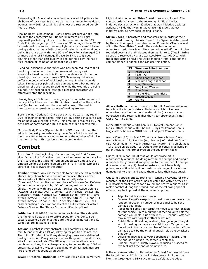*Recovering Hit Points:* All characters recover all hit points after six hours of total rest. If a character has lost Body Points due to wounds, only 50% of total hit points lost are recovered per six hours of rest.

*Healing Body Point Damage:* Body points lost recover at a rate equal to the character's STR Bonus (minimum of 1 point regained) per full day of rest. If a character with up to 50% Body Point damage (up to 10 points of BP damage if base 20 BP is used) performs more than very light activity or careful travel during a day, he has a 50% chance of losing an additional body point. If a character with more 50% of Body Point damaged (11 or more points of BP damage if base 20 BP is used) does anything other than rest quietly in bed during a day, he has a 50% chance of losing an additional body point.

*Bleeding (optional):* A character who has been reduced to 0 hit points by weapon or other trauma-related damage will eventually bleed out and die if their wounds are not bound. A bleeding character must make a STR Save every minute or suffer one body point of additional damage. Binding wounds takes 1 minute per point of body damage taken, but no further bleeding rolls are needed (including while the wounds are being bound). Any healing spell cast on a bleeding character will effectively stop the bleeding.

*Healing Magic (Optional):* Healing magic is not instantaneous, 1 body point will be cured per 10 minutes of rest after the spell is cast (up to the maximum the spell will cure), if the rest in interrupted any remaining points of healing are lost.

*Second Wind (Optional):* Once per day, characters may regain 20% of their total hit points (round up) by resting in a safe place for an hour while eating a meal. This amount is reduced by 2 hp per point of body damage (to a minimum of 0 hp recovered).

*Monster Body Points (Optional):* If the GM does not mind the added complexity, monsters may have Body Points as well. A monster's Body Points are equal to twice the number of hit dice the monster has. This option is not recommended.

### **Combat**

**Surprise:** At the beginning of an encounter, roll 1d6 for each side. On a roll of 1-2 a side is surprised and may not act at all in the first round. If attacking from an undetected ambush, the ambush victims are surprised on a roll of 1-4. A side cannot be surprised if it is aware of the other.

**Combat Stance:** Any character able to act may select a combat stance. Any character who has not announced their combat stance before initiative is rolled automatically selects "Standard." Combat Stances (and their effects) are *Full Defense* (Attack: no attack possible; AC:  $+2$  bonus,  $+4$  bonus with shield, +6 bonus with large shield; Strike: -5), *Active Defense* (Attack: -2 penalty; AC: +1 bonus, +2 with shield; Strike: -2), *Standard* (Attack: Normal; AC: Normal: Strike: normal), *Active Attack* (Attack: +1 bonus; AC: -1 penalty; Strike: +1), and *Full Attack* (Attack: +2 bonus; AC: -2 penalty; Strike: +2). Spell casters casting a spell cannot select the Full Defense or Active Defense Stance. The Stance Strike modifier is optional.

**Initiative:** Roll 1d20 for initiative for each side. The side with the higher roll gets a +5 to strike speed for the round. Spell casters casting a spell must declare the spell being cast and its target before initiative is rolled.

**Actions:** Combat is very abstract. Each combat round lasts a minute and includes a lot of jockeying for position, feints, etc. The "hit roll" determines if any damaging blows were delivered during the round. Everyone can do one thing each round; move, attack, cast a spell, etc. The GM may choose to allow some combined actions, like a charge attack, to be one thing. A 5-foot step/shift, drawing a weapon, speaking or similar activities are "free" and do not count as an action.

**Group Initiative (Optional):** Each side rolls a d20 (reroll ties).

High roll wins initiative. Strike Speed rules are not used. The combat order changes to the following: 1) Side that lost initiative declares actions. 2) Side that won initiative declares actions. 3) Side that won initiative acts. 4) Side that lost initiative acts. 5) Any bookkeeping is done.

**Strike Speed:** Characters and monsters act in order of their strike speed from high to low. Base Strike Speed is determined by their action type in the table below. Characters/Monster add +5 to the Base Strike Speed if their side has initiative. Adventurers add their level. Monsters add one-half their hit dice, rounded down if the GM classes them as fighters. (Ties in Strike Speed are resolved by Character Level/Monster Hit Dice, with the higher acting first.) The Strike modifier from a character's combat stance is added if the GM use this option.

| SS                      | Weapon/Attack Action      |
|-------------------------|---------------------------|
| 1                       | <b>Read Scroll</b>        |
| 2                       | Cast Spell                |
| 3                       | Short Length Weapon       |
| 4                       | Medium Length Weapon      |
| 5                       | Long Weapon               |
| 6                       | Very Long Weapon          |
| $\overline{\mathbf{z}}$ | Pole Arms                 |
| 8                       | Missile Fire/Arcane Blast |
| 9                       | <b>Breath Weapon</b>      |
| 10                      | Glance                    |
|                         |                           |

**Attack Rolls:** Add attack bonus to d20 roll. A natural roll equal to or less the target's Natural Defense (which is 1 unless otherwise stated in the monster description) always misses, otherwise if the result is higher than your opponent's Armor Class (AC), it's a hit.

Melee attack bonus = STR bonus + Physical Combat Bonus Missile attack bonus = DEX bonus + Physical Combat Bonus Magic attack bonus = MIND bonus + Magical Combat Bonus

Armor Class  $(AC) = 10 + DEX$  bonus + Armor bonus. Basic Armor Bonuses: Light Armor (e.g. leather) +2, Medium Armor (e.g. Chainmail) +4, Heavy Armor (e.g. Plate) +6; a shield adds +1; a large shield adds +2. *Option:* Armor bonus is as listed in parenthesis for the armor type on the equipment table.

*Critical Hits:* A natural 20 that would otherwise hit is automatically a critical hit doing maximum damage and doing a number of body points damage equal to the number of damage dice rolled (normally 1). Most monsters do not have body points, so a critical hit will do maximum damage plus a normal damage roll to them and cause them to lose their next attack.

*Critical Hit Special Effects* (optional): When an Adventurer (or a monster, at the GM's option) has selected the Active Attack or Full Attack combat stance for a round and scores a critical hit in melee combat during that round, one of the following special effects may be imposed at the attacker's option:

- *Trip*: Target is knocked prone.
- *Disarm*: Target's weapon or shield is knocked away in a random direction a number of feet equal to half the damage you dealt.
- *Reposition*: Force your target to move to a new location of your choice, up to a number of feet equal to half the damage you dealt (plus attacker's STR bonus). Attacker may move with target if attacker desires.
- *Shield Slam*: If wielding a shield, bludgeon your target with it, dealing damage as a shield bash. Target is then forced back from you a number of feet equal to half the damage dealt by the original attack (plus the attacker's STR bonus).
- *Disorient*: Blow leaves your opponent off-guard. Until the end of his next turn, target is confused.
- *Hinder*: Target is briefly slowed, reducing his speed to five feet until the end of his next turn.

If the movement effect of Reposition or Shield Slam would force the target over a cliff, into a pool of dangerous liquid, or the like, the target gets a DEX save to stop safely at the edge.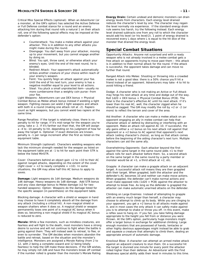#### **MICROLITE74 SWORDS & SORCERY 2E - 11 -**

*Critical Miss Special Effects* (optional): When an Adventurer (or a monster, at the GM's option) has selected the Active Defense or Full Defense combat stance for a round and an enemy attacking him during that round rolls a natural 1 on their attack roll, one of the following special effects may be imposed at the defender's option:

- *Counterattack*: You make a melee attack against your attacker. This is in addition to any other attacks you might make during the round.
- *Disengage*: You dart away from your attacker, moving up to your movement, but you cannot engage another by doing so.
- *Blind*: You spit, throw sand, or otherwise attack your enemy's eyes. Until the end of the next round, he is blinded.
- *Redirect Attack*: Your opponent's attack automatically strikes another creature of your choice within reach of your enemy's weapon.
- *Feint*: You quickly feign an attack against your foe. Until the end of his next turn, your enemy is has a negative modifier equal to your level to all actions.
- *Steal*: You pluck a small unprotected item--usually no more cumbersome than a weighty coin purse--from your foe.

*Light Weapons:* Adventurers can use DEX bonus + Physical Combat Bonus as Melee attack bonus instead if wielding a light weapon. Fighting classes can wield 2 light weapons and attack with both in a round (making one attack roll at -2). Rapiers count as light weapons, but you cannot wield two rapiers at the same time.

*Range Penalties:* If the target is relatively close, there is no penalty to hit for range. If it's mid-range for the weapon you're using, take a -2. If it's farther out than that, the GM will assign a -4 to -10 penalty to hit, depending on his judgment of how far away the target is. Optional: If exact distances are known, penalty is -1 per range increment after the first as listed on the equipment table.

*Minimum Strength* (optional): Characters wielding weapons who lack the minimum strength needed for the weapon as listed on the equipment table are at -1 to hit for each point their STR is below the listed MinSTR.

*Cover:* Characters behind an object gain +2 to +10 to their AC against ranged attacks, depending on the extent of the cover (light cover  $= +2$  to nearly complete  $= +10$ ). In some situations, the GM may allow half this AC bonus to apply to saves.

**Damage:** Light weapons do 1d4 damage. Medium weapons do 1d6 damage. Heavy weapons do 1d8 damage. Add STR bonus and any class damage bonus to Melee damage (x2 for twohanded weapons). *Option:* Weapons do the damage listed for the specific weapon (in parenthesis) on the equipment table.

*Blocking damage:* A character with a shield or weapon in hand may choose to have it completely absorb all the damage from any attack (including a critical hit). A non-magical shield or weapon shatters when it does so. A magical shield or weapon permanently loses one point of is magical AC bonus when it does so, becoming a non-magical shield if its magical AC bonus is reduced to zero.

**Morale:** While a few monsters, such as mindless creatures, are fearless and will fight to the death, most monsters have a strong desire to survive and will not continue to fight when the battle is going against them. They will instead seek to retreat, to flee, or even to surrender. The GM decides when monsters abandon the battle and retreat, based on the situation and the monster's intelligence. Monsters are assigned a Morale Rating (from 2 to 12, with 2 being a complete coward and 12 being totally fearless) to help the GM make these decisions. If the GM wishes, he may simply roll 2d6 and have the monsters break off combat if the number rolled is greater than the monster's Morale Rating.

**Energy Drain:** Certain undead and demonic monsters can drain energy levels from characters. Each energy level drained reduces the character's level by one. The character may regain the level normally via experience. If the standard energy drain rule seems too harsh, try the following instead. Each energy level drained subtracts one from any roll to which the character would add his level (or his level/2). 1 point of energy drained is recovered every L days where L is equal to the hit dice of the monster that drained the energy level.

#### **Special Combat Situations**

*Opportunity Attacks:* Anyone not surprised and with a ready weapon who is not already involved in a melee combat gets a free attack on opponents trying to move past them – this attack is in addition to their normal attack for the round. If the attack is successful, the opponent takes damage and can move no further that round.

*Ranged Attack into Melee:* Shooting or throwing into a crowded melee is not a good idea: there is a 50% chance you'll hit a friend instead of an opponent. Adventurers may take -4 to hit to avoid hitting a friend.

*Dodge:* A character who is not making an Active or Full Attack may forgo his next attack at any time and dodge out of the way. Roll 1d20 + DEX bonus + Physical Combat Bonus (PCB). The total is the character's effective AC until his next attack. If it's lower than his real AC, well, the character zigged when he should've zagged. The GM may modify the roll by +2 or -2 (or more) to reflect the terrain and cover of the area.

*Aid Another:* A character who can make a melee attack on an opponent engaging an ally in melee combat can help that character attack or defend by distracting or interfering with an opponent. Make an attack roll against AC 10. If successful, the ally gains either  $a + 2$  bonus on his next attack roll against that opponent or a +2 bonus to AC against that opponent's next attack (aiding character's choice), as long as that attack comes before the beginning of the aiding character's next turn. Multiple characters can aid the same ally.

*Overwhelming Opponents:* Each attacker beyond the first against the same target in the same round adds +1 to their attack rolls for each attacker before them. So, a second attack on the same target in the same round by a party member or monster would be at  $+1$ , a third attack at  $+2$ , etc.

*Grapple:* A character can make a grapple attack on an adjacent target. A successful attack roll means they are then grappled with their target. When grappled, both the attacker and the defender's AC becomes 10 and neither can make move actions. When grappled, the defender can't make normal actions and must make opposed rolls (1d20 + PCB) against the attacker to attempt to break free. As long as the defender is grappled the attacker can make automatic unarmed attacks on the defender.

*Climbing on Large Enemies:* Instead of attempting to grapple with an enemy much larger than herself, a character may choose to attempt to climb up its body. While you are clinging to your opponent, you get a +2 bonus to all attacks made against it, and in most cases the only attack it can safely make against you is to attempt to shake or throw you off. In this event, make a reflex save to hang on. If you fail, you take falling damage appropriate to the height you fell from or distance you were thrown. At the GM's option, particularly huge monsters might offer a larger bonus in exchange for additional climbing. Large enough monsters that are possessed of hands, tentacles or other highly dextrous appendages might instead be able to grab and squeeze a creature that attempts to climb them, dealing an appropriate amount of automatic damage.

*Knockout Blow:* A character can attempt an armed melee attack against an adjacent creature to stun them. On a successful hit the target is stunned one minute for every point the attacker rolled higher than their defense. An Adventurer with the Find Weakness special ability adds their level in minutes to this time.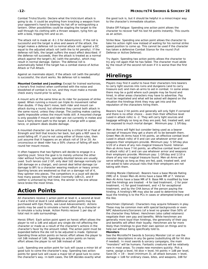*Combat Tricks/Stunts:* Declare what the trick/stunt attack is going to do. It could be anything from knocking a weapon from your opponent's hand to blowing his hat off or extinguishing a lantern. Other possibilities could be stapling the target to the wall through his clothing with a thrown weapon, tying him up with a bola, tripping him and so on.

The attack roll is made at -6 (-3 for Adventurers). If the roll is successful and the target is alive and aware of the attack, the target makes a defense roll (a normal attack roll) against a DC equal to the adjusted attack roll (with the to hit penalty). If the defense roll fails, the target suffers the exact effect described. If the defense roll succeeds, then the attack is treated as a normal attack against the target's AC (with the penalty), which may result in normal damage. *Option:* The defense roll is automatically failed if the target has a combat stance of Active Attack or Full Attack.

Against an inanimate object, if the attack roll (with the penalty) is successful, the stunt works. No defense roll is needed.

**Mounted Combat and Jousting:** Except for trained warhorses, a horse's first instinct when confronted with the noise and bloodshed of combat is to run, and they must make a morale check every round prior to acting.

A mount acts at the same time as its rider for purposes of strike speed. When running a mount can triple its movement rather than double. If they don't move, both rider and mount can attack during a round, but otherwise they cannot both attack in the same round, unless they charge. The jostling makes casting spells impossible unless the mount holds still. A mounted charge is only possible if mount and rider are not currently in melee and have a fairly direct path to the target. A charge with a spear, lance, or polearm deals double damage.

A mounted character can be unhorsed by a critical hit or Feat of Strength and Skill that knocks her back, but gets a REF save to avoid falling off. If you're not using either of those rules, then just assume that it happens on an attack roll of 19 or 20. An unconscious or dead rider has a 50% chance of falling off each round her mount moves.

It often happens that two fighters will decide to engage in a sporting joust. Since the goal is to merely unhorse the other rider without hurting him, specially-blunted lances are usually used. Such lances cost 2 GP, only deal 1d2 damage normally (or 1d4 damage on a charge), and cannot deal lethal damage (or damage to BP) to a character wearing medium or heavy armor. Sporting lances are weakened so that on a damage roll of 4, they splinter into pieces. The competitors in a joust will decide how many passes they will make (normally  $1d8+2$ ), and if neither is unhorsed by that time, the winner is the one whose lance broke the most times.

### **Action Points**

All characters receive 1 action point at level 4, a second at level 5 and a third at level 6 (and additional action points may be purchased with Epic Points, see Level Advancement). Actions points may be used to simulate a heroic effort by a character or to simulate a lucky break. Action Points recover 1 per day of total rest in safe surroundings.

*Heroic Effort:* Each action point spent on heroic effort allows the player to roll a 1d6 and adjust any single die roll affecting the character or made as a result of the character's actions in the character's favor by the amount rolled. The action point must be expended before the die roll to be adjusted is made. Optional: Spending three action points on heroic effort allows the player to roll 2d6 instead of 1d6. Spending six action points on heroic effort allows the player to roll 3d6 instead of 1d6.

*Luck:* Spending one action point for luck will cause a minor bit of good luck to come the character's way. Spending two action points for good luck will cause a major bit of good luck to come the character's way. In both cases, the GM decides exactly what

the good luck is, but it should be helpful in a minor/major way to the character's immediate situation.

*Shake Off Fatigue:* Spending one action point allows the character to recover half his lost hit points instantly. This counts as an action.

*Strike Now:* Spending one action point allows the character to take his action right now instead of waiting for his normal strike speed position to come up. This cannot be used if the character has taken a defensive Combat Stance for the round (Full Defense or Active Defense).

*Try Again:* Spending two action points allows the character to try any roll again that he has failed. The character must abide by the result of the second roll even if it is worse than the first roll.

### **Hirelings**

Players may find it useful to have their characters hire bearers to carry light sources into ruins and dungeons (and to carry treasure out) and men-at-arms to aid in combat. In some areas there may be a guild where such people may be found and hired, in other areas characters may have to advertise. Pay must be negotiated and what will be asked will depend on the situation the hirelings think they may get into and the reputation of the characters hiring them.

Bearers have 2 hit points and generally will only fight if cornered and there is no other choice – even then their effective level (used in attack rolls) is -2. They will carry light sources and baggage willingly so long as they are paid, fed, treated well, and not exposed to much mortal danger. Minimum pay: 1 SP/day.

Men-at-Arms will fight but consider being used as a bearer (except of treasure they get a share of) to be beneath them. Green Men-At-Arms have 4 hit points, an effective combat level (used in attack rolls) of 0 and can use whatever armor and weapons their employers provide. Minimum pay: 5 SP/day plus 1/20 of a share of any non-magical treasure found. Veteran Men-at-Arms have 7 hit points, an effective combat level (used in attack rolls) of 1 and can use whatever armor and weapons their employers provide. Minimum pay: 1 GP/day and 1/10 a share of any non-magical treasure found. Men-at-Arms will serve willingly as long as they are fed, paid, treated well, and not asked to take unusual risks that their employers are not taking with them.

*Hireling Morale (Optional):* Bearers have a base Morale Rating (MR) of 4. Green Men-At-Arms have a base MR of 7. Veteran Men-At-Arms have a base MR of 9. Base MR is modified by how well the hirelings are treated: -4 for bad treatment, -2 for poor treatment, +1 for good treatment, and +2 for exceptional treatment; and by the CHA bonus of the person paying the hireling. A hireling's MR may also be used to determine how loyal the hireling is to the PCs in cases or attempted bribery and the like.

*Henchmen (Optional):* Characters may acquire followers in play. These may be common men with special backgrounds or even NPC Adventurers/Sorcerers (of a level no greater than 50% of the character they follow). Henchmen (also called retainers) negotiate their own pay and benefits. While henchmen are generally more loyal than hirelings, the generosity of their pay and benefits will affect their loyalty. Henchmen are far more likely than hirelings to give their own opinion on things and to help out without being specifically told to. **Monsters** 

See the Microlite74 Swords & Sorcery Monster List or use the monster descriptions in any 0e game (substituting d8 for hit dice if needed). In most swords & sorcery campaigns, the main "monsters" will be humans. Fantastic creatures will be relatively rare in most areas. To create new monsters quickly: Pick a name, assign a level, hit dice = level, hit points = 1d8 per level, Save  $DC = 19 - level$  (minimum 3), all attack bonuses = level, damage = 1d8 for ordinary claws, bites, and weapons, 2d8 for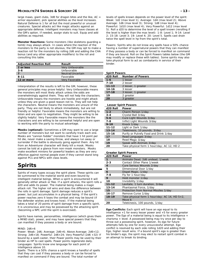#### **MICROLITE74 SWORDS & SORCERY 2E - 13 -**

large maws, giant clubs, 3d8 for dragon bites and the like,  $AC =$ armor equivalent; pick special abilities as the level increases. Natural Defense is 1 for all but the most powerful or unusual creatures. Special attacks act like magic attacks against an appropriate defense. Intelligent monsters may have classes at the GM's option. If needed, assign stats to suit. Equip and add abilities as required.

**Monster Reactions:** Some monsters (like skeletons guarding a tomb) may always attack. In cases where the reaction of the monsters to the party is not obvious, the GM may opt to make a reaction roll for the monsters by rolling 2d6 and adding the CHA bonus (and any other appropriate modifiers) to the roll and consulting this table.

| <b>Adjusted Reaction Roll</b> | Result            |
|-------------------------------|-------------------|
| 2 or less                     | Very Unfavorable  |
| $3 - 6$                       | Unfavorable       |
|                               | Neutral/Uncertain |
| $8 - 11$                      | Favorable         |
| 12 or more                    | Very Favorable    |

Interpretation of the results is left to the GM, however, these general principles may prove helpful. Very Unfavorable means the monsters will most likely attack unless the odds are overwhelmingly against them. They will not help the characters. Unfavorable means the monsters are hostile and might attack unless they are given a good reason not to. They will not help the characters. Neutral means the monsters are unsure of the party. They are not likely to attack immediately, but are not friendly or helpful. Favorable means the monsters are willing to listen and are open to negotiation. They might be willing to be slightly helpful. Very Favorable means the monsters like the characters and are willing to be somewhat helpful and are open to working with the party to mutual advantage.

**Mooks (optional):** Sometimes a GM may want to use a large number of monsters but not want to carefully track each one. Mooks are "cannon fodder" monsters that have 1 hit point per hit die, never make a saving throw, and always run away or surrender if the battle is obviously going against them. Any hit from an Adventurer character will likely kill a mook. Mooks cannot be told at a glance from non-mook monsters. Mooks make excellent minions for powerful leaders as they are very effective against normal people even if they cannot stand long against PCs and NPCs with class levels.

### **Spirits**

Spirits of many types occupy the spirit plane. These spirits can be summoned to the material world and even bound by intelligent material beings. When a spirit is encountered it will generally either attack or flee. If a spirit attacks, the spirit rolls a d20 and adds its power. The material being makes a magic attack roll. The higher roll wins and does the difference between the rolls in spirit damage. Spirit damage reduces a spirit's power, but just accumulates in a physical being. If the spirit's power reaches zero it loses the combat and may be bound (if the defender wishes and knows how). If the material being takes a total of 20 points of spirit damage from a specific spirit, it is unconscious and may be possessed by the attacking spirit (becoming a NPC until the spirit is exorcised).

Spirits have names, personalities, intelligence (which gives them a MIND stat), power, and may have special powers that they can manifest if they possess a body or are bound.

#### *MIND:* 2d6+6

*Power*: Weak: 2d6; Average: 2d6+6; Above Average: 2d6+12; Strong: 2d6+18; Powerful: 2d6+24; Very Powerful (2d6 +32) If bound by a spell-caster, their Power points may be used by their binder as HP to cast spells. Power points regenerate daily. *Languages:* Spirits know one language for each point of intelligence above 10.

*Spells:* There is a 50% chance a spirit knows a handful of spells that they can cast if they possess a body or can be forced to manifest on command if they are bound. The total number of

levels of spells known depends on the power level of the spirit: Weak: 1d2 (max level 1); Average: 1d4 (max level 2); Above Average: 1d6 (max level 3); Strong: 1d8 (max level 4); Powerful: 1d10 (max level 4); Very Powerful: 1d12 (max level 5). Roll a d20 to determine the level of a spell known (rerolling if the level is higher than the max level): 1-8: Level 1; 9-14: Level 2; 15-18: Level 3; 19: Level 4; 20: Level 5. Spells cast drain twice the spell level in hp from the spirit's total.

*Powers:* Spirits who do not know any spells have a 50% chance having a number of supernatural powers that they can manifest if they possess a body or can be forced to manifest on command if they are bound. Roll on the Spirit Powers tables below (the GM may modify or replace these with tables). Some spirits may also take physical form to act as combatants in service of their binder.

#### **Spirit Powers**

| d <sub>20</sub> Roll | <b>Number of Powers</b> |
|----------------------|-------------------------|
| $1 - 6$              | 1 lesser                |
| $7 - 10$             | 2 lesser                |
| $11 - 13$            | 2 lesser, 1 greater     |
| $14 - 16$            | 3 lesser                |
| $17 - 18$            | 3 lesser, 1 greater     |
| 19                   | 2 greater               |
| 20                   | 3 greater               |

#### **Lesser Spirit Powers**

| d <sub>20</sub> Roll | Power                                      |
|----------------------|--------------------------------------------|
| $1 - 2$              | Charm Person 1/day                         |
| $3 - 4$              | Crystal Ball 3/day                         |
| $5 - 6$              | Cure Light Wounds 3/day                    |
| 7-8                  | Inflict Light Wounds 3/day                 |
| $9 - 10$             | Knock 1/day                                |
| $11 - 12$            | Light or Dark 1/day                        |
| $13 - 14$            | Telekinesis, 10 pounds, 3/day              |
| 15-16                | Purify or Putrefy Food and Drink 1/day     |
| 17                   | Read Languages 3/day                       |
| 18                   | Read Magic 3/day                           |
| 19                   | Speak with Animals 3/day                   |
| 20                   | Take physical form 1 hour/day; AC 12, HD 2 |

#### **Greater Spirit Powers**

| d <sub>20</sub> Roll | Power                                            |
|----------------------|--------------------------------------------------|
| 1                    | Animate Dead, 2d6 undead, 1/week                 |
| $2 - 3$              | Contact Other Plane 1/week                       |
| 4                    | Cure Serious Wounds 2/day                        |
| 5                    | Dimensional Door 1/day                           |
| 6                    | Dispel Magic, 1/day                              |
| 7-8                  | Fly for 1 hour/day                               |
| 9                    | Hold monster 1/day                               |
| 10                   | Invisibility 1/day                               |
| $11 - 12$            | Levitate, 1 turn duration, 3/day                 |
| 13-14                | Phantasmal Force, 1/day                          |
| 15                   | Protection from Normal Missiles 1/day            |
| 16-17                | Remove Curse 1/day                               |
| $18-19$              | Take physical form 1 hour/day; AC 14, HD $5+2$ , |
|                      | Move 6                                           |
| 20                   | Telekinesis, 100 pounds, 1/day                   |

**Ego Conflicts:** Each spirit will have an ego equal to its intelligence +1 for every lesser power and +5 for every greater power. The Ego of a material being is equal to its intelligence + charisma + level. A possessed being may try once per day to throw out a possessing spirit, however, its ego for future attempts falls by one for every unsuccessful attempt. Ego conflict is resolved by each side rolling 1d20 and adding their Ego, higher result wins. If a bound spirit's ego is greater than his binder's ego, the spirit may elect to restart spirit combat in an attempt to break its binding.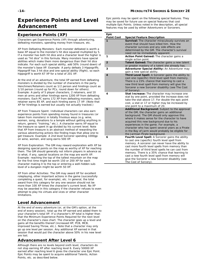### **Experience Points and Level Advancement**

#### **Experience Points (XP)**

Characters get Experience Points (XP) through adventuring, defeating monsters, spending money from treasure, etc.

*XP from Defeating Monsters:* Each monster defeated is worth a base XP equal to the monster's hit dice squared multiplied by 5. If a monster has both hit dice and a character level the higher is used as "hit dice" in this formula. Many monsters have special abilities which make them more dangerous than their hit dice indicate. For each such special ability, add 50% (round down) of the monster's base XP. Example: A party defeats 3 Hippogriffs. Hippogriff has 3 hit dice and one special ability (flight), so each hippogriff is worth 67 XP for a total of 201 XP.

At the end of an adventure, the total XP earned from defeating monsters is divided by the number of characters in the party. Henchmen/Retainers count as 1/2 person and hirelings count as 1/10 person (round up for PCs, round down for others). Example: A party of 5 player characters, 2 retainers, and 10 men-at-arms and other hirelings earns 1200 XP from defeating monsters. Each PC earns 172 XP from defeating monsters, each retainer earns 85 XP, and each hireling earns 17 XP. (Note that XP for hirelings is earned but usually not actually tracked.)

*XP from Treasure Spent:* Individual characters can also earn experience points from spending money found in treasures (or taken from monsters) in totally frivolous ways (e.g. wine, women, song, donations to a temple without getting anything in return, generic "training," etc.). A character earns XP equal to the treasure so spent in gp divided by his current level. Note that XP from treasure is an abstract method of rewarding the various adventuring actions like finding traps that allow one to get treasure. Example: A 2nd level Sorcerer spending 1000gp on wine, women, and song earns 500 XP.

*XP from Exploration:* The GM may reward exploration with XP be designing special points on the map as worthy of XP for reaching them. The GM should generally not inform players in advance as to what, if any, special locations on the map are worth XP. Example: reaching the top of the tallest mountain on the map for the first time might be worth 150 or 200 XP for each character making it to the top or entering a well-hidden sublevel of a dungeon might be worth 50 XP.

*XP from other Activities:* The GM may award XP for excellent roleplaying, other important actions in the game (successfully completing a quest, for example), etc. In general, the total award from this category for any one session should not be more than 100 XP times the character's current level. No XP may be awarded in this category if the character refuses to even attempt to play his virtues and vices or other character limitations.

#### **Level Advancement**

At the end of every adventure (or, at the GM's option, at the end of every session), total up the XP earned and added them to your character's total XP. If a character's XP total is higher than that the *Minimum Experience Points Required* for the next level on the character's class chart. The character goes up a level and gains all the benefits thereof (increased HP, PCB, MCB, improved Saving Throw, etc.). Note that a character may only go up one level per session. Any additional XP earned in that session that would put the character above 50% in his new level are lost.

#### **Advancement After Level 6**

Although there are no levels beyond sixth level, characters do not stop earning XP after reaching level 6. Every 50000 XP earned after reaching level 6 gives the character one Epic Point. Epic Points may be spent to acquire additional Talents, Action Points, etc. as described below.

Epic points may be spent on the following special features. They may be saved for future use on special features that cost multiple Epic Points. Unless noted in the description, all special features may be used by either Adventurers or Sorcerers.

| <b>Epic</b>       |                                                                                                                                                                                                                                                                                                                                                                                                                                                |
|-------------------|------------------------------------------------------------------------------------------------------------------------------------------------------------------------------------------------------------------------------------------------------------------------------------------------------------------------------------------------------------------------------------------------------------------------------------------------|
| <b>Point Cost</b> | <b>Special Feature Description</b>                                                                                                                                                                                                                                                                                                                                                                                                             |
| 1                 | Survival: The character miraculously survives an<br>event that should have killed him. How the<br>character survives and any side effects are<br>determined by the GM. The character's survival<br>need not be immediately apparent.                                                                                                                                                                                                           |
| 1                 | Action Point Gained: The character gains a<br>single action point.                                                                                                                                                                                                                                                                                                                                                                             |
| $\overline{2}$    | Talent Gained: The character gains a new talent<br>or greater mastery of a talent she already has.                                                                                                                                                                                                                                                                                                                                             |
| 3                 | Adventurer Special Ability: An Adventurer may<br>gain a new special ability.                                                                                                                                                                                                                                                                                                                                                                   |
| 4                 | Third Level Spell: A Sorcerer gains the ability to<br>cast one (specific) third level spell from memory.<br>There is a 15% chance that learning to cast a<br>new third level spell from memory will give the<br>Sorcerer a new Sorcerer disability (see The Cost<br>of Sorcery).                                                                                                                                                               |
| 4                 | Stat Increase: The character may increase one<br>stat by one point, provided the increase does not<br>take the stat above 17. For double the epic point<br>cost, a stat or 17 or higher may be increased by<br>one point to a maximum of 20.                                                                                                                                                                                                   |
| 5                 | Additional Background: Subject to the approval<br>of the GM, the character gains an additional<br>background. The GM should only approve this<br>where it makes sense for the character to have<br>acquired this new background due to his<br>experiences in the game. For example, a<br>character who has spent several years as a Pirate<br>in the Bay of Jarm would probably be eligible for<br>the Jarmian Pirate background.              |
| 6                 | Fourth Level Spell: A Sorcerer gains the ability<br>to cast one (specific) fourth level spell from<br>memory. A sorcerer can never have the ability to<br>cast more fourth level spells from memory than<br>the number of third level spells he can cast from<br>memory. There is a 35% chance that learning to<br>cast a new fourth level spell from memory will<br>give the Sorcerer a new Sorcerer disability (see<br>The Cost of Sorcery). |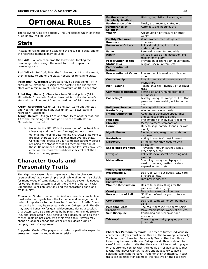# **OPTIONAL RULES**

The following rules are optional. The GM decides which of these rules (if any) will be used.

I

I

### **Stats**

Instead of rolling 3d6 and assigning the result to a stat, one of the following methods may be used.

**Roll 4d6:** Roll 4d6 then drop the lowest die, totaling the remaining 3 dice, assign the result to a stat. Repeat for remaining stats.

**Roll 2d6+6:** Roll 2d6, Total the 2 dice and add 6 to the result, then allocate to one of the stats. Repeat for remaining stats.

**Point Buy (Average):** Characters have 33 stat points (44 in Microlite74 Extended). Assign these points to the character's stats with a minimum of 3 and a maximum of 18 in each stat.

**Point Buy (Heroic):** Characters have 39 stat points (52 in Microlite74 Extended). Assign these points to the character's stats with a minimum of 3 and a maximum of 18 in each stat.

**Array (Average):** Assign 15 to one stat, 11 to another stat, and 7 to the remaining stat. (Assign an 11 to two stats in Microlite74 Extended.)

**Array (Heroic):** Assign 17 to one stat, 15 to another stat, and 13 to the remaining stat. (Assign 11 to the fourth stat in Microlite74 Extended.)

 *Notes for the GM:* With the exception of the Point Buy (Average) and the Array (Average) options, these optional methods of determining character stats tend to produce characters with higher than average stats. Consider the effects on your campaign carefully before replacing the standard stat roll method with one of these. Remember also that high and low stats have less effect on the character's abilities in Microlite74 than they do in many games.

### **Character Goals and Personality Traits**

The alignment system is a simple way to handle character "personalities" at a very simple level. While alignment is suitable for many types of campaigns, a more flexible system is needed for others. If this system is used, the GM will "enforce" it with Experience Point bonuses for using the character's goals and traits in play.

**Character Goals:** In order to individual characters, each player must select four goals from the list below and arrange them in order of importance to the character from first to fourth. Goals not on the list may be selected with prior GM approval. The GM may award bonus XP for goal achievements during a session. Characters can also earn points by helping their friends (fellow PCS and associated NPCS) achieve their goals, so long as their friends goals do not clash with their own goals. Players may change a goal or change the order of their goals during a campaign with GM approval.

*Suggested Goals*: (The player must select a particular aspect to stress for those marked with an asterisk)

| <b>Furtherance of</b><br>Scholarly Studies* | History, linguistics, literature, etc.                                                     |
|---------------------------------------------|--------------------------------------------------------------------------------------------|
| Furtherance of Art*                         | Music, architecture, crafts, etc.                                                          |
| <b>Furtherance of</b><br><b>Science*</b>    | Astrology, engineering, etc.                                                               |
| Wealth                                      | Accumulation of treasure or other<br>wealth                                                |
| <b>Earthly Pleasures</b>                    | Wine, women/men, drugs, etc.                                                               |
| Romance                                     | True love                                                                                  |
| <b>Power over Others</b>                    | Political, religious, in criminal<br>underworld, etc.                                      |
| Fame                                        | Personal renown far and wide                                                               |
| Rank*                                       | On social scale or in institution like<br>religion or military                             |
| Preservation of the<br><b>Status Quo</b>    | Prevention of change (in government,<br>religion, social system, etc.)                     |
| <b>Preservation of</b>                      |                                                                                            |
| Nature<br>Preservation of Order             | Prevention of breakdown of law and                                                         |
|                                             | order                                                                                      |
| Comradeship                                 | Establishment and maintenance of<br>friendships                                            |
| Risk Tasking                                | Taking physical. financial, or spiritual<br>risks                                          |
| <b>Commercial Business</b>                  | Setting up and running profitable<br>businesses                                            |
| Collecting*                                 | Jewelry, antiques, weapons. Etc. (for<br>pleasure of ownership, not for actual<br>use)     |
| <b>Religious Service</b>                    | Serving religions and Gods                                                                 |
| <b>Battle Glory</b>                         | Winning renown in battle                                                                   |
| <b>Image Cultivation</b>                    | Adopting a distinctive appearance<br>and style to impress others                           |
| Freedom                                     | Preservation of individual freedoms                                                        |
| Chivalry                                    | Mercy, fairness, compassion                                                                |
| Honor                                       | Duty to liege, family, friends, or own<br>dignity                                          |
| <b>Mystic Power</b>                         | Finding spells, magic items, etc. for<br>own use                                           |
| Patriotism                                  | Acting in country's best interest                                                          |
| Discovery                                   | Bringing new knowledge to own<br>civilization                                              |
| <b>Experience Wonders</b>                   | Travelling through strange lands,<br>other planes, etc.                                    |
| <b>Intrigue</b>                             | Political/Social secret scheming and<br>plotting                                           |
| Materialism                                 | Spending money on displays of<br>wealth: manors, castles, useless<br>expensive items, etc. |
| <b>Welfare of Others</b>                    |                                                                                            |
| Responsibility                              | Desire to carry out duties, take care<br>of charges, etc.                                  |
| <b>Expansion of</b><br>Civilization         | Into new lands, etc.                                                                       |
| <b>Wanton Destruction</b>                   | Desire to destroy things for the<br>pleasure of destroying                                 |
| Cruelty                                     | Desire to cause pain in others                                                             |
| <b>Persecution of Evil</b>                  | "Evil" as defined by your culture or<br>religion                                           |
| Competition                                 | Desire to compete for competition's<br>sake                                                |
| Personal Feats                              | The "do it because it's there" spirit                                                      |
| Creation*                                   | Make magic items, works of art, etc.                                                       |
| Self-Discipline                             | Controlling one's behavior and<br>emotions                                                 |
| Trickery*                                   | Thwarting authority, playing practical<br>jokes, etc.                                      |

**Character Personality Traits:** In order to further individualize characters, players must select three of the following Personality Traits for their character. Personality Traits other than those listed may be used with prior GM approval. Players should be careful not to select traits that they are not interested in playing or that strongly conflict with their goals or religion (unless that is what the player wants). Players should also try to avoid selecting conflicting Personal Traits for their characters. If such traits are selected (for example, the first two on the list below),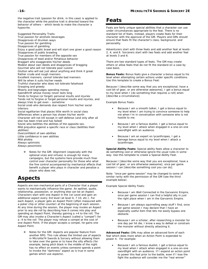*Suggested Personality Traits:*  True passion for alcoholic beverages Disapproves of drunken ways True passion for gambling Disapproves of gambling Enjoy a good public brawl and will start one given a good reason Disapproves of public brawling True passion for members of the opposite sex Disapproves of lewd and/or flirtatious behavior Braggart who exaggerates his/her deeds Modest about own deeds and disapproves of bragging Gourmet who will not tolerate poor cuisine Glutton who will eat just about anything and think it great Rather crude and rough manners Excellent manners, cannot tolerate bad manners Will lie when it suits his/her needs Truthful character who does not tolerate falsehood Grasping and greedy Miserly and begrudges spending money Spendthrift whose money never lasts long Tends to forgive (or forget) personal insults and injuries Tends not to forgive or forget personal insults and injuries, and always tries to get even – sometime Social snob who demands due respect from his/her social inferiors Social egalitarian that places little worth in social class differences when a person has shown his/her worth Character will not kill except in self-defense (and only after all else has been tried and has failed) Sexist who belittles the abilities of the opposite sex. Mild prejudice against a specific race or class (belittles their abilities) Overconfident of own abilities Little confidence in own abilities Mild phobia Always optimistic Always pessimistic

 *Notes for the GM:* Alignment (especially with the optional vices and virtues) is enough for many campaigns, but the systems here provide much finer control over character personality for those who what the fine control accompanied by mechanical effects that benefit a player who plays in character and penalize a player who does not.

### **Aspects**

Aspects are non-mechanical parts of a Character that a player wants to mechanically influence the game. An epithet, quote, relationship, possession, or anything else can be an Aspect. Characters start with one Aspect in the 1st Level and gain an additional aspect every 3rd level (at level 4, 7 10, etc.). For each Aspect, a player gets an Aspect Point (often measured with a poker chip or other counter) at the beginning of each session. At any time during the session, the player may invoke an Aspect prior to any die roll by describing how it comes into play and spending an Aspect Point, thereby gaining a +4 to the roll. The GM may also invoke a Character's Aspect (called a "compel") for a -4 to the roll. The player may refuse a compel at the cost of one Aspect Point; if the player accepts a compel, he gains one Aspect Point.

 *Notes for the GM:* Aspects are popular feature from another RPG. This rule allows the limited use of aspects in *Microlite74 Swords & Sorcery* without allowing them to take over the game or to have the silly effects (for example, being pitch black in the middle of the night has no effect on events unless someone spends a point to invoke the "darkness" aspect as is true in some games which use aspects).

### **Feats**

Feats are fairly unique special abilities that a character can use under circumstances appropriate to the feat. There is no standard list of feats, instead, players create feats for their character with the approval of the GM. Players and GMs should ensure that feats fit the character's class, background, and personality.

Adventurers start with three feats and add another feat at levels 2, 4, and 6. Sorcerers start with two feats and add another feat at levels 3 and 6.

There are two standard types of feats. The GM may create others or allow feats that do not fit the standard on a case by case basis.

**Bonus Feats:** Bonus feats give a character a bonus equal to his level when attempting certain actions under specific conditions. Use this template to create a Bonus Feat:

Because I [describe some way that you are exceptional, have a cool bit of gear, or are otherwise awesome], I get a bonus equal to my level when I [do something that requires a roll] when [describe a circumstance].

Example Bonus Feats:

- Because I am a smooth talker, I get a bonus equal to my level when I am trying to convince someone to help me when I'm in conversation with someone who is not hostile to me.
- Because I am a famous duelist, I get a bonus equal to my level when I attack when engaged in a one-on-one swordfight with an audience.
- Because I am an expert on lycanthropes, I get a damage bonus equal to my level when I attack a lycanthrope.

**Special Ability Feats:** Special ability feats allow a character to do something cool or otherwise ignore the usual rules in some way. Use this template to create a Special Ability Feat.

Because I [describe some way that you are exceptional, have a cool bit of gear, or are otherwise awesome], once per game session I can [describe something cool you can do].

Note: "once per game session" may be changed to some of similar rarity with the permission of the GM (see the third example below).

Example Special Ability Feats:

- Because I am Well Connected in the Garvannic Empire, once per game session I can find a helpful ally in just the right place when I am in the Garvannic Empire.
- Because I am always squirrelling away stuff I find, once per game session I may declare that I have an especially useful item that lets me easily bypass one obstacle.
- Because I am a scholar, after researching a monster for one day per hit die, I know a way to defeat or constrain the monster without directly attacking it.

**Advanced Feats:** GMs may allow an advanced form of each feat which does more when an Action Point is expended to power it. For example:

Because I am a famous duelist, I get a bonus equal to my level when I attack when engaged in a one-on-one swordfight with an audience. If I expend an action point to power this feat prior to the battle, even if I lose the fight the audience will consider me the "real winner"

hypocrite.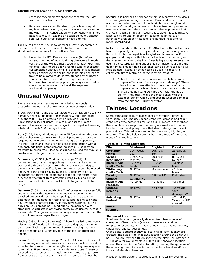#### **MICROLITE74 SWORDS & SORCERY 2E - 17 -**

(because they think my opponent cheated, the fight was somehow fixed, etc.).

• Because I am a smooth talker, I get a bonus equal to my level when I am trying to convince someone to help me when I'm in conversation with someone who is not hostile to me. If I expend an action point, my smooth spiel will even affect someone hostile to me.

The GM has the final say as to whether a feat is acceptable in the game and whether the current situations meets any situational requirements for a particular feat.

 *Notes for the GM:* Feats are a popular (but often abused) method of individualizing characters in modern versions of the world's most popular fantasy RPG. This optional rules module allows for this type of character customization without long lists of feats. It also makes feats a definite extra ability, not something one has to take to be allowed to do normal things any character should be able to try to do. This system has been borrowed from another popular game system. It adds some character customization at the expense of additional complexity.

### **Unusual Weapons**

These are weapons that due to their distinctive special properties are worthy of a few notes by way of explanation

**Blackjack** (3 GP, Light/1d3 damage): A blackjack only deals HP damage, never BP damage (for monsters without BP, being brought to 0 HP by an attacker with a blackjack causes unconsciousness, not death). If a thief or assassin gets a successful sneak attack with a blackjack to a target not wearing a helmet, it deals 1d8 damage instead.

**Bola** (3 GP, Light/1d4 damage range 25 feet): When throwing a bolas a character can elect to take a -1 penalty to attack and forgo damage in order to trip up or entangle an opponent (as if in a net). Bolas and lassos can be used in conjunction with a net, each additional entanglement imposes a -2 penalty on attempts to break free. Most bolas cannot be used this way on a creature much larger than a horse or smallish bear.

**Boomerang** (2 GP light/1d4 damage range 20 ft): A boomerang returns to the spot it was thrown just before the start of the thrower's next turn if the attack misses. Magical boomerangs return specifically to the thrower even if he moved, and even if the attack hit. By taking a -2 penalty to hit, a character can throw the boomerang to hit on the return, thus preventing the target from protecting itself by hiding behind cover. In order to do this it must be able to go out to its full range

**Garrotte** (2 GP Light special): If a Thief or Assassin successfully sneak attacks with a garrotte, she and the opponent she attacked are considered to be grappling, and she deals an automatic 3d4 damage per round for as long as she can hang on. Any other character can try if they have surprise, but will only deal 1d2 damage per round due to inexperience with strangling. A garrotte is otherwise pretty much useless except in an ambush. Most garrottes are not long enough to fit around the throat of creatures larger than an ogre.

**Hook** (10 GP, Light/1d4 damage): A hook installed to replace a missing hand functions in all respects as a dagger, but cannot be thrown. Tasks requiring manual dexterity using the hook hand are made at a -3 penalty due to the lack of articulated fingers.

**Lasso** (1 GP, no damage, range 25 feet): A lasso can be used to trip or entangle as a net. Lassos cost twice as much as would be expected for a rope of similar length because they are lacquered to remain stiff so the loop cannot accidentally close. A lasso can be used in an attempt at strangulation the same as a garrotte from surprise or as a sneak attack with a range of 10 feet, but

because it is neither as hard nor as thin as a garrotte only deals 1d6 strangulation damage per round. Bolas and lassos can be used in conjunction with a net, each additional entanglement imposes a -2 penalty on attempts to break free. A rope can be used as a lasso but unless it is stiffened, the loop has a 2 in 6 chance of closing in mid-air, causing it to automatically miss. A lasso can fit around an opponent as large as an ogre, or potentially even bigger if its loop is expanded (reducing its range accordingly).

**Nets** (are already statted in ML74): Attacking with a net always takes a -2 penalty because they're inherently pretty ungainly to throw. If it hits the target is entangled and is treated as if grappled in all respects (but his attacker is not) for as long as the attacker holds onto the line. A net is big enough to entangle even big creatures (a hill giant or smallish dragon is around the upper limit), smaller man-sized ones can be purchased for 5 GP. Multiple nets, lassos, or bolas could be used in concert to collectively try to restrain a particularly big creature.

 *Notes for the GM:* Some weapons simply have more complex effects and "cause x points of damage". These rules allow for these effects at the expense of more complex combat. While this option can be used with the Standard edition (and perhaps even with the Basic edition) they really make the most sense with the Extended edition when using specific weapon damages from the optional Equipment table.

### **Tainted Locations**

Some campaigns feature places that are strongly tainted by Corruption. Black magic, undead creatures, demons and other creatures of the nether realms, and evil in general are stronger there, while white magic and the living are weakened. Tainted locations can develop anywhere that death, decay, and/or evil predominate. Tainted locations can be shadowed, blighted, or forsaken. The table below summarizes the effects of the various types of tainted locations.

#### **Types of Tainted Locations**

| i ypes or Tallited Eocations        |                             |                      |                                        |  |
|-------------------------------------|-----------------------------|----------------------|----------------------------------------|--|
| <b>Effect</b>                       | Shadowed                    | Blighted             | Forsaken                               |  |
| Corruption                          | 10%/week,                   | 20%/day,             | 25%/hour,                              |  |
| <b>Points</b>                       | 1d2                         | 1 <sub>d4</sub>      | 1d6                                    |  |
| Corpse                              | 10%/1d12                    | 20%/1d4              | 80%/1d4                                |  |
| <b>Reanimation</b>                  | months                      | days                 | rounds                                 |  |
| <b>Black magic</b><br>spell effects | $+2$ class<br><b>levels</b> | $+3$ class<br>levels | $+4$ class<br><b>levels</b>            |  |
| White magic<br>spell effects        | No Effect                   | -1 class level       | -2 class<br>levels                     |  |
| <b>Turning</b><br><b>Undead</b>     | No Effect<br>(2 times HD)   | 4 times HD           | Forbidden                              |  |
| <b>Black magic</b><br>research      | $+1$ bonus                  | $+2$ bonus           | $+3$ bonus                             |  |
| Undead/<br><b>Demons</b>            | No Effect                   | No Effect            | +2 attack,<br>save,<br>damage, AC      |  |
| Animating<br><b>Undead</b>          | No Effect                   | No Effect            | $+2$ hp/HD,<br>2x normal HD<br>created |  |
| <b>Ritual</b><br>sacrifice          | x <sub>2</sub>              | x3                   | x4                                     |  |

#### **Shadowed Locations**

Shadowed locations generally develop from two sources of corruption: Chaotic altars (such as those in evil shrines, temples, or churches) and places of death (such as cemeteries, catacombs, and battlegrounds).

Chaotic altars create shadowed locations as soon as they are erected. The size of the shadowed location around the altar will be 100 square feet per 100gp spent on the altar. For instance, a 10,000gp altar would create a 100' x 100' shadowed location around the altar. At the GM's discretion, meeting the gp value of the altar might require special components or blood sacrifices instead of standard treasure.

Places of death create shadowed locations naturally over time.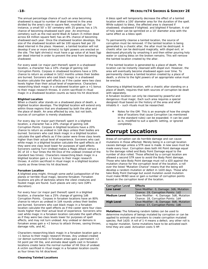#### **-18- MICROLITE74 SWORDS & SORCERY 2E**

The annual percentage chance of such an area becoming shadowed is equal to number of dead interred in the area divided by the area's size in square feet, rounded up. For instance, a small 50' x 50' cemetery with 25 graves has a 1% chance of becoming shadowed each year. An enormous cemetery such as the real-world Wadi Al Salam (5 million dead across 64 million square feet) has an 8% chance of becoming shadowed each year. Once the shadowed location develops, the size of the shadowed location will be 100 square feet per 20 dead interred in the place. However, a tainted location will not develop if one or more shrine(s) to light powers are erected on the site. The light shrine(s) must have a gp value of at least 5gp per dead interred in order to prevent the area from becoming shadowed.

For every week (or major part thereof) spent in a shadowed location, a character has a 10% change of gaining 1d2 Corruption Points. Corpses in shadowed locations have a 10% chance to return as undead in 1d12 months unless their bodies are burned. Sorcerers who cast black magic in a shadowed location calculate the spell effects as if the caster were two class levels higher than their actual level of experience. Characters researching black magic in a shadowed location gain  $a + 1$  bonus to their magic research throws. A victim sacrificed in ritual magic in a shadowed location counts as twice his hit dice/level.

#### **Blighted Location**

When a chaotic altar stands on a shadowed place of death, a blighted location develops. The blighted location will extend only within those regions that are shadowed by both the altar and the place of death. An area affected by one, but not both, sources of corruption is merely shadowed.

For every day (or major part thereof) spent in a blighted location, a character has a 20% change of gaining 1d4 Corruption Points. Corpses in blighted locations have a 20% chance to return as undead in 1d4 days unless their bodies are burned. Sorcerers who cast black magic in a blighted location calculate the spell effects as if the caster were three class levels higher than their actual level of experience. Sorcerers who cast white magic in a blighted location calculate the spell effects as if they were one class level lower for purposes of spell effects Sorcerers casting Turn Undead makes a Magic Attack versus a DC of 10 + four times the Hit Dice of the undead (instead of the standard two times). Characters researching black magic in a blighted location gain a +1 bonus to their magic research throws. A victim sacrificed in ritual magic in a blighted location counts as three times his hit dice/level.

#### **Forsaken Location**

A blighted area might, through some awful juxtaposition of the planes or terrible ritual magic, become forsaken. Forsaken locations are pits of darkness where the vilest creatures and foulest magic are found. Such places are very rare (GM's discretion).

For every hour (or major part thereof) spent in a blighted location, a character has a 25% change of gaining 1d6 Corruption Points. Corpses in forsaken locations have an 80% chance to return as undead in 1d4 rounds unless their bodies are burned. Sorcerers who cast black magic in a forsaken location calculate the spell effects as if the caster were four class levels higher than their actual level of experience. Sorcerers who cast white magic in a forsaken location calculate the spell effects as if they were two class levels lower for purposes of spell effects, and may not turn undead. Any undead or demons in forsaken areas gain a +2 bonus to attack throws, saving throws, damage rolls, and AC.

Characters researching black magic in a forsaken location gain a +1 bonus to their magic research throws. Any undead created (or demon summoned) in forsaken areas gain a permanent +2 hit point per Hit Die, and animate dead spells cast in forsaken locations create twice the normal number of Hit Dice of undead. A victim sacrificed in ritual magic in a forsaken location counts as four times his hit dice/level.

A bless spell will temporarily decrease the effect of a tainted location within a 100' diameter area for the duration of the spell. While subject to bless, the affected area is cleansed if shadowed; shadowed if blighted; and blighted if forsaken. A vial of holy water can be sprinkled on a 10' diameter area with the same effect as a bless spell.

To permanently cleanse a tainted location, the source of corruption must be removed. If the tainted location is being generated by a chaotic altar, the altar must be destroyed. A chaotic altar can be destroyed magically, with dispel evil; or destroyed physically by smashing it and then either pouring holy water or casting bless on the broken remains. This will remove the tainted location created by the altar.

If the tainted location is generated by a place of death, the location can be instantly cleansed with dispel evil. However, the area will eventually become shadowed again over time. To permanently cleanse a tainted location created by a place of death, a shrine to the light powers of an appropriate value must be erected.

Cleansing a blighted location, with a chaotic altar standing on a place of death, requires that both sources of corruption be dealt with separately.

A forsaken location can only be cleansed by powerful and dangerous ritual magic. Each such area requires a special designed ritual based on the history of the area and what inhabits it – such rituals must be researched.

 *Notes for the GM:* This is an example of how the simple idea of locations that cause Corruption (as mentioned in the standard rules) can be expanded. It can be used as is, modified to suit a specific setting, or ignored completely.

### **Corrupt Locations**

Areas of corruption can do horrible damage and can cause mutations in those affected. Merely being in a corrupt location causes damage unless a STR save is made. A new save must be made every hour. Corruption does both Hit Point damage equal to the damage rolled and Body Point Damage equal to the number of dice rolled. Those affected by a corrupt location are allowed a second STR save to avoid the Body Point damage. Those who take Body Point damage must roll a d20 against the mutation chance for the corruption level of the location, a roll over the listed "Mutation Chance" means that the being will develop a random mutation or defect in 1d20 days. Those who take Body Point Damage but avoid mutation avoid mutation must make MIND save or gain a number of corruption points based on the corruption level of the location.

| <b>Corruption Level</b> | <b>Effects</b>                                                                 |
|-------------------------|--------------------------------------------------------------------------------|
| <b>Low Level</b>        | Save Modifier: 0, Damage: 3d6, Mutation<br>Chance: 19, Corruption Points: 1d2  |
| <b>Medium Level</b>     | Save Modifier: -4, Damage: 5d6, Mutation<br>Chance: 18, Corruption Points: 1d4 |
| <b>High Level</b>       | Save Modifier: -8, Damage: 8d6, Mutation<br>Chance: 17, Corruption Points: 1d6 |

**Mutations:** The following random tables can be used to determine mutations of beings mutated by corruption or can be applied to animals and monsters to create corruption mutated species. Roll 1d20. A roll of 1-4 means a defect; any other roll is a regular mutation. Some mutations have to be activated each time they are used. Activation costs 5 HP.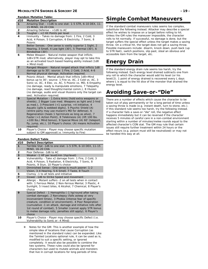#### **MICROLITE74 SWORDS & SORCERY 2E - 19 -**

#### **Random Mutation Table:**

| d10 | <b>Mutation Description</b>                             |
|-----|---------------------------------------------------------|
|     | Amazing Stat - +1d6 to one stat: 1-5 STR, 6-10 DEX, 11- |
|     | 15 MIND, 16-20 CHA                                      |
| -2  | Amazing Defense - +1d6 to AC                            |

- **3** Tougher +2 Hit Points per level
- **4** Immunity Takes no damage from: 1 Fire, 2 Cold, 3 Acid, 4 Poison, 5 Corruption, 6 Electricity, 7 Sonic, 8 Psionic
- **5** Better Senses One sense is vastly superior 1 Sight, 2 Hearing, 3 Smell, 4 Low light (30'), 5 Thermal (30'), 6 Blindsense (30')
- **6** Melee Weapon Natural melee weapon that inflicts 1d8+STR mod; alternatively, player may opt to take this as an activated touch based healing ability instead (1d8 + Mind mod)
- **7** Ranged Weapon Natural ranged attack that inflicts 1d8 damage up to 30'; source: 1 Fire, 2 Cold, 3 Acid, 4-6 Normal physical damage. Activation required.
- **8** Psionic Attack Mental attack that inflicts 1d8+Mind bonus up to 30'; source: 1 Fire vs. AC, 2 Cold vs. AC, 3 Sonic vs. AC, 4 Elec. vs. AC, 5 Psionic vs. MD, 6 Empathy (no damage, ready & manipulate emotions, 7 Telepathy (no damage, read thoughts/mental comm.), 8 Illusion (no damage, audio and visual illusions only the target can see). Activation required.
- **9** Special Mutation 1 Extra Arms (hold extra weapons or shields), 2 Bigger (use med. Weapons as light and 2-hnd as med.), 3 Prescient (+1 surprise, +4 initiative, 4 Aquatic (gills & webbed digits), 5 Psychic Shield (A) (entire party may use mutant's MD for defense), 6 Regeneration (heals 1 hp/minute as long as alive), 7 Faster (+1 Action Point), 8 Telekinesis (A) (lift 100 lbs. +100 lbs./ Mind bonus), 9 Special Move (A) 60' (teleport, fly, jump, etc.), 10 Player's choice. (A) means Activation required.
- **10** Player's Choice Player may choose specific mutation subject to GM approval(i.e. Immunity to Fire)

#### **Random Defect Table**

**d10 Defect Description** 

- **1** Terrible Stat -1d6 to one stat: 1-5 STR, 6-10 DEX, 11-15 MIND, 16-20 CHA **2** Poor Defense -1d6 to AC **3** Weaker -1 HP per level(min 1hp/level) **4** Vulnerability - Take x2 damage from: 1 Fire, 2 Cold, 3 Acid, 4 Poison, 5 Radiation, 6 Electricity, 7 Sonic, 8
- Psionic, 9 Stun, 10 Player's choice **5** Diminished Sense - One sense is much poorer: 1-2
- Vision, 3-4 Hearing, 5-6 Smell, 7 Taste, 8 Touch **6** Clumsy -1 to all tests and initiative
- **7** Slower -1d6 to Strike Speed and movement
- **8** Allergic Mutant suffers -2 on all tests when in contact with: 1 Ferrous Metal, 2 Non-ferrous Mental, 3 Plastic, 4 Sunlight, 5 Insect bites, 6 Alcohol, 7 Chemical, 8 Player's choice
- **9** Special Defect 1 Hemophilia (-1 hp/round after taking combat damage), 2 Narcolepsy (falls asleep at very inconvenient times), 3 Phobia (intense fear of specific creature, condition or environment), 4 Poor Respiration (cumulative -1 on attack, damage and initiative rolls after 1st round of combat), 5 Smaller (cannot apply STR bonus to melee damage rolls; penalties still apply); 6 Player's choice
- **10** Player's Choice Player may choose specific Defect (i.e. Vulnerability to Sonic or -4 Mind)
	- *Notes for the GM:* This is another example of how the simple idea of locations that cause Corruption (as mentioned in the standard rules) can be expanded. Like the Tainted Locations optional rule, it can be used as is, modified to suit a specific setting, or ignored completely. It would also be possible to combine the two systems. These rules could also be ignored for characters but used to mutate animals and monsters that live in corrupt locations for long periods of time.

### **Simple Combat Maneuvers**

If the standard combat maneuvers rules seems too complex, substitute the following instead. Attacker may describe a special effect he wishes to impose on a target before rolling to hit. Unless the GM rules the maneuver impossible, the character rolls to hit normally. If successful, no damage is done, but the target suffers the special effect unless the target makes a saving throw. On a critical hit, the target does not get a saving throw. Possible maneuvers include: disarm, knock down, push back (up to STR feet), switch positions, slip past, steal an obvious and accessible item from the target, etc.

### **Energy Drain**

If the standard energy drain rule seems too harsh, try the following instead. Each energy level drained subtracts one from any roll to which the character would add his level (or his level/2). 1 point of energy drained is recovered every L days where L is equal to the hit dice of the monster that drained the energy level.

### **Avoiding Save-or-"Die"**

There are a number of effects which cause the character to be taken out of play permanently or for a long period of time unless a saving throw is made (e.g. instant death, turn to stone, etc.). If this standard rule seems too harsh, try the following instead. If a character fails a save-or-"die" roll, the negative effect happens immediately but it can be reversed if the character receives 5 minutes of careful care in a non-combat environment starting within a number of minutes/melee rounds equal to the affected character's CON stat. The GM may rule that certain issues still require further treatment within 24 hours or the effect recurs (e.g. poison must still be neutralized) or may not be handled this way at all.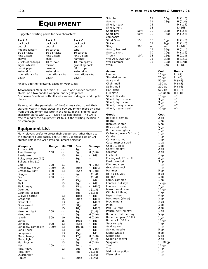#### **-20- MICROLITE74 SWORDS & SORCERY 2E**

# **EQUIPMENT**

Suggested starting packs for new characters:

| Pack A             | Pack B             | Pack C             |
|--------------------|--------------------|--------------------|
| backpack           | backpack           | backpack           |
| bedroll            | bedroll            | bedroll            |
| hooded lantern     | 10 torches         | tent               |
| 10 oil flasks      | 10 oil flasks      | 10 torches         |
| flint & steel      | flint & steel      | flint & steel      |
| shovel             | chalk              | hammer             |
| 2 sets of caltrops | 10 ft. pole        | 10 iron spikes     |
| signal whistle     | mirror             | grappling hook     |
| pen & paper        | crowbar            | 50 ft. rope        |
| water skin         | water skin         | water skin         |
| iron rations (four | iron rations (four | iron rations (four |
| days)              | days)              | days)              |

Finally, add the following, based on your Class:

**Adventurer:** Medium armor (AC +4), a one handed weapon + shield, or a two handed weapon, and 5 gold pieces **Sorcerer:** Spellbook with all spells known, a dagger, and 5 gold pieces

Players, with the permission of the GM, may elect to roll their starting wealth in gold pieces and buy equipment piece by piece from the equipment list later in the rules. If this is done, each character starts with  $120 + (3d6 \times 5)$  gold pieces. The GM is free to modify the equipment list to suit the starting location in his campaign.

#### **Equipment List**

Many players prefer to select their equipment rather than use the standard quick packs. The GM may use these lists or GM created lists if the GM allows equipment selection.

| Weapons              | Range | <b>MinSTR</b> | Cost             | Damage   |
|----------------------|-------|---------------|------------------|----------|
| Arrows (20)          |       |               | 1gp              |          |
| Axe, throwing        | 10ft  | --            | 8qp              | M (1d6)  |
| Battle axe           |       | 13            | 10gp             | H (1d8)  |
| Bolts, crossbow (10) |       | $-1$          | 1gp              |          |
| Bullets, sling (10)  |       | $-1$          | 1sp              |          |
| Club                 | 10ft  | 11            |                  | M (1d6)  |
| Crossbow, heavy      | 100ft | 15            | 50gp             | H (1d10) |
| Crossbow, light      | 80ft  | 13            | 35 <sub>gp</sub> | M (1d8)  |
| Dagger               | 20ft  | $-1$          | 2qp              | L(1d4)   |
| Dart                 | 20ft  | $-$           | 5sp              | L(1d4)   |
| Falchion             |       | 11            | 75gp             | H(2d4)   |
| Flail                |       | 13            | 8gp              | H (1d8)  |
| Flail, heavy         |       | 13            | 15gp             | H (1d10) |
| Gauntlet             |       | $-$           | 2gp              | L(1d3)   |
| Gauntlet, spiked     |       | $-1$          | 5gp              | L(1d4)   |
| Glaive-gisarme       |       | 13            | 18gp             | H (1d8)  |
| Great axe            |       | 15            | 20gp             | H (1d12) |
| Great club           |       | 13            | 5gp              | H (1d10) |
| Greatsword           |       | 17            | 50gp             | H(2d6)   |
| Halberd              |       | 15            | 10gp             | H (1d10) |
| Hammer, light        | 20ft  | $-1$          | 1gp              | L(1d4)   |
| Hand axe             |       | $-$           | 6gp              | M (1d6)  |
| Javelin              | 30ft  | 10            | 1gp              | M (1d6)  |
| Lance                |       | 15            | 10gp             | H (1d8)  |
| Longbow              | 90ft  | 13            | 75gp             | H (1d8)  |
| Longbow, composite   | 100ft | 13            | 100gp            | H (1d8)  |
| Long Spear           |       | 13            | 5gp              | H (1d8)  |
| Longsword            |       | 13            | 15gp             | H (1d8)  |
| Mace, heavy          |       | 13            | 12gp             | M (1d8)  |
| Mace, light          |       | $-1$          | 5gp              | L(1d6)   |
| Morningstar          |       | 13            | 8gp              | M (1d8)  |
| <b>Net</b>           | 10ft  | $-1$          | 20gp             |          |
| Pick, heavy          |       | 13            | 8gp              | M (1d6)  |
| Pick, light          |       | - -           | 4gp              | L(1d4)   |
| Quarterstaff         |       | $-$           |                  | L (1d6)  |
| Rapier               |       | 11            | 20gp             | L (1d6)  |

| Scimitar<br>Scythe<br>Shield, heavy<br>Shield, light<br>Short bow<br>Short bow,                                                                                                                                                                                                                                                                                                                                                                                                                                                                                                                                                                                                                                                                                                                                                                 | 50ft<br>60ft         | 11<br>11<br>15<br>13<br>10<br>10                      | 15gp<br>18gp<br>30gp<br>75gp                                                                                                                                                                                                                                                                                                                                                                           | M (1d6)<br>H (2d4)<br>M (1d4)<br>L (1d3)<br>M (1d6)<br>M (1d6)                                                                           |
|-------------------------------------------------------------------------------------------------------------------------------------------------------------------------------------------------------------------------------------------------------------------------------------------------------------------------------------------------------------------------------------------------------------------------------------------------------------------------------------------------------------------------------------------------------------------------------------------------------------------------------------------------------------------------------------------------------------------------------------------------------------------------------------------------------------------------------------------------|----------------------|-------------------------------------------------------|--------------------------------------------------------------------------------------------------------------------------------------------------------------------------------------------------------------------------------------------------------------------------------------------------------------------------------------------------------------------------------------------------------|------------------------------------------------------------------------------------------------------------------------------------------|
| composite<br><b>Short Spear</b><br>Sickle<br>Sling<br>Sword, bastard<br>Sword, short<br>Trident<br>War Axe, Dwarven<br>War Hammer<br>Whip                                                                                                                                                                                                                                                                                                                                                                                                                                                                                                                                                                                                                                                                                                       | 15ft<br>50ft<br>10ft | 10<br>11<br>$- -$<br>15<br>10<br>13<br>15<br>13<br>-- | 1gp<br>6gp<br>$\overline{\phantom{0}}$<br>35gp<br>10gp<br>15gp<br>30gp<br>12gp<br>1gp                                                                                                                                                                                                                                                                                                                  | M (1d6)<br>M (1d6)<br>L (1d4)<br>H (1d10)<br>M (1d6)<br>H (1d8)<br>H (1d10)<br>H (1d8)<br>L (1d3)                                        |
| Armor<br>Leather<br>Studded leather<br>Scale mail<br>Chain mail<br>Splint mail<br>Half-plate<br>Full plate<br>Shield, Buckler<br>Shield, light wooden<br>Shield, light steel<br>Shield, heavy wooden<br>Shield, heavy steel                                                                                                                                                                                                                                                                                                                                                                                                                                                                                                                                                                                                                     |                      |                                                       | Cost<br>10 gp<br>25 gp<br>50 gp<br>150 gp<br>200 gp<br>600 gp<br>1,500 gp<br>15 gp<br>3 gp<br>9 gp<br>7 qp<br>20 gp                                                                                                                                                                                                                                                                                    | <b>Bonus</b><br>$L (+2)$<br>$L (+3)$<br>M $(+4)$<br>$M (+5)$<br>$M (+6)$<br>$H (+7)$<br>$H (+8)$<br>$+1$<br>$+1$<br>$+1$<br>$+2$<br>$+2$ |
| Goods<br>Backpack (empty)<br>Bedroll<br>Blanket, winter<br><b>Block and tackle</b><br>Bottle, wine, glass<br>Caltrops (covers 5 ft. sq.)<br>Candle<br>Canvas (sq. yd.)<br>Case, map or scroll<br>Chalk, 1 piece<br>Chest (empty)<br>Crowbar<br>Fishhook<br>Fishing net, 25 sq. ft.<br>Flask (empty)<br>Flint and steel<br>Grappling hook<br>Hammer<br>Ink (1 oz. vial)<br>Inkpen<br>Lamp, common<br>Lantern, bullseye<br>Lantern, hooded<br>Mirror, small steel<br>Oil (1-pint flask)<br>Paper (sheet)<br>Parchment (sheet)<br>Pick, miner's<br>Piton<br>Pole, 10-foot<br>Pouch, belt (empty)<br>Rations, trail (per day)<br>Rope, hempen (50 ft.)<br>Rope, silk (50 ft.)<br>Sack (empty)<br>Sealing wax<br>Sewing needle<br>Signal whistle<br>Signet ring<br>Spade or shovel<br>Spyglass<br>Tent<br>Torch<br>Vial, ink or potion<br>Water skin |                      |                                                       | Cost<br>$2$ gp<br>1 sp<br>5 sp<br>5 gp<br>$2$ gp<br>$1$ gp<br>1 cp<br>1 sp<br>$1$ gp<br>1 cp<br>2 gp<br>$2$ gp<br>1 sp<br>4 gp<br>3 cp<br>1 gp<br>1 gp<br>5 sp<br>8 gp<br>1 sp<br>1 sp<br>$12$ gp<br>7 gp<br>10 gp<br>1 sp<br>4 sp<br>2 sp<br>3 gp<br>1 sp<br>2 sp<br>1 gp<br>5 sp<br>1 gp<br>10 gp<br>1 sp<br>1 gp<br>5 sp<br>8 sp<br>5 gp<br>$2$ gp<br>1,000 gp<br>10 gp<br>$1$ cp<br>1 gp<br>$1$ qp |                                                                                                                                          |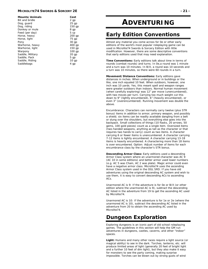#### **MICROLITE74 SWORDS & SORCERY 2E - 21 -**

| Mounts/Animals   | Cost     |
|------------------|----------|
| Bit and bridle   | 2 qp     |
| Dog, guard       | $25$ gp  |
| Dog, riding      | 150 gp   |
| Donkey or mule   | 8 gp     |
| Feed (per day)   | 5 cp     |
| Horse, heavy     | $200$ gp |
| Horse, light     | 75 gp    |
| Pony             | $30$ gp  |
| Warhorse, heavy  | 400 gp   |
| Warhorse, light  | $150$ gp |
| Warpony          | 100 gp   |
| Saddle, Military | $20$ gp  |
| Saddle, Pack     | $5$ gp   |
| Saddle, Riding   | $10$ gp  |
| Saddlebags       | 4 gp     |

### **ADVENTURING**

### **Early Edition Conventions**

Almost any material you come across for 0e or other early editions of the world's most popular roleplaying game can be used in *Microlite74 Swords & Sorcery Edition* with little modification. However, there are some descriptive conventions that early editions used that may need explanation.

**Time Conventions:** Early editions talk about time in terms of rounds (combat rounds) and turns. In 0e,a round was 1 minute and a turn was 10 minutes. In B/X, a round was 10 seconds and a turn was 10 minutes, so there were 60 rounds in a turn.

**Movement/Distance Conventions:** Early editions gave distances in inches. When underground or in buildings or the like, one inch equaled 10 feet. When outdoors, however, one inch was 10 yards. Yes, this meant spell and weapon ranges were greater outdoors than indoors. Normal human movement (when carefully exploring) was 12" per move (unencumbered), with two moves per turn. Carrying too much weight cut this down to 9" (lightly encumbered), 6" (heavily encumbered), or even 3" (overencumbered). Running movement was double the above.

*Encumbrance:* Characters can normally carry twelve (plus STR bonus) items in addition to armor, primary weapon, and possibly a shield; six items can be readily available dangling from a belt or slung over the shoulders, but everything else goes into the backpack. Small collections of things (10 flasks, 20 arrows, 50 gems, 100 gold pieces) count as a single item. Oversized items (two-handed weapons, anything as tall as the character or that requires two hands to carry) count as two items. A character carrying 6 or fewer items is unencumbered. A character carrying 7-12 items is lightly encumbered. A character carrying 13-18 items is heavily encumbered. A charactering more than 18 items is over-encumbered. *Option:* Adjust number of items for each encumbrance class by the character's STR bonus.

**Descending Armor Class:** Early editions used a descending Armor Class system where an unarmored character was AC 9 (AC 10 in some editions) and better armor used lower numbers (e.g. AC 5 was Chain, AC 2 was plate). Magic armor could even have a negative armor class. *Microlite74* uses the ascending Armor Class system used in the OGL SRD. If you have old adventures using the original descending AC system and wish to use them, it is easy to convert descending ACs to ascending ACs.

*Unarmored AC is 9:* If the adventure is for 0e or B/X (or other edition where the unarmored AC is 9), subtract the descending AC listed in the adventure from 19 to get the ascending AC used by *Microlite74*.

*Unarmored AC is 10:* If the adventure is for 1e or 2e (where the unarmored AC is 10), subtract the descending AC listed in the adventure from 20 to obtain the ascending AC used by *Microlite74*.

### **Dungeon Exploration**

Exploring dungeons is an iconic part of old school roleplaying games. The guidelines in this section will help the GM run adventures in dungeons, castles, caverns, and other "indoor" spaces.

**Light:** Humans and many other races require a light source (or magical ability) to see in the dark. Torches, lanterns, etc. will produce limited areas of light (generally 20 feet of bright light and a further 10 feet of dim light), but they also make it easy for monsters to see the party coming, making surprise impossible. Torches can be blown out by strong gusts of wind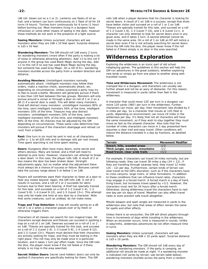(d6 roll: blown out on a 1 or 2). Lanterns use flasks of oil as fuel, and a lantern can burn continuously on 1 flask of oil for 24 turns (4 hours). Torches burn continuously for 6 turns (1 hour) before burning out. Most monsters living in a dungeon have infravision or some other means of seeing in the dark; however these methods do not work in the presence of a light source.

**Seeing Monsters:** Unless surprised, characters will see monsters when they are 2d6 x 10 feet apart. Surprise distance is 1d3 x 10 feet.

**Wandering Monsters:** The GM should roll 1d6 every 2 turns for wandering monsters (more often if the party is making a lot of noise or otherwise attracting attention). Add +2 to this roll if anyone in the group has used Black Magic during the day. Add +1 to this roll if no one has used Black Magic during the day, but someone has used Gray Magic. On a roll of 6+, wandering monsters stumble across the party from a random direction and distance.

**Avoiding Monsters:** Unintelligent monsters normally automatically attack. Intelligent monsters may follow their orders, make a reaction check, automatically attack, etc. depending on circumstances. Unless surprised a party may try to flee to avoid a battle. Monsters will generally pursue if there is less than 120 feet between the two groups. Monsters will only pursue around a corner or through a door on roll of 1 or 2 on a d6 (1 if a secret door is used). Fire will deter many monsters. Food will distract many monsters: unintelligent monsters 90% of the time, semi-intelligent monsters 50% of the time, intelligent monsters 10% of the time. Treasure may also distract monsters: unintelligent monsters 10% of the time, semiintelligent monsters 50% of the time, and intelligent monsters 90% of the time. All chances may be adjusted by the GM depending on circumstances. These same rules determine how monsters will pursue if the characters disengage and retreat (or rout) from a battle.

**Rest:** One turn in six must be sent in rest or all characters suffer a -1 to all d20 rolls and to damage rolls per rest missed. Time spent searching is not time spent resting.

**Doors:** Dungeons often have many doors, some secret and others obvious. Many are locked, and a thief will need to attempt to pick locks. However, characters can attempt to break a door down. In this case, the player rolls 1d6. A result of 2 or less means the door has been broken down. Strength adjustments apply, but no matter what the adjustment there must always be a chance of success or failure. Bonuses cannot take the success range above 5 or below 1 on 1d6.

Players will sometimes want their character to listen at a door to hear any noises beyond. Again, the GM rolls 1d6. A roll of 1 results in success, and a roll of 1 or 2 succeeds for demihumans due to their keen hearing. A thief has specially trained for this task, and succeeds on a roll of 1-2 (Level 1-4), 1-3 (Level 5-8), 1-4 (Level 9-12), and 1-5 (Level 13+). This attempt may only be made one time at any door by a character. Note that some creatures, such as undead, do not make noise.

**Traps and Trap Detection:** A trap will usually spring on a d6 roll of 1 or 2 when a character passes over or by them or otherwise triggers them.

Characters of all classes can search for non-magical traps. All characters except dwarves and thieves can succeed in spotting a trap on a roll of 1 on 1d6. Dwarves succeed on a roll of 1 or 2 on 1d6. Thieves are specially trained for this task, and succeed on a roll of 1-2 (Level 1-4), 1-3 (Level 5-8), 1-4 (Level 9-12), and 1-5 (Level 13+). Players must declare that their characters are actively looking for traps, and they must be looking in the right place. This roll may only be made once in a particular location, and it takes 1 turn per effort made. Since the GM rolls the dice, the player never know if the roll failed or if there simply is no trap in the area searched.

**Secret/Hidden Doors:** Secret (and hidden) doors can only be spotted if characters are specifically looking for them. The GM

rolls 1d6 when a player declares that his character is looking for secret doors. A result of 1 on 1d6 is a success, except that elves have better vision and succeed on a roll of 1 or 2 on 1d6. Thieves are specially trained for this task, and succeed on a roll of 1-2 (Level 1-6), 1-3 (Level 7-10), and 1-4 (Level 11+). A character can only attempt to look for secret doors once in any given area, and it takes 1 turn. A second attempt cannot be made in the same area. On a roll of 1 on 1d6 an Elf will notice a secret door even if he is not actively searching for secret doors. Since the GM rolls the dice, the player never know if the roll failed or if there simply is no door in the area searched.

### **Wilderness Exploration**

Exploring the wilderness is an iconic part of old school roleplaying games. The guidelines in this section will help the GM run adventures in the great outdoors, whether exploring new lands or simply go from one place to another along welltravelled routes.

**Time and Wilderness Movement:** The wilderness is not cramped like in a dungeon, and characters can usually see further ahead and not be as wary of obstacles. For this reason, movement is measured in yards rather than feet in the wilderness.

A character that could move 120' per turn in a dungeon can move 120 yards (360') per turn in the wilderness. Further, characters can move, per day, their movement rate divided by 5 in miles per day. So a character that moves at 120 (feet or yards, depending on environment) can move 24 miles in the wilderness per day. It's likely that not all characters will have the same movement, so if they wish to stay together they must move as fast as the slowest character. Also note that the number of miles characters can move in 1 day presented here assumes a clear trail and easy travel. Other conditions will reduce the distance traveled in a day by fractions, as detailed below.

| Terrain                         | <b>Movement Modifier</b> |
|---------------------------------|--------------------------|
| Desert, hills, wooded areas     | $-1/3$                   |
| Thick jungle, swamps, mountains | $-1/2$                   |
| Road travel, clear wide trails  | $+1/2$                   |

For example, if characters can travel 24 miles normally, but are following roads, they can travel 36 miles a day  $(24 + 12)$ . If they are traveling through swampy land, they travel 12 miles (24 – 12) per day. Furthermore, certain kinds of terrain can slow travel at the GM's discretion, such as if the characters have to cross canyons, large rivers, or other formations. In addition to these conditions that can influence travel rates, characters may engage in a forced march. A forced march is a day of hard, tiring travel, but increases travel speed by +1/2. However, the characters must rest for 24 hours after a forced march. Otherwise, during wilderness travel the characters have to rest one day per six days of travel. Weather can also affect travel rates or even prevent safe travel altogether.

Missile weapon and spell ranges are measured in yards in the wilderness also, but note that areas of effect remain the same for spells and other effects.

Unless there is an encounter, the GM will direct players through time in increments of days while traveling in the wilderness. When an encounter occurs, time is measured in rounds. Unlike in labyrinths, wilderness adventures do not often measure time in turns.

**Seeing Monsters:** Unless surprised, characters will see monsters when they are 4d6 x 10 yards apart. Surprise distance is 1d3 x 10 yards.

**Wandering Monsters:** The GM should roll 1d6 every day of travel for wandering monsters. If the party is camping, an additional roll should be made at night. If a wandering monster is indicated (roll varies by terrain, see terrain table below), wandering monsters stumble across the party from a random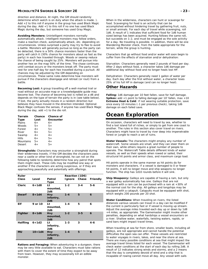#### **MICROLITE74 SWORDS & SORCERY 2E - 23 -**

direction and distance. At night, the GM should randomly determine which watch is on duty when the attack is made. ). Add +2 to this roll if anyone in the group has used Black Magic during the day. Add +1 to this roll if no one has used Black Magic during the day, but someone has used Gray Magic.

**Avoiding Monsters:** Unintelligent monsters normally automatically attack. Intelligent monsters may follow orders, make a reaction check, automatically attack, etc. depending on circumstances. Unless surprised a party may try to flee to avoid a battle. Monsters will generally pursue so long as the party can be detected, there is a 50% chance monsters faster than the party will catch it (30% chance for monsters about as fast as the party) in each hex traveled through. Woods or swamp reduce the chance of being caught by 25%. Monsters will pursue into another hex on the map 50% of the time. The chase continues until combat occurs or the monsters break off. The party must rest for one-half day for each hex travelled during a pursuit. All chances may be adjusted by the GM depending on circumstances. These same rules determine how monsters will pursue if the characters disengage and retreat (or rout) from a battle.

**Becoming Lost:** A group travelling off a well-marked trail or road without an accurate map or a knowledgeable guide may become lost. The chance of becoming lost is rolled on a d6 and depends on the type of terrain the party is in (see table below). If lost, the party actually moves in a random direction but believes they have moved in the direction intended. Optional: Black Magic confuses the senses, if anyone has used Black Magic during the day, add +1 to the die roll.

| <b>Terrain</b><br><b>Type</b> | Chance<br>Lost | <b>Chance of</b><br>Encounter |
|-------------------------------|----------------|-------------------------------|
| Plains                        | 6+             | 6+                            |
| Woods                         | 5+             | $5+$                          |
| Forest                        | $4+$           | $5+$                          |
| River                         | 6+             | $5+$                          |
| Swamp                         | $4+$           | $4+$                          |
| <b>Hills</b>                  | 6+             | 5+                            |
| Mountains                     | $5+$           | $4+$                          |
| Desert                        | $4+$           | 5+                            |

**Strongholds:** Characters may encounter a stronghold during their wilderness travels. If the GM decides the characters pass near a castle or other kind of stronghold, he can roll on the following table to randomly determine how any patrol that spots them might react. These rolls may be modified one way or another if the characters are acting suspicious, or if they are approaching peacefully and potentially with offerings.

| Ruler          |            |                                       | Reaction (1D6) |         |          |
|----------------|------------|---------------------------------------|----------------|---------|----------|
| <b>Class</b>   | Level      | Patrol<br>Type                        | Ignore Chase   |         | Friendly |
| Cleric         | $6 + 1d8$  | Lt<br>mounted,<br><b>2d6</b>          | $1 - 2$        | $3 - 4$ | 5-6      |
| <b>Dwarf</b>   | $8 + 1d4$  | <b>Hvy</b><br>infantry,<br><b>2d6</b> | $1 - 4$        | 5       | 6        |
| <b>Elf</b>     | 9 or 10    | Lt<br>mounted,<br><b>2d6</b>          | $1 - 4$        | 5       | 6        |
| <b>Fighter</b> | $8 + 1d6$  | <b>Hvy</b><br>mounted,<br><b>2d6</b>  | $1 - 2$        | $3 - 5$ | 6        |
| Halfling       | $6 + 1d2$  | Lt<br>infantry,<br><b>2d6</b>         | $1 - 3$        | 3       | $4 - 6$  |
| <b>MU</b>      | $10 + 1d4$ | <b>Hvy</b><br>infantry,<br><b>2d6</b> | $1 - 4$        | 5       | 6        |

**Rations and Foraging:** When adventuring in a dungeon, there may be very little available to eat. Characters must take rations with them to cover the extent of time they expect to be away from town. However, they may occasionally kill an edible monster.

Characters that go without food and/or water will soon begin to suffer from the effects of starvation and/or dehydration:

*Starvation:* Characters generally need 2 pounds of food per day. After 2 days without food, a character takes 1d6 damage per additional day without food and no longer heals lost HP.

*Dehydration:* Characters generally need 1 gallon of water per day. Each day after the first without water, a character loses 25% of his full HP in damage (and can no longer heal).

#### **Other Hazards**

**Falling:** 1d6 damage per 10 feet fallen, save for half damage. **Spikes:** add +1 point to falling damage per 10' fallen, max +10 **Extreme Heat & Cold**: If not wearing suitable protection, save once every 10 minutes (-1 per previous check), taking 1d6 damage on each failed save.

### **Ocean Exploration**

On occasion, characters will need to travel by sea, whether to find a lost island full of riches, or simply to get from one coast to another. The rules in this section also cover travel on rivers. Characters might have to travel by river deep into impenetrable forest or jungle to reach a set of ruins.

**Water Vessels:** The characters might employ any number of watercraft. Some vessels are small, and they can steer them on their own, while others require a great number of people to operate. The Watercraft Table details different kinds of water vessels, as well as their speeds when rowed or sailed, their structural hit points and armor class, and maximum cargo load.

Hit points operate in the same manner as hit points do for monsters and characters. If a vessel is damaged to 0 or fewer hit points, it will no longer move and ship weapons no longer function. The ship has 1d10 rounds before it will sink.

**Ship Weaponry:** Galleys are capable of having a ram, but only a war galley automatically has one. Galleys that are not equipped with a ram can be purchased with a ram at +30% of the normal cost for the ship. All galleys and longships may be equipped with a catapult. Catapults must be equipped with shot, which weighs 200 pounds per 20 shot.

**Water Conditions:** When traveling on rivers, the listed distances various vessels can travel in a day can be modified if the current is particularly fast or if vessel is moving up stream. Adjust the average miles traveled each day up or down by 1d8 +4 miles, as appropriate. The Gamemaster might invoke other penalties, depending on what hardships a vessel encounters on a river. Shallow water, waterfalls, twisting waters, rapids, or sand bars might impact travel times.

When traveling at sea far from shore, smaller boats, including all galleys, are not appropriate and cannot handle the potential difficulties the open sea can offer. These vessels are restricted to water voyages in rivers, lakes, and near the shore at sea. There are many possible conditions at sea that might impact the average travel times listed for each vessel. The Gamemaster will check water conditions at the start of each day by rolling 2d6. A result of 12 indicates strong winds and storms, and a 2 means that the day is completely devoid of wind and a ship that is incapable of rowing cannot move all day. Any vessel with sails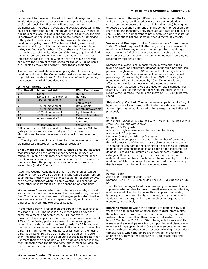can attempt to move with the wind to avoid damage from strong winds. However, this may not carry the ship in the direction of preferred travel. The direction will be chosen by the Gamemaster. The vessel travels at the average speed x3. If the ship encounters land during this travel, it has a 25% chance of finding a safe place to hide along the shore. Otherwise, the ship is destroyed on the shore, by landing too fiercely or otherwise hitting shallow waters and rocks. In these windy, stormy conditions a galley has an 80% chance of being overrun with water and sinking. If it is near shore when the storm hits, a galley can find a safe harbor 100% of the time if the shore relatively clear of physical dangers. Otherwise, a galley will find a safe harbor on a roll of 1 or 2 on 1d6. Note that if the roll indicates no wind for the day, ships that can move by rowing can move their normal rowing speed for the day. Sailing ships are unable to move significantly under these conditions.

The system outlined above is a simple system for deciding conditions at sea. If the Gamemaster desires a more detailed set of guidelines, he should roll 2d6 at the start of each game day and consult the Wind Conditions table.

#### **Wind Conditions Table**

| <b>Roll Result</b> | Movement Adj.           | <b>Wind Conditions</b>  |
|--------------------|-------------------------|-------------------------|
| $2 - 4$            | <b>None</b>             | Normal                  |
| 5                  | No sailing, -2/3 rowing | No wind                 |
| 6                  | -2/3 all movement       | Slightly<br>unfavorable |
|                    | -1/2 all movement       | Unfavorable             |
| 8                  | -1/3 all movement       | Greatly unfavorable     |
| 9                  | +1/3 all movement       | Light favorable         |
| 10                 | +1/2 all movement       | Medium favorable        |
| 11                 | All movement x2*        | Extremely               |
|                    |                         | favorable               |
| 12                 | All movement x3**       | Fierce wind             |

\*All ships have a 10% probability of taking on water (20% for galleys), which will incur a penalty of –1/3 to movement. The ship will need to seek maintenance at a dock to remove the water.

\*\*The ship will travel in a random direction determined at the Gamemaster's discretion, as discussed previously.

**Encounters at Sea:** Monsters can surprise a ship, but because monsters native to the water cannot generally be seen, or "sneaked up on," a ship may never surprise a monster. When the Gamemaster rolls for a random encounter, the distance the monster is from the group is the same as in other wilderness encounters (4d6 x10 yards).

Assuming weather conditions are normal, other ships can be seen when up to 300 yards away and land can be seen from up to 24 miles. These visibility distances could be reduced by 90% their normal distance when in harsh weather or dense fog, or some other penalty might be used depending on conditions.

**Waterborne Chases:** When two waterborne vessels, or a ship and a monster, encounter one another, one party may choose to flee. The distance between each of the groups is determined as a normal encounter. Success depends entirely on luck and the difference between the two groups speeds.

If the fleeing party is faster than the pursuer, the base chance of escape is 80%. The base is 50% if both parties have the same movement, and decreases by 10% for every 30' movement the escapee is slower than the pursuer (minimum of 10%). If the fleeing party is successful, the pursuing group cannot try to catch up with the fleeing party for 24 hours, and then only if a random encounter roll indicates an encounter. If a party fails their roll to flee, the pursuer will gain on the fleeing party at a rate of 10 yards per round if the pursuer is slower than the other party or if the pursuer's speed is no greater than 30' more than the fleeing party. If the pursuer's speed is more than 30' faster than the fleeing party, the pursuer will gain on the fleeing party at a rate equal to the pursuer's speed per round.

**Waterborne Combat:** Time and movement functions in the same way in water combat as it does in other encounters.

#### **-24- MICROLITE74 SWORDS & SORCERY 2E**

However, one of the major differences to note is that attacks and damage may be directed at water vessels in addition to characters and monsters. Structural hit points (shp) belonging to vessels are slightly different than hit points (hp) belonging to characters and monsters. They translate at a rate of 1 to 5, or 1 shp = 5 hp. This is important to note, because some monster or spell descriptions list shp damage when directed at vessels.

**Vessels and Damage:** It takes 5 crewmembers 1 turn to repair 1 shp. This task requires full attention, so any crew involved in repair cannot take any other action during a turn repairing a vessel. Only half of all damage sustained to a ship can be repaired at sea by the crew, the remaining damage can only be repaired by facilities at dock.

Damage to a vessel also impacts vessel movement, due to taking on water and structural damage influencing how the ship passes through water. In 10% increments of damage to shp maximum, the ship's movement will be reduced by an equal percentage. For example, if a ship loses 20% of its shp, its movement will also be reduced by 20%. Movement is also affected in a similar manner when the number of rowers is reduced, such as when rowers are used to repair damage. For example, if 10% of the number of rowers are being used to repair vessel damage, the ship can move at –10% of its normal speed.

**Ship-to-Ship Combat:** Combat between ships is usually fought by either catapults or rams, both of which are detailed below. Some ships may be equipped with these weapons, as indicated previously.

#### Catapult

*Rate of fire:* variable; 1/5 rounds with 4 crew; 1/8 rounds with 3 crew; 1/10 rounds with 2 crew *Range:* 150-300 yards *Attacks as:* Fighter level equal to crew number firing Area effect: 10' square *Damage:* 3d6 shp or 1d6 shp fire per turn Catapults can be operated by a variable number of crew, and this will affect rate of fire and attack ability as indicated above. The standard 3d6 damage reflects firing a solid missile. Burning damage from combustible loads and pitch do the indicated fire damage. In takes a minimum of 5 crewmembers 3 turns to extinguish flames caused by a fire attack. For every five additional crewmembers, this time can be reduced by 1 turn to a minimum of 1 turn. A catapult cannot be used to attack a ship

#### Ram

*Range:* Touch *Attacks as:* Monster of under 1 HD

that is closer than the minimum range indicated.

*Damage:* (1d4 +4) x10 shp or 3d8 hp; (1d6+5) x10 shp or 6d6 hp

The different damages listed for a ram apply as follows. The first shp value listed applies to rams on small vessels when attacking another vessel. The first hp value listed applies to attacking large aquatic monsters. Similarly, the second damage values apply to rams on larger ships to other ships or large aquatic monsters, respectively.

**Boarding Vessels:** When the occupants of both side-by-side vessels wish to board one another, their mutual intent makes the action succeed with no chance of failure. If only one side wishes to board the other, then the side that wishes to board has a 35% chance (1-35 on d00) of being able to successfully maneuver the two ships to a boarding position and clamp them together with grappling hooks. Once crewmembers come into contact with one another, combat ensues following the standard combat rules. When characters are in the act of boarding another ship, they suffer a penalty of –2 to attack rolls and armor class.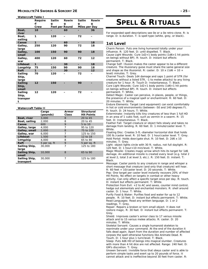#### **MICROLITE74 SWORDS & SORCERY 2E - 25 -**

#### **Watercraft Table I**

|                                   | Require      | <b>Sailin</b>  | Rowin | <b>Sailin</b> | Rowin |
|-----------------------------------|--------------|----------------|-------|---------------|-------|
|                                   | d            | g              | g     | g             | g     |
|                                   | Crew         | Feet per Round |       | Miles per Day |       |
| Boat,                             | 10           |                | 60    |               | 36    |
| river                             |              |                |       |               |       |
| Boat,<br>sailing                  | 1            | 120            |       | 72            |       |
| Canoe                             | 1            |                | 60    |               | 18    |
| Galley,<br>large                  | 250          | 120            | 90    | 72            | 18    |
| Galley,<br>small                  | 100          | 150            | 90    | 90            | 18    |
| Galley,<br>war                    | 400          | 120            | 60    | 72            | 12    |
| Lifeboat                          | $\mathbf{1}$ |                | 30    | -             | 18    |
| Longship                          | 75           | 150            | 90    | 90            | 18    |
| Raft                              | $\mathbf{1}$ |                | 30    |               | 12    |
| Sailing<br>Ship,<br>large         | 70           | 120            |       | 72            |       |
| <b>Sailing</b><br>Ship,<br>small  | 12           | 150            |       | 90            |       |
| Sailing<br>Ship,<br>transpor<br>t | 12           | 120            |       | 72            |       |

#### **Watercraft Table II**

|                            | Cargo<br>(pounds) | Armor<br>Class | <b>Structural</b><br><b>Hit Points</b> |
|----------------------------|-------------------|----------------|----------------------------------------|
| Boat, river                | 3,000             | 8              | 20 to 45                               |
| Boat, sailing              | 2,000             | 8              | 20 to 45                               |
| Canoe                      | 600               | 9              | 5 to 10                                |
| Galley, large              | 4,000             | 7              | 95 to 120                              |
| Galley, small              | 2,000             | 8              | 75 to 100                              |
| Galley, war                | 6,000             | 7              | 125 to 150                             |
| Lifeboat                   | 1,500             | 9              | 12 to 18                               |
| Longship                   | 4,000             | 8              | 65 to 80                               |
| Raft                       | 5 per sq. ft      | 9              | 5 per sq. ft                           |
| Sailing Ship,<br>large     | 30,000            | 7              | 125 to 180                             |
| Sailing Ship,<br>small     | 10,000            | 8              | 65 to 90                               |
| Sailing Ship,<br>transport | 30,000            | 7              | 125 to 180                             |

### **SPELL & RITUALS**

For expanded spell descriptions see 0e or a 0e retro-clone. R: is range. D: is duration. T: is spell type (white, grey, or black).

#### **1st Level**

*Charm Person:* Puts one living humanoid totally under your influence. R: 120 feet. D: until dispelled. T: Black. *Cause Light Wounds:* Cure 1d2+1 body points (1d6+1 hit points on beings without BP). R: touch. D: instant but effects permanent. T: Black.

*Change Self:* Illusion makes the caster appear to be a different creature. The illusionary guise must share the same general size and shape as the illusionist. R: caster. D: 10 x (1d6 + 10 + level) minutes. T: Grey.

*Charnel Touch*: Deals 1d4 damage and saps 1 point of STR (for creatures without a listed STR, -1 to melee attacks) to any living creature for 1 hour. R: Touch D: Instantaneous. T: Black. *Cure Light Wounds:* Cure 1d2+1 body points (1d6+1 hit points on beings without BP). R: touch. D: instant but effects permanent. T: White.

*Detect Magic:* Caster can perceive, in places, people, or things, the presence of a magical spell or enchantment. R: 60 feet. D: 20 minutes. T: White.

*Endure Elements:* Target (and equipment) can exist comfortably in hot or cold environments (between -50 and 140 degrees F). R: touch. D: 24 hours. T: White.

*Exterminate*: Instantly kills tiny creatures of less than 1 full HD in an area of 1 cubic foot, such as vermin in a swarm. R: 15 feet. D: Instantaneous. T: Black.

*Feather Fall:* Target creature or object falls slowly and takes no damage from landing. R: 60 feet. D: 1 minute/caster level. T: White.

*Floating Disc:* Creates 3-ft.-diameter horizontal disk that holds 100 lb./caster level. R: 10 feet. D: 1 hour/caster level. T: Grey. *Hold Portal:* Holds door/gate shut. R: 10 feet. D: 2d6 x 10 minutes. T: Grey.

*Light:* object lights circle with 30 ft. radius, not full daylight. R: 120 feet. D: 1 hour+10 min/level. T: White.

*Magic Missile:* Creates magic arrow which hits its target for 1d6 damage. An additional missile is created every level (e.g. total 2 at level 2, total 3 at level 3, etc.). R: 150 feet. D: instant. T: Black.

*Message:* Caster points to any creature in range and whisper a short message that creature (and only that creature) will hear. R: 60 feet + 10/caster level. D: 20 seconds. T: White.

*Pep:* One target per caster level instantly recovers 20% of their Hit Points. No effect on targets in combat or other heavy activity. Can only affect a specific target once per day. R: touch.

D: instant but effects permanent. T: White.

*Protection from Evil:* +2 to AC and saves, counter mind control, hedge out elementals and enchanted monsters. R: shell around caster. D: 1 hour. T: White.

*Purify Food & Water:* Purifies food and water for up to 12 people. R: 10 feet. D: instant but effects permanent. T: White. *Read Languages:* Read any written language. D: 1 or 2 readings. T: Grey.

*Repair:* Repairs a broken or torn small object. It does not restore magic. R: 30 feet. D: instant but effects permanent. T: Grey.

*Shield:* Improves caster's armor class to 17 versus missile attack and to 15 versus melee attacks. R: caster. D: 20 minutes. T: White.

*Skeletal Servant*: Causes a single humanoid skeleton to reanimate under your command. At the end of the duration it falls dead again. Apart from the duration and number of affected corpses the spell otherwise functions like *Animate Dead*. R: Touch. D: 1 hour plus 1 turn/level. T: Black.

*Sleep:* Puts 4d6 HD of beings into magical slumber. Creatures with more than 4 hit dice are not affected. Range: 240 feet. D: GM's discretion. T: Grey.

*Unseen Servant:* Invisible force that obeys caster and is able to perform simple tasks and exert up to 20 pounds of force. It cannot attack and is ineffective beyond 30 feet from caster. R: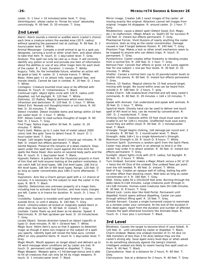caster. D: 1 hour + 10 minutes/caster level. T: Grey. *Ventriloquism:* allows caster to "throw his voice" absolutely convincingly. R: 60 feet. D: 20 minutes. T: Grey.

#### **2nd Level**

*Alarm:* Alarm sounds a mental or audible alarm (caster's choice) each time a creature enters the warded area (20 ft. radius) without speaking the password (set at casting). R: 60 feet. D: 2 hours/caster level. T: White.

*Animal Messenger:* Compels a small animal to go to a spot you designate, carrying a scroll or other small item, and allow others to take that item. R: touch. D: 1 day/caster level. *T: Grey. Analyze:* This spell can only be cast as a ritual. It will correctly identify any potion or scroll and provide one item of information about the abilities or use of any other magic item for each level of the caster. R: 1 foot. Duration: 1 minute: T: White.

*Augury:* Tells, for the immediate future, whether an action will be good or bad. R: caster. D: 1 minute trance. *T: White.* 

*Bless:* Allies gain +1 on attack rolls, saves against fear, and morale checks. Cannot be cast in combat. R: 10 feet. D: 1 hour. T: White.

*Contagion*: Creature touched must save or be afflicted with disease. R: Touch. D: Instantaneous. T: Black.

*Continual Light:* object lights circle with 120 ft. radius until dispelled, not full daylight. R: 120 feet. T: White.

*Darkness, 15' Radius:* Magical darkness which even blocks

infravision and darkvision. R: 120 feet. D: 1 hour. T: White. *Detect Evil:* Reveals evil thoughts/intent or evil items. R: 60

feet. D: 20 minutes. T: White.

*Detect Invisible:* Detect invisible items and beings within 10 feet per caster level. D: 1 hour. T: White.

*ESP:* Allows Caster to read surface thoughts of target. R: 60 feet. D: 2 hours. T: Grey.

*Find Traps:* Notice traps within 30 feet. R: caster. D: 20 minutes. T: White.

*Fool's Gold:* Makes up to 1 cubic foot of metal (about 2000 coins) look like gold. Save to detect fraud. R: touch. D: 1 hour/caster level. T: Grey.

*Forget:* 1d4 targets forget last level/2 (round up) minutes. R: 30 feet. D: instant but effects permanent. T: Black.

*Gentle Repose:* Preserve the remains of a dead creature. Days spent under this spell don't count against the time limit for spells like Raise Dead. Also works on severed body parts and the like. R: touch. D: 1 day/caster level. T: Black.

*Hypnotic Pattern:* A pattern that the Illusionist projects in front of him that will hold anyone looking at the pattern motionless. It can catch 4d6 1st level types, 3d6 2nd level types, 2d6 3rd or 4th level types, 1d6 5th or 6th level types. Range: 120 feet. D: as long as caster concentrates plus 1d6+3 turns afterwards. T: Grey.

*Hypnotism:* Acts like a Charm person spell with a +2 chance of success, it is necessary for the subject to look the caster in the eyes. R: 80 ft. T: Black.

*Identify:* Determines one unknown property of a magic item, including how to activate that function, and how many charges are left. Caster is in trance for duration. R: touch. D: 1 hour. T: Grey.

*Invisibility:* Subject is invisible until spell broken by caster, some outside force, or until it attacks. R: 240 feet. T: Grey.

*Knock:* Unlocks/unbars all locked or magically sealed doors or other door-like barriers. R: 60 feet. D: instant. T: Grey *Levitate:* Caster floats up and down as he desires. Speed: 6 feet/minute. R: 20 feet up/down per level. D: 10 minute/level.

T: Grey. *Locate Object:* Senses direction toward an object (specific or type) D: level minutes. R: 60 + 10/level feet. T: White. *Magic Aura:* Alters item's aura so that it appears to detection magic as though it were non-magical or the subject of a spell you specify. Identify Spell will reveal the false aura. Limited effect on very powerful items. R: touch D: 1 day/caster level. T: Grey.

*Magic Mouth:* Mouth appears on target object and delivers up to 30 word message when conditions set by caster are met. R: touch. D: permanent until triggered or dispelled. T: Grey. *Magic Weapon:* Weapon gains +1 hit/damage bonus and is able to hit all creatures that can only be hit by magic weapons. R: touch. D: 1 minute/caster level. T: Black.

*Mirror Image:* Creates 1d6-1 exact images of the caster, all moving exactly like original. Attackers cannot tell images from original. Images hit disappear. R: around caster. D: 1 hour. T: Grey.

*Misdetection:* cause a detect spell (Detect Good, Evil, Magic, etc.) to malfunction. (Magic Attack vs. Spell's DC for success) R: 120 feet. D: instant but effects permanent. T: Grey.

*Phantasmal Forces:* Vivid illusions of nearly anything the caster envisions, lasts as long as the caster concentrates. Damage caused is real if target believes illusion. R: 240 feet. T: Grey.

*Phantom Trap:* Makes a lock or other small mechanism seem to be trapped to anyone who can detect traps. R: touch: D: permanent. T: Grey.

*Pyrotechnics:* Caster creates either fireworks or blinding smoke from a normal fire. R: 240 feet. D: 1 hour. T: Grey.

*Remove Fear:* Cancels fear effects or gives +4 on saves against fear for one subject + one per four levels. R: 30 feet. D: 10 minutes. T: White.

*Shatter:* Causes a normal item (up to 10 pounds/caster level) to shatter into pieces. R: 60 feet. D: instant but effects permanent. T: Grey.

*Silence, 15' Radius:* Magical silence for 15 feet around target, moving with target. No sound within area can be heard from outside it. R: 180 feet. D: 2 hours. T: grey.

*Snake Charm:* 1d6 snakes/level charmed and will obey caster's commands. R: 60 feet. D: 20 minutes + 1d4 x 10 minutes. T: **Grey** 

*Speak with Animals:* Can understand and speak with animals. R: 30 feet. D: 1 hour. T: White.

*Spectral Hand*: Ghostly hand can be used to deliver one touch spell of 4th level or less, can be moved by concentration. R: 100'. D: 2 rounds/level. T: Grey.

*Stinking Cloud:* Creatures within 20 foot cloud must save or be unable to act for 1d4+1 minutes. Unaffected must save every round they are within cloud. R: 60 feet. D: 1 minute/caster level. T: Black.

*Strangle*: Target begins choking, 1d4 damage per round and -2 to attacks. R: 90 feet. D: 1 round/caster level. T: Black.

*Strength:* Adds 1d6+1 to a single Adventurer's Strength. Maximum Strength is 18. R: touch D: 8 hours. T: White.

*Summon Spirit:* Summons a random spirit from the Spirit Plane. Caster may attack the spirit in an attempt to bind it or the caster may order it to attack another. R: 30 feet. D: instant but effects permanent. T: Grey.

*Sunlight:* object lights circle with 20 ft. radius, full daylight. R: 60 feet. D: 2 hours. T: White.

*Turn Undead:* Sorcerer makes a Magic Attack versus a DC of 10 + twice the Hit Dice of the undead. One undead flees per point over the roll needed. R: 60 feet. D: instant. T: White.

*Wall of Fog:* Creates an opaque wall of rolling, boiling fog with no other effect than blocking vision. Wall lasts as long as caster concentrates on it. R: 160 feet. T: Grey.

*Web:* Sticky webs fill a 10x10x20 foot area. Burning through the webs takes 6+1d4 minutes. Large creatures push through in

14+1d6 minutes. Human-sized creatures take 20+3d6 minutes. R: 30 feet. D: 8 hours. T: Grey.

*Wizard Lock:* Locks door like Hold Portal. Permanent until dispelled. Knock opens without dispelling. Caster can pass through without lifting spell. R: 10 feet. T: Grey.

*Zombie Servant*: Causes a single humanoid corpse to reanimate as a zombie under your command. At the end of the duration it falls dead again. Apart from the duration and number of affected corpses the spell otherwise functions like *Animate Dead*. R: Touch. D: 1 hour plus 1 turn/level. T: Black.

#### **3rd Level**

*Blindness:* Causes the target to become blind (if save failed). R: 120 feet. D: until cancelled by caster or dispelled. T: Black. *Charm Undead*: Makes one undead monster of 3+ hit dice (or 3d6 monsters of less than 3 hit dice) believe they are the caster's strong ally. Save again every level days or when asked to do something obviously against the being's interest. Intelligent undead are likely to resent having this spell used on them. R: 60 feet. T: Black.

*Clairaudience:* Hear at a distance for 2 hours. R: 60 feet. T: Grey.

*Clairvoyance*: See at a distance for 2 hours. R: 60 feet. T: Grey.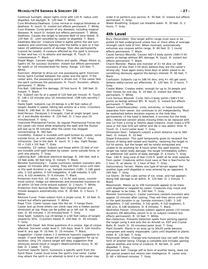#### **MICROLITE74 SWORDS & SORCERY 2E - 27 -**

*Continual Sunlight:* object lights circle with 120 ft. radius until dispelled, full daylight. R: 120 feet. T: White.

*Cure Blindness/Deafness:* Cures normal or magical blindness or deafness. R: touch. D: instant but effects permanent. T: White. *Cure Disease:* Cures person of any diseases, including magical diseases. R: touch D: instant but effects permanent. T: White. *Deafness:* Causes the target to become deaf (if save failed). R: 120 feet. D: until cancelled by caster or dispelled. T: Black. *Deathless Warrior*: Creature killed in battle within the last turn awakens and continues fighting until the battle is won or it has taken 20 additional points of damage, then dies permanently (cannot be raised). A creature affected by this spell is immune to fear and has +1 to attacks and damage. R: Touch. D: Instantaneous. T: Black.

*Dispel Magic:* Cancels magic effects and spells. (Magic Attack vs. Spell's DC for success) Duration: instant but effects permanent for spells or 10 minutes/level for items. Range: 120 feet. T: White.

*Exorcism:* Attempt to drive out one possessing spirit. Exorcism forces Spirit Combat between the caster and the spirit. If the caster wins, the possessing spirit is driven out. If the caster fails the spirit continues the possession. R: Touch. Duration: effects permanent. T: White.

*Fire Ball:* 1d6/level fire damage, 20 foot burst. R: 240 feet. D: instant. T: Black.

*Fly:* Subject can fly at a speed of 120 feet per minute. R: Touch. D: 1d6 x 10 minutes plus 10 minutes/level. (GM rolls secretly.) T: Grey.

*Haste Spell:* Subjects (up 24 beings in a 60 foot radius of target) double in speed, taking two actions at a time. (Counters Slow) R: 240 feet. D: 30 minutes. T: Grey.

*Hold Person:* Paralyzes 1-4 targets. Cast at single target, save at -2 and double duration. R: 120 feet. D: 1 hour plus 10 minutes/level. T: Grey.

*Improved Phantasmal Forces:* As regular Phantasmal Forces but the caster can move while employing the spell and the illusion will last up to 30 minutes after the caster has stopped concentrating. R: 360 feet.

*Invisibility:* Subject is invisible until spell broken by caster, some outside force, or until subject attacks. R: 240 feet. T: Grey.

*Infravision:* See in the dark. R: touch. D: 1 day. Sight Range: 30 + (1d3 x 10) feet. T: Grey.

*Invisibility, 10' radius:* Subject and those within 10 feet of him are invisible until spell broken by caster, some outside force, or until one attacks. T: Grey.

*Lightning Bolt:* 1d6/level electrical damage. R: 240 feet, bolt is 10 feet wide, 60 feet long. D: instant. T: Black.

*Monster Summoning I:* Caster summons random monsters who appear 10 minutes after casting. They will then serve until slain or the spell duration is up. Sample monsters (1d6): 1-1d6 giant rats, 2-1d3 goblins, 3-1d3 hobgoblins, 4-1d6 kobolds, 5-1d3 orcs, 6-1d3 skeletons. D: 6 minutes. T: Black.

*Protection from Evil, 10' radius:* +2 to AC and saves, counter mind control, hedge out elementals and enchanted monsters to all within 10 foot circle around subject. D: 2 hours. T: White. *Protection from Normal Missiles:* Non-magical thrown and missile weapons automatically miss. R: 30 feet. D: 2 hours. T: White.

*Remove Curse:* Frees subject from a single curse. R: 10 feet. D: instant but effects permanent. T: White

*Rope Trick:* Caster tosses rope into the air. It hangs there. Caster and up three others can climb rope into a hidden pocket dimension at top. Rope can be pulled up or left out. R: rope toss. D: 60 minutes + 10 minutes/level. T: Grey

*Slow Spell:* Subjects (up 24 beings in a 60 foot radius of target) slowed by 50%. (Counters Haste) R: 240 feet. D: 30 minutes. T: Grey.

*Speak with Dead:* Ask three questions of a corpse. Age of corpse affected: Sorcerer under level 5: 1d4 days, level 5: 1d4 months, level 6: any age. R: 10 feet. D: 10 minutes. T: Black.

*Suggestion:* Caster makes 1-2 sentence hypnotic suggestion to target. If save failed, target will carry out suggestion for up to duration. Only 1% chance target will obey suggestion that obviously would result in target's death/extreme injury. R: 30 feet. D: 1 week. T: Grey.

*Summon Specific Spirit:* Summons a specific spirit from the Spirit Plane. Caster must know the spirit's true name. Caster may attack the spirit in an attempt to bind it or the caster may order it to perform one service. R: 30 feet. D: instant but effects permanent. T: Grey.

*Water Breathing:* Subject can breathe water. R: 30 feet. D: 2 hours. T: Grey.

#### **4th Level**

*Bury (Reversible)*: One target within range must save or be pulled 10 feet underground unless four or more allies of average strength catch hold of him. When reversed, automatically exhumes any corpses within range. R: 60 feet. D: 1 round, effects permanent. T: Black.

*Cause Serious Wounds:* Causes 3d2+3 body points (3d6+3 hit points on beings without BP) damage. R: touch. D: instant but effects permanent. T: Black.

*Charm Monster:* Makes one monster of 3+ hit dice (or 3d6 monsters of less than 3 hit dice) believe they are the caster's strong ally. Save again every level days or when asked to do something obviously against the being's interest. R: 60 feet. T: **Black.** 

*Confusion:* Subjects (up to 2d6 hit dice, only 4+ HD get save) behave oddly/cannot act effectively. R: 120 feet. D: 2 hours. T: Grey.

*Create Water:* Creates water, enough for up to 24 people and their horses for one day. R: 10 feet. D: instant but effects permanent. T: White.

*Cure Serious Wounds:* Cures 3d2+3 body points (3d6+3 hit points on beings without BP). R: touch. D: instant but effects permanent. T: White.

*Detach Limb(Reversible)*: Limb, extremity, or head touched separates from owner, but continues to act independently. Must be reattached before duration expires or the limb dies permanently (if the head is detached, it survives but the body dies.) Reversed version allows missing limbs to be replaced with one cut from a living or freshly-dead creature, must make a STR save or the new limb will wither and die in two weeks' time. R: Touch. D: 1 turn/caster level. T: Grey.

*Dimension Door:* Teleports subject a short distance (up to 360 feet). D: instant. R: 10 feet.

*Dispel Exhaustion:* This spell temporarily gives its recipient the illusion of being well rested and healthy, restoring the target to full hit points, but the target will be totally exhausted and unable to do anything for 8 hours when the spell expires. If the target has taken body damage, the target immediately suffers an additional 1d2 points of body damage. D: 4 hours. T: Grey. *Fear:* 240 ft. long cone of fear (120 ft. width at far end) extends from caster. Creatures within must save or flee in fear/horror for 1 hour. R: as above. D: 1 hour of fear. T: Grey.

*Hallucinatory Terrain:* Makes one type of terrain appear like another type until dispelled or area entered by an opponent. R: 240 feet. T: Grey.

*Ice Storm:* 30 foot cubic vortex of ice, snow, and hail appears doing 5d6 damage to all within. R: 120 feet. D: 1 minute. T: Black.

*Massmorph:* Makes up to 100 humanoids appear to be trees until dispelled or negated by caster. Creatures may move and still appear to be trees. R: 240 feet. T: Grey.

*Monster Summoning II:* Caster summons random monsters who appear 10 minutes after casting. They will then serve until slain or the spell duration is up. Sample monsters (1d6): 1-1d2

hobgoblins, 2-1d2 zombies, 3-1d2 gnolls, 4-1d2 bugbears, 5- 1d6 orcs, 6-1d6 skeletons. D: 6 minutes. T: Black.

*Neutralize Poison:* Immunizes subject against poison (10 minute duration) OR detoxifies venom in or on subject (instant but effects permanent). R: 10 feet. T: White.

*Non-Detection:* Prevents Detection spells from working against the target using it and acts like an Amulet vs. ESP and Crystal

Balls. R: touch. D: 20 minutes/caster level. T: Grey. *Plant Growth:* Plants in an area up to 30x30 yards become

overgrown and nearly impassable. Lasts until dispelled or plants killed. R: 120 feet. T: Grey.

*Polymorph Others:* Change one humanoid (but not self) into the form of another being. Change is complete and includes gaining special abilities and mind of creature. R: 60 feet. D: until dispelled. T: Grey.

*Polymorph Self:* Change self to form of another being, does not get special powers but retains own intelligence. R: caster only. D: 60 + 60/level minutes. T: Grey.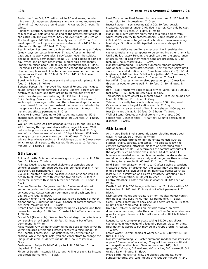*Protection from Evil, 10' radius:* +2 to AC and saves, counter mind control, hedge out elementals and enchanted monsters to all within 10 foot circle around caster. R: caster. D: 2 hours. T: White.

*Rainbow Pattern:* A pattern that the Illusionist projects in front of him that will hold anyone looking at the pattern motionless. It can catch 8d6 1st level types, 6d6 2nd level types, 4d6 3rd or 4th level types, 2d6 5th or 6th level types, or 1d6 7th or 8th level types. D: as long as caster concentrates plus 1d6+3 turns afterwards. Range: 120 feet. T: Grey.

*Reanimation*: Restores life to subject who died as long as 4 days (plus 4 days per caster level over 1) ago. After a number of days equal to two weeks plus 1 day/caster level, the subject begins to decay, permanently losing 1 BP and 1 point of STR per day. When one or both reach zero, subject dies permanently (cannot be raised again). R: touch. D: instantaneous. T: Black. *Seeming:* Like Change Self, except can change the appearance of other people as well. Affected creatures resume their normal appearances if slain. R: 30 feet. D: 10 x  $(1d6 + 10 + level)$ minutes. T: Grey.

*Speak with Plants:* Can understand and speak with plants. R: 30 feet. D: 1 hour. T: White.

*Spectral Forces:* As Improved Phantasmal Forces, but includes sound, smell and temperature illusions. Spectral Forces are not destroyed by touch and they last up to 50 minutes after the caster has stopped concentrating. R: 360 feet. T: Grey. *Spirit Sealing:* Seals a spirit bound to an item to the item. If such a spirit wins ego conflict and the subsequent spirit combat,

it is not freed from the item, instead the owner is controlled by the spirit until a successful remove curse is cast. R: touch. . D: instant but effects permanent. T: Grey

*Sticks to Snakes:* Turns up to 2d8 sticks into serpents. 50% chance each serpent will be venomous. R: 120 feet. D: 1 hour. T: Grey.

*Wall of Fire:* Deals 2d4 fire damage out to 10 ft. and 1d4 out to 20 ft. Passing through wall deals 2d6 damage +1/level. Wall lasts as long as caster concentrates on it. R: 60 feet. T: Grey. *Wall of Ice:* Creates wall of ice with 15 hp +1/level. Wall lasts as long as caster concentrates on it. R: 60 feet. T: Grey. *Wizard Eye:* Allows sending an invisible eye up to 240 feet away which relays all it sees to the caster. Moves up to 12 feet each minute. D: 1 hour. T: Black.

#### **5th Level**

*Animal Growth:* 1d6 normal animals grow to giant size. R: 120 feet. D: 2 hours. T: White.

*Animate Dead:* Create undead skeletons or zombies under control of caster from dead bodies, 1d6 per level over 8. R: GM discretion. D: permanent. T: Black.

*Cloudkill:* creates a moving, poisonous cloud of vapor which is deadly to all creatures with less than five hit dice. 30 feet in diameter, moves with wind or 6 feet per minute. D: 1 hour. T: Black.

*Conjure Elemental:* Conjures one 16 HD elemental who will serve the caster until dispelled/dismissed/caster no longer concentrates. Caster can only summon one of each type in a day. R: 240 feet. T: Black.

*Contact Higher Plane*: Lets Caster ask yes/no question of other planar entity, 1 question per level. Chance of correct answer 5% per level, maximum 95%. T: Black.

*Create Food:* Creates food, enough for up to 24 people and their horses for one day. R: 10 feet. D: instant but effects permanent. T: White.

*Dispel Evil (Reversible):* Works like Dispel Magic, but affects any evil sending or evil spell. R: 30 feet. D: instant but effects permanent. T: White.

*False Vision:* Any divination/scrying magic used to view anything within the area of this spell instead receives a false image (as the Spectral Forces spell), as defined by you at the time of casting. While the spell lasts, you can concentrate to change the image as desired. R: 40 feet radius. D: 1 hour/caster level. T: Grey.

*Feeblemind:* Subject's MIND drops to 1. R: 240 feet. D: until dispelled. T: Grey.

*Finger of Death:* Instantly kills target. R: line of sight. D: instant but effects permanent. T: Black.

*Hold Monster:* As Hold Person, but any creature. R: 120 feet. D: 1 hour plus 10 minutes/level. T: Grey.

*Insect Plague:* Insect swarms (20 x 20x 20 feet) attack creatures. Creatures under 2 HD flee in terror. Can only be cast outdoors. R: 480 feet. D: 1 day. T: White.

*Magic Jar:* Moves caster's spirit/mind to a fixed object from which caster can try to possess others. Magic Attack vs. DC of (10 + MIND bonus + target level or hit dice). New save every level days. Duration: until dispelled or caster ends spell. T: **Black** 

*Mirage:* As Hallucinatory Terrain, except that it enables the caster to make any area appear to be something other than it is. Unlike Hallucinatory Terrain, the spell can alter the appearance of structures (or add them where none are present). R: 240 feet. D: 1 hour/caster level. T: Grey.

*Monster Summoning III:* Caster summons random monsters who appear 10 minutes after casting. They will then serve until slain or the spell duration is up. Sample monsters (1d6): 1-1d4 bugbears, 2-1d2 harpies, 3-1d2 ochre jellies, 4-1d2 wererats, 5- 1d2 wights, 6-1d2 wild boars. D: 6 minutes. T: Black.

*Pass-Wall:* Creates a human-sized passage up to 10 feet long through a wood or stone wall. R: 30 feet. D: 30 minutes. T: Grey.

*Rock-Mud:* Transforms rock to mud or vice-versa, up a 300x300 foot area. R: 120 feet. D: 3d6 days. T: Grey.

*Telekinesis:* Moves object by mental power. Up to 20 pounds per level. R: 120 feet. D: 1 hour. T: Grey.

*Teleport:* Instantly transports subject up to 100 miles/level. Caster must know target location exactly. T: Grey. *Wall of Iron:* creates a wall of iron in any shape. 1000 square feet (3 inches thick). R: 60 feet. D: 2 hours. T: Grey. *Wall of Stone:* Creates a wall of stone in any shape. 1000 square feet (2 inches thick). R: 60 feet. D: until destroyed or dispelled. T: Grey.

#### **6th Level**

*Anti-Magic Shell:* Shell surrounds caster blocking magic both ways. R: caster. D: 2 hours. T: White.

*Animate Object:* "Brings to life" inanimate objects such as statues, chairs, carpets, and tables. The objects follow the caster's commands, attacking his foes or performing other actions on his behalf. GM determines the combat attributes of the objects, such as armor class, speed, hit dice, and hit bonuses as needed as no the object animated. A stone statue would be considerably more study and dangerous than wooden furniture, for example. R: 60 feet. D: 1 hour. T: Grey. *Bind Soul*: Immediately (within 1 turn) after slaying a sentient creature of equal or greater HD, the caster may use this spell to bind a piece of his own spirit to an inanimate object worth at least 50 GP in imitation of a Lich's phylactery, granting him a one-time resurrection. R: Object touched. T: Black *Control Weather:* Caster can adjust weather. D: GM decision. T:

White. *Death Spell:* Kills 2D8 beings with less than 7 hit dice with a 60

foot radius. R: 240 feet. D: instant but effect permanent. T: Black.

*Disintegrate:* Makes one creature or non-magical object vanish, turning it to fine dust. R: 60 feet. D: permanent. T: Black. *Geas:* Force a creature to obey one long-term order. R: 30 feet. D: until order completed. T: Black.

*Invisible Stalker:* Summons an invisible stalker, an extradimensional monster, under the control of the Sorcerer who may give it a single mission which it will carry out until it is finished. T: Black.

*Legend Lore:* A complex process taking 1d100 days allows caster to gain knowledge of a legendry person, place, or thing. Information is accurate but may be in a cryptic form. R: caster. T: White.

*Lower Water*: Lowers bodies of water 50%. R: 240 feet. D: 10 turns. T: Grey.

*Monster Summoning IV:* Caster summons random monsters who appear 10 minutes after casting. They will then serve until slain or the spell duration is up. Sample monsters (1d6): 1-1

gargoyle, 2-1 ogre, 3-1 owlbear, 4-1 shadow, 5-1 werewolf, 6-1 wraith. D: 6 minutes. T: Black.

*Move Earth:* Move small hills, dig ditches and moats, other surface features, etc. Land moves at 6 feet per minute. R: 240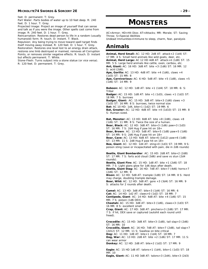#### **MICROLITE74 SWORDS & SORCERY 2E - 29 -**

feet. D: permanent. T: Grey.

*Part Water:* Parts bodies of water up to 10 feet deep. R: 240 feet. D: 1 hour. T: Grey.

*Projected Image:* Project an image of yourself that can sense and talk as if you were the image. Other spells cast come from image. R: 240 feet. D: 1 hour. T: Grey.

*Reincarnation:* Restores dead person to life in a random (usually humanoid) form. R: touch. D: instant. T: Black.

*Repulsion:* Any being trying to move toward spell target finds itself moving away instead. R: 120 feet. D: 1 hour. T: Grey. *Restoration:* Restores one level lost to an energy drain attack, restores one limb destroyed or maimed, removes all Corruption Points, or removes similar negative effects. R: touch. D: instant but effects permanent. T: White.

*Stone-Flesh:* Turns subject into a stone statue (or vice versa). R: 120 feet. D: permanent. T: Grey.

### **MONSTERS**

AC=Armor; HD=Hit Dice; AT=Attacks; MR: Morale; ST: Saving Throw; S=Special Abilities

Undead Immunities=Immune to sleep, charm, fear, paralysis

### **Animals**

**Animal, Herd Small:** AC: 12 HD: 2d8 AT: attack+2 (1d4) ST: 17 MR: 4 S: Small herd animals like wild goats, deer, etc. **Animal, Herd Large:** AC 12 HD 4d8 AT: attack+4 (1d8) ST: 15 MR: 5 S: Large herd animals like cattle, oxen, caribou, etc. **Ant, Giant:** AC: 16 HD: 3d8 AT: bite +3 (1d6) ST: 16 MR: 12 S: acid (2d6).

**Ape, Gorilla:** AC: 13 HD: 4d8 AT: bite +4 (1d6), claws +4 (1d3) ST: 15 MR: 8

**Ape, Carnivorious:** AC: 6 HD: 5d8 AT: bite +5 (1d8), claws +5 (1d6) ST: 14 MR: 9

**Baboon:** AC: 12 HD: 1d8 AT: bite +1 (1d4) ST: 18 MR: 6: S: Tribal

**Badger:** AC: 15 HD: 1d8 AT: bite +1 (1d3), claws +1 (1d2) ST: 18 MR: 7 S: burrows

**Badger, Giant:** AC: 15 HD: 3d8 AT: bite+3 (1d6) claws +3 (1d3) ST: 16 MR: 8 S: burrows, twice normal size **Bat:** AC 10 HD: 1d4, bite+1 (1d2) ST: 19 MR: 6

**Bat, Greater:** AC: 12 HD: 4d8 AT: bite +4 (1d10) ST: 15 MR: 8 S: Human-sized.

**Bat, Monster:** AC: 13 HD: 8d8 AT: bite +8 (2d8), claws +8 (1d6) ST: 11 MR: 8 S: Twice the size of a human. **Bear, Black:** AC: 12 HD: 3d8 AT: bite+3 (1d6) paw+3 (1d3) ST: 16 MR: 7 S: 2d4 Hug if paw hit on 18+ **Bear, Brown**: AC: 13 HD: 5d8 AT: bite+5 (1d8) paw+5 (1d6) ST: 14 MR: 9 S: 2d6 Hug if paw hit on 18+

**Bear, Cave:** AC: 13 HD: 6d8 AT: bite+6 (1d12) paw+6 (1d8) ST: 13 MR: 11 S: 2d8 Hug if paw hit on 18+

**Bee, Giant:** AC: 12 HD: 1d4 AT: sting+0 (1d3) ST: 19 MR: 9 S: poison sting (save or incapacitated with pain, die in 2d6 rounds)

**Beetle, Giant Bombardier**: AC: 15 HD: 2d8 AT: bite+2 (2d8) ST: 17 MR: 7 S: farts acid cloud (3d6) and save vs stun (2d4 rounds).

**Beetle, Giant Fire:** AC: 15 HD: 1d8 AT: bite +1 (2d6) ST: 18 MR: 7 S: Light glans glow for 1d6 days after death.

**Beetle, Giant Stag:** AC: 16 HD: 7d8 AT: bite+7 (4d6) horns+7 (2d6) ST: 12 MR: 9

**Bison:** AC: 12 HD: 5d8 AT: trample (1d8) ST: 14 MR: 8 S: Herd may charge, doubling trample damage.

**Boar, Wild:** AC: 12 HD: 3d8 AT: gore +3 (3d4) ST: 16 MR: 9 S: attacks for 2 rounds after death.

**Camel:** AC: 13 HD: 3d8 AT: bite+3 (1d4) ST: 16 MR: 6 **Cat:** AC: 14 HD: 1d2 AT: claws+0 (1d2) ST: 18 MR: 7 **Centipede, Giant**: AC: 14 HD: 4d8 AT: bite +4 (1d6) ST: 15 MR: 7 S: poison (1d6 DEX).

**Cheetah:** AC: 15 HD: 3d8 AT: bite+3 (1d6), claws+3 (1d3) ST: 16 MR: 8 S: excellent smell

**Crap, Giant:** AC: 17 HD: 3d8 AT: pinchers+3 (2d6) ST: 17 MR: 7 S: if hit, DEX save or captured (autohit each round until freed).

**Crocodile:** AC: 15 HD: 3d8 AT: bite+3 (1d8), tail slap+3 (2d6) ST: 16 MR: 10

**Crocodile, Giant:** AC: 16 HD: 7d8 AT: bite+7 (2d8), tail slap+7 (2d12) ST: 12 MR: 11 S: Swallow on bite critical

**Dog:** AC: 11 HD: 1d8 AT: bite+1 (1d4) ST: 18 MR: 7

**Dog, War:** AC: 13 HD: 2d8 AT: bite +2 (1d6) ST: 17 MR: 11 S: can wear armor

**Donkey:** AC: 12 HD: 2d8 AT: bite+2 (1d2) ST: 17 MR: 9

**Eagle:** AC: 15 HD 1d8 AT: talons+1 (1d4), bite+1 (1d3) ST: 18 MR: 10

**Eagle, Giant:** AC: 11 HD 3d8 AT: talons+3 (2d4), bite+3 (2d3)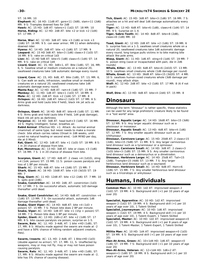ST: 16 MR: 10

**Elephant:** AC: 16 HD: 11d8 AT: gore+11 (3d8), slam+11 (2d6) MR: 9 S: Tramples downed foes for 2d8

**Hawk:** AC: 15 HD: 1d8 AT: talons+1 (1d2) ST: 18 MR: 10 **Horse, Riding:** AC: 12 HD: 2d8 AT: bite +2 or kick +2 (1d4) ST: 17 MR: 7

**Horse, War:** AC: 12 HD: 3d8 AT: bite +3 (1d6) or kick +3 (2d6) ST: 16 MR: 9 S: can wear armor; MR 11 when defending downed rider.

**Hyena:** AC: 14 HD: 2d8 AT: bite +2 (1d6) ST: 17 MR: 9 **Leopard:** AC: 15 HD 3d8 AT: bite+3 (1d6) claws+3 (1d3) ST: 16 MR: 8 S: rake on critical 1d3

**Lion:** AC: 15 HD 5d8 AT: bite+5 (1d8) claws+5 (1d4) ST: 14 MR: 9 S: rake on critical 1d4

**Lizard, Giant**: AC: 15, HD: 3d8+1, AT: Bite (1d8), ST: 16, MR: 6, S: Swallow small or medium creatures on a natural 20, swallowed creatures take 1d6 automatic damage every round.

**Lizard, Cave**: AC: 15, HD: 6d8, AT: Bite (1d8), ST: 13, MR: 6, S: Can walk on walls, infravision, swallow small or medium creatures on a natural 20, swallowed creatures take 1d6 automatic damage every round.

**Manta Ray:** AC: 12 HD: 4d8 AT: ram+4 (1d6) ST: 15 MR: 7 **Monkey:** AC: 11 HD: 1d8 AT: bite+1 (1d3) ST: 18 MR: 6 **Mule:** AC: 12 HD: 2d8 AT: Kick +2 (1d4) ST: 17 MR: 8 **Octopus:** AC: 16 HD: 2d8 AT: bite+2 (1d3) ST: 17 MR: 6 S: Arms grab and hold (auto bite if held), black ink jet acts as darkness.

**Octopus, Giant:** AC: 16 HD: 8d8 AT: bite+8 (1d8) ST: 11 MR: 6 S: Arms grab and hold (auto bite if held, 1d4 grab damage), black ink jet acts as darkness

**Porpoise:** AC: 14 HD: 3d8 AT: head butt+3 (1d6) ST: 16 MR: 10 S: Highly Intelligent, Sonar, breathes air.

**Rabid Animal**: Effective HD: +1: Attack: As normal animal (mammal) of same type, but never needs to make a morale check: bite attack carries rabies (Onset in 2d6 weeks, until cured no natural healing or second wind, -1d4 MIND per day, die at 0 Mind).

**Rat, Giant:** AC: 12 HD: 1d8 AT: bite +1 (1d3) ST: 18 MR: 8 S: 1 in 20 chance of disease from bite.

**Rat, Monstrous:** AC: 13 HD: 3d8 AT: bite or claws +3 (1d6) ST: 16 MR: 7 S: 1 in 20 chance of disease from bite.

**Scorpion, Giant:** AC: 17 HD: 4d8 AT: 2 claws +4 (1d10), sting +4 (1d4, poison) ST: 15 MR: 11 S: poison causes paralysis and loss of 1 BP per minute.

**Shark:** AC: 15 HD: 4d8 AT: bite +4 (2d6) ST: 15 MR: 7 **Shark, Giant:** AC: 16 HD: 10d8 AT: bite +10 (3d10) ST: 19 MR: 7

**Slug, Giant:** AC: 11 HD: 12d8 AT: bite +12 (2d6) ST: 7 MR: 10 S: spits acid (2d6).

**Snake, Constrictor:** AC: 14 HD: 2d8, AT: constriction (1d3) ST: 17 MR: 7 S: On successful attack, automatic 1d3 damage thereafter until dead.

**Snake, Giant Constrictor:** AC: 14 HD: 6d8 AT: constriction +4 (1d6) ST: 13 MR: 7 S: On successful attack, automatic 1d6 damage thereafter until dead.

**Snake, Giant Viper:** AC: 14 HD: 4d8 AT: bite +4 (1d3 + poison) ST: 15 MR: 7 S: Poison bite does 2 BP per minute. **Snake, Viper:** AC: 14 HD: 1d8 AT: bite +1 (1hp + poison) ST: 18 MR: 7 S: Poison bite does 1 BP per minute.

**Spider, Giant:** AC: 13 HD: 2d8+2 AT: bite +2 (1d8) ST: 17 MR: 8 S: bite causes paralysis via poison, surprise on 1-5. **Swarm, Bats**: AC: 12, HD: 3-4d8, AT: 1 bite +HD (1d8), ST: 17, MR: 8 S: Attacks made against the swarm are made at -2 and have a 50% chance of hitting random adjacent creature, flies).

**Swarm, Insects**: AC: 13, HD: 2-4d8, AT: 1 Bite+HD (1d3) (double against no armor), ST: 17, MR: 11, S: Unaffected by weapons, may or may not fly, may or may not have poison causing paralysis.

**Swarm, Rats**: AC: 12, HD: 3-4d8, AT: 1 bite +HD (1d8), ST: 17, MR: 8 S: Attacks made against the swarm are made at -2, bite has 5% chance of causing disease).

**Tick, Giant:** AC: 15 HD: 3d8 AT: bite+3 (1d6) ST: 16 MR: 7 S: attaches on a hit and will deal 1d6 damage automatically every round.

**Tiger:** AC: 13 HD: 6d8 AT: bite+6 (1d8), claws+6 (1d4) ST: 14 MR: 9 S: Surprise on 1-4.

**Tiger, Sabre-Tooth:** AC: 14 HD: 8d8 AT: bite+8 (2d8), claws+8 (1d8) MR: 10

**Toad, Giant:** AC: 12 HD: 2d8 AT: bite +2 (1d6) ST: 19 MR: 6 S: surprise foes on a 1-3, swallows small creatures whole on a natural 20, swallowed creatures take 1d6 automatic damage every round, long tongue pulls victims in to bite making bite attack like pole arms.

**Wasp, Giant:** AC: 11 HD: 1d6 AT: sting+0 (1d4) ST: 19 MR: 7 S: poison sting (save or incapacitated with pain, die in 2d6 rounds)

**Whale, Killer:** AC: 13 HD: 6d8 AT: bite+6 (2d10) ST: 13 MR: 10 S: swallows small creatures whole (1d6 damage per round) **Whale, Great:** AC: 13 HD: 36d8 AT: bite+15 (3d20) ST: 4 MR: 10 S: swallows human-sized creatures whole (3d6 damage per round), may attack ships

**Wolf:** AC: 12 HD: 2d8 AT: bite +2 (1d6) ST: 17 MR: 8 (6 if not in pack)

**Wolf, Dire:** AC: 13 HD: 4d8 AT: bite+4 (2d4) ST: 15 MR: 8

### **Dinosaurs**

Although the term "dinosaur" is rather specific, these statistics can be used for any large prehistoric creature likely to be found in a "lost world" area.

**Dinosaur, Aquatic Large:** AC: 14 HD: 16d8 AT: bite+15 (3d6) ST: 12 MR: 9 S: Any larger aquatic dinosaur such as a plesiosaur or mosasaur.

**Dinosaur, Aquatic Small:** AC: 13 HD: 4d8 AT: bite+4 (1d6) ST: 12 MR: 7 S: Any smaller aquatic dinosaur such as an ichthyosaur.

**Dinosaur, Carnivore Large:** AC: 15 HD: 20d8 AT: 2 claws+15 (2d6), bite+15 (5d8) ST: 11 MR: 9 S: Any larger carnivorous land dinosaur such as a tyrannosaur or a spinosaur.

**Dinosaur, Carnivore Small:** AC: 14 HD: 3d8 AT: 2 claws+3 (1d3) bite+3 (1d8) ST: 15 MR: 9 S: Any smaller carnivorous land dinosaur such as a deinonychus or a dimetrodon. **Dinosaur, Herbivore Large:** AC: 14 HD: 25d8 AT: Tail+15 (2d8), Trample+15 (4d8) ST: 13 MR: 7 S: Any larger

herbivorous land dinosaur such as a sauropod. **Dinosaur, Herbivore Small:** AC: 14 HD: 6d8 AT: Horn+6 (2d6) ST: 15 MR: 7 S: Any smaller herbivorous land dinosaur such as a triceratops or ankylosaur.

### **Humans, Individuals**

**Common Man:** AC: 10 HD: 1d2 AT: improvised weapon-2 (1d2) ST: 19 MR: 4 S: Background skill (+1 per 10 years of age over 20)

**Specialist, Apprentice:** AC: 10 HD: 1d2 AT: improvised weapon-2 (1d2) ST: 19 MR: 4 S: Background skill (+1 per 10 years of age over 10), 1 Talent-Skilled

**Specialist, Journeyman:** AC: 10 HD: 1d6 AT: improvised weapon-1 (1d2) ST: 19 MR: 4 S: Background skill (+1 per 10 years of age over 10), 1 Talent-Expert, 1 Talent-Skilled **Specialist, Master:** AC: 10 HD: 1d2 AT: improvised weapon+0 (1d2) ST: 19 MR: 4 S: Background skill (+1 per 8 years of age over 10), 1 Talent-Master, 1 Talent-Expert, 1 Talent-Skilled

**Militia Man:** AC: 10 HD: 1d4 AT: improvised weapon+0 (1d3) ST: 19 MR: 6 S: Background skill (+1 per 10 years of age over 20)

**Man-At-Arms, Green:** AC: 10+1d4 HD: 1d6 AT: weapon+0 (1d6) ST: 19 MR: 7 S: Background skill (+1 per 10 years of age over 20)

**Man-At-Arms, Veteran:** AC: 12+1d4 HD: 1d6+2 AT: weapon+1 (1d8) ST: 18 MR: 8 S: Background skill (+1 per 10 years of age over 20)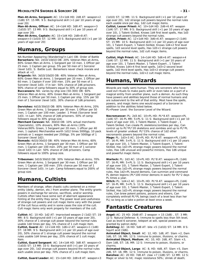#### **MICROLITE74 SWORDS & SORCERY 2E - 31 -**

**Man-At-Arms, Sergeant:** AC: 13+1d4 HD: 2d8 AT: weapon+2 (1d8) ST: 15 MR: 9 S: Background skill (+1 per 10 years of age over 20)

**Man-At-Arms, Officer:** AC: 14+1d4 HD: 3d8 AT: weapon+3 (1d10) ST: 13 MR: 9 S: Background skill (+1 per 10 years of age over 20)

**Man-At-Arms, Captain:** AC: 15+1d4 HD: 2d8+8 AT: weapon+3 (1d10) ST: 12 MR: 10 S: Background skill (+1 per 10 years of age over 20)

### **Humans, Groups**

NA-Number Appearing (Wandering/In Lair) OB: Order of Battle **Berserkers:** NA: 2d10/10d10 OB: 20% Veteran Men-at-Arms, 80% Green Men-at-Arms. 1 Sergeant per 10 men. 1 Officer per 25 men. 1 Captain per group. 5% per 50 men of 1 Sorcerer (level 1d3). S: Battle Lust: Berserkers never check morale and attack at  $+2$ .

**Brigands:** NA: 3d10/10d20 OB: 40% Veteran Men-at-Arms, 60% Green Men-at-Arms. 1 Sergeant per 20 men. 1 Officer per 60 men. 1 Captain if over 100 men. 15% per 50 men of 1 Sorcerer (level 1d3). If in lair: 50% chance of 2d6 prisoners. 90% chance of camp followers equal to 30% of group size. **Buccaneers:** NA: varies by ship size (50-300) OB: 60% Veteran Men-at-Arms, 40% Green Men-at-Arms. 1 Sergeant per 25 men. 1 Officer per 50 men. 1 Captain per ship. 15% per 50 men of 1 Sorcerer (level 1d3). 30% chance of 1d6 prisoners.

**Dervishes:** 4d10/30d10 OB: 80% Veteran Men-At-Arms, 20% Green Men-at-Arms. 1 Sergeant per 30 men. 1 Officer per 50 men, 1 Captain per 100 men. Leader: 1 Priest (Sorcerer level 1d3). In Lair: 50% chance of 2d6 prisoners. 50% of camp followers equal to 30% group size.

**Merchant Caravan:** NA: 30d10 OB: 10% actual merchants (Specialists), 10% drovers, 80% Men-at-Arms (20% Veteran/80% Green, 1 Sergeant per 20 men, 1 officer per 40 men, 1 captain) Merchandise worth 1d12 times 5000gp, 10 pack animals or 1 wagon needed per 2500gp. 5% per 5000gp of 1 Sorcerer (level 1d2).

**Nomads:** 4d10/30d10 OB: 40% Veteran Men-At-Arms, 60% Green Men-at-Arms. 1 Sergeant per 30 men. 1 Officer per 50 men, 1 Captain per 100 men. 20% per 50 men of 1 sorcerer (level 1d3) In Lair: 50% chance of 2d6 prisoners. Camp followers equal to 100% group size.

**Tribesmen:** 3d10/30d10 OB: 30% Veteran Men-at-Arms, 70% Green Men-at-Arms. 1 Sergeant per 30 men. 1 Officer per 50 men, 1 Captain per 100 men. 25% chance per 50 men of 1 Sorcerer (level 1d3). In Lair: Camp followers equal to 200% of group size.

### **Humans, Cultists**

Members of strange, often chaotic cults centered on a minor entity (deity, demon, etc.) from another plane. The entity grants powers in exchange for service, sacrifices, and/or worship. Cultists often take have some sort of aberrant appearance hinting at the entity they serve. The power level and usefulness of strange cult powers and cult magic items vary with the power of the cult focus entity and in some cases the size of the cult. Cult magic items only work properly for members of the cult.

**Cultist:** AC: 10 HD: 1d2 AT: improvised weapon-2 (1d2) ST: 19 MR: 8 S: Background skill (+1 per 10 years of age over 20), 30% chance of 1 strange cult power beyond the normal rules usable 1d4 times per day, 5% chance of 1 cult magic item. **Cultist, Guard:** AC: 12+1d4 HD: 1d6+2 AT: weapon+1 (1d8) ST: 18 MR: 9 S: Background skill (+1 per 10 years of age over 20), 50% chance of 1 strange cult power beyond the normal rules usable 1d4 times per day, 25% chance of 1 cult magic item.

**Cultist, Guard Sergeant**: AC: 14+1d4 HD: 3d8 AT: weapon+3 (1d10) ST: 13 MR: 10 S: Background skill (+1 per 10 years of age over 20), 1d2 strange cult powers beyond the normal rules each usable once per day. 70% chance of 1 cult magic item.

**Cultist, Guard Leader:** AC: 15+1d4 HD: 2d8+8 AT: weapon+3

(1d10) ST: 12 MR: 11 S: Background skill (+1 per 10 years of age over 20), 1d2 strange cult powers beyond the normal rules each usable once per day, 1d2 cult magic items.

**Cultist, Lesser Priest:** AC: 10+1d4 HD: 2d6+6 AT: weapon (1d4) ST: 17 MR: 9 S: Background skill (+1 per 10 years of age over 10), 1 Talent-Skilled, Knows 1d4 first level spells, Has 1d3 strange cult powers beyond the normal rules.

**Cultist, Priest:** AC: 12+1d4 HD: 3d6+6 AT: weapon+2 (1d4) ST: 15 MR: 10 S: Background skill (+1 per 10 years of age over 10), 1 Talent-Expert, 1 Talent-Skilled, Knows 1d4+2 first level spells, 1d3 second level spells, Has 1d3+1 strange cult powers beyond the normal rules, 1d2 cult magic items.

**Cultist, High Priest:** AC: 14+1d4 HD: 5d6+6 AT: weapon+4 (1d4) ST: 12 MR: 11 S: Background skill (+1 per 10 years of age over 10), 1 Talent-Master, 1 Talent-Expert , 1 Talent-Skilled, Knows 1d4+4 first level spells, 1d3+2 second level spells, 1d2 third level spells, Has 1d3+2 strange cult powers beyond the normal rules, 1d2+2 cult magic items.

### **Humans, Wizards**

Wizards are really semi-human. They are sorcerers who have used evil rituals to make pacts with or even take on a part of a magical entity from another plane, such a demon. As such they have powers and abilities beyond those of normal humans and are subservient to the will of that entity. Most have the spells, powers, and magic items one would expect of a Sorcerer in addition to the abilities listed below. PL=Power Level: the Sorcerer Level of the Wizard.

**Necromancer:** PL: 2d3 AC: 10+PL HD: PL\*8 AT: weapon+PL (1d4) ST: 16-PL MR: 5+PL S: 11 S: Background skill (+1 per 10 years of age over 10), 1 Talent-Master, 1 Talent-Exper , 1 Talent-Skilled, Can create PL skeletons/zombies per day, Can control up to PL\*PL\*20 skeletons and zombies and up to PL\*PL levels of greater undead. PL\*15% chance of 1d2 other necromantic powers beyond the normal rules. **Mage:** PL: 1d3+3 AC: 10+PL HD: PL\*8 AT: weapon+PL (1d4)

ST: 16-PL MR: 5+PL S: 11 S: Background skill (+1 per 10 years of age over 10), 1 Talent-Master, 1 Talent-Expert, 1 Talent-Skilled, Has 1d2+PL strange magic powers beyond the normal rules, Has 1d6 unusual and powerful minions, Has 1d6 unique and powerful magic items.

**Warlock:** PL: 2d3 AC: 10+PL HD: PL\*8 AT: weapon+PL (1d4) ST: 16-PL MR: 5+PL S: 11 S: Background skill (+1 per 10 years of age over 10), 1 Talent-Master, 1 Talent-Expert, 1 Talent-Skilled, Has 1d2+PL strange magic powers beyond the normal rules, Has 1d2+PL bound demons, Can summon and command PL demon legions (PL\*100 minor demons in each) for PL\*2 days PL times a year.

**Witch:** PL: 1d4+2 AC: 10+PL HD: PL\*8 AT: weapon+PL (1d4) ST: 16-PL MR: 5+PL S: 11 S: Background skill (+1 per 10 years of age over 10), 1 Talent-Master, 1 Talent-Expert, 1 Talent-Skilled, Has 1d2+PL strange magic powers beyond the normal rules, Can brew potent potions, poisons and elixers, Can completely enthrall PL\*PL beings (each of a level less than her PL) so long as a take a potion at least once a week.

### **Fantastic Creatures**

**Angel:** AC: 25 HD: 20d8 AT: 2 weapon + 15 (2d8) , ST: 3 MR: 12 S: Natural Defense: 4, Immune to spells less than 5th level, Cast as level 6 sorcerer, teleport at will, special powers as granted by patron deity

**Anhkheg:** AC: 16 HD: 5d8 AT: bite +5 (1d10) ST: 14 MR: 8 S: Squirt acid (3d6).

**Animated Object, Small**: AC: 12, HD: 1d8, AT: Slam +2, Dam 1d6, ST: 18, MR: 12 S: Immune to poison, illusions, or charms. **Animated Object, Medium**: AC: 10, HD: 2d8, AT: Slam +3, Dam 1d8, ST: 18, MR: 12 S: Immune to poison, illusions, or charms.

**Animated Object, Large**: AC: 8, HD: 4d8, AT: Slam +5, Dam 2d6, ST: 18, MR: 12 S: Immune to poison, illusions, or charms. **Banshee:** AC: 20 HD: 7d8 AT: claw +7 (1d8) ST: 12 MR: 12 S: Magic or silver to hit; magic resistance 50%; shriek of death;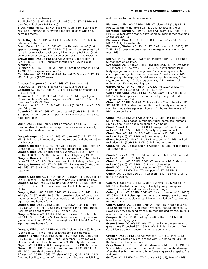Immune to enchantments.

**Basilisk:** AC: 15 HD: 6d8 AT: bite +6 (1d10) ST: 13 MR: 9 S: petrifies onlookers (FORT save).

**Black Pudding:** AC: 13 HD: 10d8 AT: slam +10 (3d8) ST: 9 MR: 12 S: immune to everything but fire, divides when hit, corrodes metal.

**Blink Dog:** AC: 15 HD: 4d8 AT: bite +6 (1d6) ST: 15 MR: 6 S: teleports, hate coeurls.

**Brain Eater:** AC: 14 HD: 8d8 AT: mouth tentacles +8 (1d6, special) or weapon +8 ST: 11 MR: 7 S: on hit by tentacles 1d4 turns later tentacles reach brain, killing victim; Psi Blast (8d6 cone of mental force, save to confused), 90% magic resistant. **Brown Hulk:** AC: 17 HD: 8d8 AT: 2 claws (2d6) or bite +8 (2d4) ST: 11 MR: 9 S: burrows through rock, eyes cause confusion.

**Bugbear**: AC: 14 HD: 3d8 AT: bite +3 (2d4) or weapon +3 ST: 16 MR: 9 S: surprise foes on a 1-3.

**Catoblepas:** AC: 12 HD: 6d8 AT: tail +6 (1d3 + stun) ST: 13 MR: 8 S: gaze (FORT save).

**Carcass Creeper:** AC: 16 HD: 3d8 AT: 8 tentacles +3 (paralysis) ST: 16 MR: 8 S: walk on walls and ceilings.

**Centaur:** AC: 15 HD: 4d8 AT: 2 kick +4 (1d6) or weapon +4 ST: 15 MR: 8

**Chimera:** AC: 15 HD: 9d8 AT: 2 claws +9 (1d3), goat gore +9 (1d4), lion bite +9 (2d4), dragon bite +9 (3d4) ST: 10 MR: 9 S: breathes fire (3d6), flies.

**Cockatrice:** AC: 13 HD: 5d8 AT: bite +5 (1d3) ST: 14 MR: 7 S: petrifying bite.

**Coeurl:** AC: 15 HD: 6d8 AT: tentacles +6 (2d6) ST: 13 MR: 9 S: appear 3 feet from actual position (+2 to defense and saves), hate blink dogs.

**Djinn:** AC: 15 HD: 7d8 AT: fist or weapon +7 ST: 12 MR: 12 S: flies, whirlwind, creation of things, create illusions, invisibility, immune to mundane weapons.

**Doppelganger:** AC: 14 HD: 4d8 AT: claw +4 (1d12) ST: 15 MR: 8 S: imitate humanoids, immune to sleep and charm. +5 on magic saves.

**Dragon, Black:** AC: 17 HD: 7d8 AT: 2 claws +7 (1d6), bite +7 (3d6) ST: 10 MR: 9 S: flies, breathes line of acid (7d8). **Dragon, Blue:** AC: 17 HD: 9d8 AT: 2 claws +9 (1d6), bite +9 (3d8) ST: 8 MR: 9 S: flies, breathes line of lightning (9d8). **Dragon, Brass:** AC: 17 HD: 7d8 AT: 2 claws +7 (1d6), bite +7 (4d4) ST: 10 MR: 9 S: flies, breathes cloud of sleep or fear gas. **Dragon, Bronze:** AC: 17 HD: 9d8 AT: 2 claws +9 (1d6), bite +9 (3d8) ST: 8 MR: 9 S: flies, breathes lightning (9d8) or repulsion.

**Dragon, Copper:** AC 17 HD: 8d8 AT: 2 claws +8 (1d6), bite +8 (5d4) ST: 9 MR: 9 S: flies, breathes acid cloud (8d8) or slow. **Dragon, Green:** AC: 17 HD: 8d8 AT: 2 claws +8 (1d6), bite +8 (2d10) ST: 9 MR: 9 S: flies, breathes cloud of chlorine gas (8d6).

**Dragon, Gold:** AC: 19 HD: 11d8 AT: 2 claws +11 (1d6), bite +11 (3d12) ST: 6 MR: 10 S: flies, breathes cloud of poisonous gas or cone of fire (11d8), uses magic as MU of level 1 to 8 (by age), assume human form.

**Dragon, Red:** AC: 17 HD: 10d8 AT: 2 claws +10 (1d6), bite +10 (3d10) ST: 7 MR: 9 S: flies, breathes cone of fire (10d8), uses magic as MU of level 1 to 6 (by age - 2).

**Dragon, Silver:** AC: 18 HD: 10d8 AT: 2 claws +10 (1d6), bite +10 (3d10) ST: 7 MR: 9 S: flies: breathes cloud of poisonous gas or cone of cold (10d8), uses magic as MU of level 1 to 8 (by age), assume human form.

**Dragon, White:** AC: 17 HD: 6d8 AT: 2 claws +6 (1d6), bite +6 (2d8) ST: 11 MR: 9 S: flies, breathes cone of cold (6d8). **Dragon Turtle:** AC: 21 HD: 20d8 AT: 2 claws +15 (1d8), bite +15 (10d6) ST: 3 MR: 10 S: natural defense: 3, swims well, slow on land, breathes steam cloud (20d8) only when in water. **Dryad:** AC: 14 HD: 2d8 AT: weapon +2 ST: 17 MR: 6 S: charm. **Dwarf:** AC: 15 HD: 1d6+1 AT: warhammer +1 (1d8) ST: 16 MR: 10 S: standard dwarf abilities.

**Efreet:** AC: 16 HD: 10d8 AT: slam +10 (2d8) ST: 9 MR: 12 S: flies, wall of fire, creation of things, create illusions, invisibility, and immune to mundane weapons.

**Elemental, Air:** AC: 19 HD: 12d8 AT: slam +12 (2d8) ST: 7 MR: 10 S: whirlwind, extra damage against foes in the air. **Elemental, Earth:** AC: 19 HD: 12d8 AT: slam +12 (4d8) ST: 7 MR: 10 S: tear down stone, extra damage against foes standing on the ground (1d8).

**Elemental, Fire:** AC: 19 HD: 12d8 AT: slam +12 (3d8) ST: 7 MR: 10 S: ignite materials.

**Elemental, Water:** AC: 19 HD: 12d8 AT: slam +12 (3d10) ST: 7 MR: 10 S: overturn boats, extra damage against swimming foes (1d6).

**Elf:** AC: 14 HD: 1d8 AT: sword or longbow (1d6) ST: 16 MR: 8 S: standard elf abilities.

**Eye Globe:** AC: 17 (Eye Stalks: 15) HD: Body 40 HP, Eye Stalk 10 HP each AT: 1d4 eyes ST: 8 MR: 8 S: floats about; large body eye generates anti-magic ray; 12 smaller eyes do: 1 charm person ray, 2-charm monster ray, 3-death ray, 4-2d6 damage ray, 5-sleep ray, 6-telekenesis ray, 7-slow ray, 8-fear ray, 9-stoning ray, 10-disintegration ray, 11-turn/control undead ray, 12-mind reading ray.

**Gargoyle:** AC: 14 HD: 4d8 AT: 2 claws +4 (1d3) or bite +4 (1d6), horns +4 (1d4) ST: 15 MR: 11 S: fly.

**Gelatinous Cube:** AC: 11 HD: 4d8 AT: slam +4 (2d4) ST: 15 MR: 12 S: touch paralyses, immune to lightning and cold, surprise foes on a 1-4.

**Ghast:** AC: 13 HD: 3d8 AT: 2 claws +2 (1d3) or bite +2 (1d4) ST: 16 MR: 9 S: undead immunities touch paralyses, humans slain by ghouls rise again as ghouls in 24 hours. Regenerate 1 HP/minute until slain.

**Ghoul:** AC: 13 HD: 2d8 AT: 2 claws +2 (1d3) or bite +2 (1d4) ST: 17 MR: 9 S: undead immunities touch paralyses, humans slain by ghouls rise again as ghouls in 24 hours.

**Giant, Cloud**: AC: 17 HD: 13d8 AT: weapon +13 (6d6) or hurl rocks +13 (3d6) ST: 6 MR: 10 S: only surprised on a 1.

**Giant, Fire:** AC: 16 HD: 12d8 AT: weapon +12 (5d6) or hurl rocks +12 (3d6) ST: 7 MR: 9 S: immune to fire.

**Giant, Frost:** AC: 15 HD: 11d8 AT: weapon +11 (4d6) or hurl rocks/ice +11 (3d6) ST: 8 MR: 9 S: immune to cold. **Giant, Hill:** AC: 15 HD: 8d8 AT: weapon +8 (2d6) or hurl rocks

+8 (3d6) ST: 19 MR: 11

**Giant, Stone:** AC: 20 HD: 9d8 AT: stone club +9 (3d6) or hurl rocks +9 (3d6) ST: 10 MR: 9

**Giant, Storm:** AC: 18 HD: 16d8 AT: weapon +16 (8d6) or hurl rocks +16 (3d6) ST: 3 MR: 10 S: control weather.

**Gnoll:** AC: 14 HD: 2d8 AT: weapon +2 ST: 17 MR: 8

**Gnome:** AC: 14 HD: 1d8 AT: weapon +1 ST: 16 MR: 8 **Goblin:** AC: 12 HD: 1d6-1 AT: weapon +1 ST: 18 MR: 7 S: -1 to hit in sunlight.

**Golem, Flesh:** AC: 10 HD: 12d8 AT: 2 fists +12 (2d8) ST: 7 MR: 11 S: Healed by lightning, hit only by magic weapons, slowed by fire and cold, immune to most magic.

**Golem, Iron:** AC: 16 HD: 13d8 AT: fists or weapon +13 (4d10) ST: 6 MR: 11 S: Poison gas, immune to all weapons +2 or less, natural defense: 2, slowed by lightning, healed by fire, immune to most magic.

**Golem, Stone:** AC: 14 HD: 16d8 AT: fist +15 (4d8) ST: 3 MR: 11 S: Unaffected by +2 or lesser weapons, natural defense: 2, slowed by fire, damaged by rock to mud (healed by rock to Mud reversed), immune to most magic.

**Gorgon:** AC: 17 HD: 8d8 AT: gore +8 (2d6) ST: 11 MR: 8 S: breathes petrifying gas.

**Green Slime:** AC: n/a HD: n/a AT: organics and metal turn to green slime if touched ST: 18 MR: n/a S: killed by cold or fire. Cure Disease stops transformation to green slime.

**Gremlin:** AC: 12 HD: 1d8 AT: weapon +1 ST: 10 MR: 12 S: chaos aura causes physical actions with 10 feet to fail 50% of the time in a chaotic manner.

**Grey Ooze:** AC: 12 HD: 3d8 AT: strike +3 (1d6) ST: 16 MR: 12 S: acid (destroys armor in one round, deals automatic damage after the first hit), immune to blunt/crushing attacks, spells, fire and cold.

**Griffon**: AC: 16 HD: 7d8 AT: 2 claws +7 (1d4), bite +7 (2d8)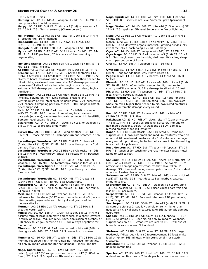#### **MICROLITE74 SWORDS & SORCERY 2E - 33 -**

ST: 12 MR: 8 S: flies.

**Halfling**: AC: 12 HD: 1d6 AT: weapon+1 (1d6) ST: 16 MR: 8 S: nearly invisible in outdoor cover.

**Harpy**: AC: 12 HD: 3d8 AT: 2 talons +3 (1d4) or weapon +3 ST: 16 MR: 7 S: flies, siren-song (Charm person).

**Hell Hound**: AC: 15 HD: 5d8 AT: bite +5 (1d6) ST: 14 MR: 9 S: breathe fire (10 HP damage)

**Hippogriff:** AC: 14 HD: 3d8 AT: 2 claws +3 (1d6), bite +3 (1d10) ST: 16 MR: 8 S: flies.

**Hobgoblin:** AC: 14 HD: 1d8+1 AT: weapon +1 ST: 18 MR: 8 **Hydra:** AC: 14 HD: 5-12d6 AT: 5-12 bites +HD (1d6) ST: 14- MR: 11 S: 1 HD per head, 20% chance of fire-breathing or regenerating.

**Invisible Stalker:** AC: 16 HD: 8d8 AT: 1 bash +8 (4d4) ST: 8 MR: 12 S: flies, invisible.

**Kobold:** AC: 13 HD: 1d4 AT: weapon +0 (1d6) ST: 18 MR: 9 **Kraken**: AC: 17, HD: 14d8+12, AT: 2 barbed tentacles +14 (3d6), 4 tentacles +14 (2d4) Bite +14 (3d8), ST: 6, MR: 12 S: Overturn boats, swallows whole on roll 4 higher than needed to hit with bite, swallowed creatures take 3d6 damage per round, on successful attack with a tentacle, begins constricting, automatic 2d4 damage per round thereafter until dead, highly intelligent.

**Leprechaun:** AC: 11 HD: 1d4 AT: theft, magic ST: 16 MR: 7 S: invisible, polymorph non-living objects, illusions and ventriloquism at will; steal small valuable item (75% successful, 25% chance if dropping per turn chased), 80% magic resistant, never surprised.

**Lich:** AC: 20 HD: 12-18d6 AT: touch +HD (1d10) or weapon +HD ST: 7- MR: 10 S: undead immunities, touch causes paralysis (no save), cause fear in creatures under 4th level/HD, Sorcerer level equals hit dice.

**Lizardman**: AC: 14 HD: 2d8 AT: claws +2 (1d6) or weapon +2 ST: 17 MR: 11 S: breathe underwater.

**Lurker Ray:** AC: 13 HD: 10d8 AT: wing smother +10 (1d8) ST: 9 MR: 9 S: those hit take 1d8 damage/turn and smother in 1d6 turns.

**Lycanthrope, Werebear:** AC: 17 HD: 7d8 AT: 2 claws +7 (2d4), bite +7 (1d8) ST: 12 MR: 10 S: lycanthropy, extra 2d6 damage if both claws hit.

**Lycanthrope, Wereboar:** AC: 15 HD: 4d8 AT: tusks +6 (2d6) ST: 15 MR: 9 S: lycanthropy, attack +6 instead of +4 because of rage.

**Lycanthrope, Wererat:** AC: 13 HD: 3d8 AT: bite (1d4) or weapon +3 ST: 16 MR: 8 S: lycanthropy, surprise foes on a 1-4. **Lycanthrope, Weretiger:** AC: 16 HD: 5d8 AT: 2 claws +5 (1d6), bite +5 (2d6) ST: 14 MR: 10 S: lycanthropy, surprise foes on a 1-4.

**Lycanthrope, Werewolf:** AC: 14 HD: 4d8 AT: 2 claws +4 (1d4) bite +4 (2d4) ST: 15 MR: 8 S: lycanthropy.

**Manticore:** AC: 15 HD: 6d8 AT: claws +6 (1d4) or bite +6 (2d4) ST: 13 MR: 9 S: flies, six tail spikes +6 (1d6) per round, 24 spikes in total.

**Medusa:** AC: 14 HD: 6d8 AT: weapon +6 ST: 13 MR: 8 S: onlookers turn to stone (FORT save), hair attacks at  $+3$  (poison bite), averting eyes reduces to hit by 4 and grants +2 to medusa attacks.

**Merman:** AC: 13 HD: 1d8 AT: weapon +1 ST: 16 MR: 8 S: breathe water, swim.

**Mimic**: AC: 10, HD: 5d8, AT: Crush +5 (3d4), ST: 13, MR: 9 S: Assume form of large inanimate object such as a chest, covered in sticky adhesive (requires reflex save, application of alcohol, or STR check to let go), surprise on 1-5, will always negotiate for food or bait.

**Minotaur:** AC: 13 HD: 6d8 AT: weapon +6 or bite +6 (1d6) or Head gore +6 (1d6) ST: 13 MR: 12 S: never lost in mazes.

**Mummy:** AC: 16 HD: 6d8 AT: touch +6 (2d6) ST: 13 MR: 12 S: mummy rot curse if hit (no more healing), undead immunities, hit only by magic weapons (for half damage), spells, and fire.

**Naga, Guardian:** AC: 14 HD: 12d8 AT: bite +12 (1d4 + poison), spit +12 (30 range, poison), constrict +12 (1d8/rd until freed) ST: 7 MR: 9 S: spells as 4th level sorcerer.

**Naga, Spirit:** AC: 14 HD: 10d8 AT: bite +10 (1d4 + poison) ST: 9 MR: 8 S: spells as 6th level Sorcerer, gaze (permanent charm).

**Naga, Water:** AC: 14 HD: 8d8 AT: bite +10 (1d3 + poison) ST: 11 MR: 7 S: spells as 5th level Sorcerer (no fire or lightning).

**Nixie:** AC: 12 HD: 1d8 AT: weapon +1 (1d6) ST: 16 MR: 6 S: swims, charm.

**Ochre Jelly**: AC: 11 HD: 6d8 AT: acid strike +6 (2d6) ST: 13 MR: 6 S: a hit destroys organic material, lightning divides jelly into three jellies, each doing +2 (1d6) damage.

**Ogre:** AC: 14 HD: 4d8 AT: weapon +4 (2d6) ST: 15 MR: 10 **Ogre Mage:** AC: 15 HD: 5d8 AT: weapon +5 (2d6) ST: 13 MR: 9 S: flies, magic use (turn invisible, darkness 10' radius, sleep, charm person, cone of frost).

**Orc:** AC: 13 HD: 1d8 AT: weapon +1 ST: 16 MR: 8

**Owlbear:** AC: 14 HD: 5d8 AT: 2 claws or bite +5 (1d8) ST: 14 MR: 9 S: hug for additional 2d6 if both claws hit. **Pegasus:** AC: 13 HD: 4d8 AT: 2 hooves +4 (1d6) ST: 16 MR: 8 S: flies.

**Phoenix:** AC: 17 HD: 9d8 AT: 2 claws +9 (1d6), bite +9 (2d6) ST: 10 MR: 10 S: +3 or better weapon to hit, immune to charm/hold/fire attacks, 3d6 fire damage to all within 10 feet. **Pixie:** AC: 12 HD: 1d8 AT: weapon +1 (1d4) ST: 14 MR: 7 S: flies, charm, naturally invisible.

**Purple Worm:** AC: 13 HD: 15d8 AT: bite +15 (2d8) or sting +15 (1d8) ST: 4 MR: 10 S: poison sting (1d6 STR), swallows whole on roll 4 higher than needed to hit, swallowed creatures take 1d6 automatic damage every round.

**Roc:** AC: 15 HD: 12d8 AT: 2 claws +12 (1d8) or bite +12 (2d10) ST: 7 MR: 9 S: flies

**Rakshasa:** AC: 23 HD: 7d8 AT: claws, bite +7 (1d8) or weapon +7 ST: 12 MR: 8 S: spells as 1d3 level Sorcerer, immune to non-magic weapons, below +3 weapons do 50% damage, blessed crossbow bolt kill instantly.

**Roper**: AC: HD: 10d8 Attack: Bite +10 (2d6) S: Immobile, surprise on 1-3, swallows small and medium creatures whole on a natural 20, swallowed creatures take 1d6 automatic damage every round, up to 6 long tentacles pull victims in to bite making bite attack like polearms.

**Rust Monster:** AC: 17 HD: 5d8 AT: touch +5 (special) ST: 14 MR: 7 S: touch of (or touching) the rust monster causes metal items to turn to rust.

**Sahuagin**: AC: 14, HD: 2d8 (+2), AT: Trident +2 (1d8), Net +2 (1d8), or 2/4 claws +2 (1d6) ST: 17, MR: 10 S: Swims, +1 to attacks and damage against creatures that have taken BP damage, 5% chance of having second pair of arms (Extra trident attack or 2 extra claw attacks).

**Salamander:** AC: 15 HD: 7d8 AT: bite +8 (1d6) or constrict +8 (1d8) ST: 12 MR: 10 S: heat does 1d8 to nearby creatures, immune to fire.

**Scorpionman:** AC: 17 HD: 8d8 AT: weapon +8 (1d10), sting +4 (1d4, poison) ST: 11 MR: 9 S: poison causes paralysis and loss of 1 BP per minute.

**Serpentfolk**: AC: 13, HD: 2d8, AT: weapon +2 (1d8), Bite +2 (1d3), ST: 17, MR: 10 S: Poisoned bite does 2 BP per minute, Hypnotic gaze.

**Sea Serpent:** AC: 17 HD: 30d6 AT: bite +15 (4d6) ST: 3 MR: 9 S: natural defense: 2, swallows whole on roll 4 higher than needed to hit, swallowed creatures take 1d6 automatic damage every turn.

**Shadow:** AC: 12 HD: 3d8 AT: touch +3 (1d4, special) ST: 16 MR: 12 S: drains 1 STR per hit, hit only by magical weapons, surprise foes on a 1-5, creatures reduced to 0 STR will rise 24 hours later as a shadow. Not undead.

**Shrieker:** AC: 11 HD: 3d8 AT: none ST: 16 MR: 12 S: large toadstool, if disturbed (light 60 feet/movement 30 feet) emits loud shriek for 1d3 minutes which stuns small (rat-sized) creatures.

**Skeleton:** AC: 12 HD: 1d8 AT: weapon +1 ST: 18 MR: 12 S: undead immunities.

**Spectre:** AC: 17 HD: 7d8 AT: touch +7 (1d6) ST: 10 MR: 11 S: undead immunities, drains 2 levels per hit, creatures reduced to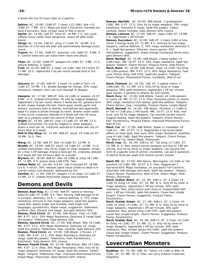0 levels will rise 24 hours later as a spectre.

**Sphinx:** AC: 19 HD: 12d8 AT: 2 claws +12 (3d6), bite +12 (2d8) ST: 7 MR: 10 S: Males are level 2 Sorcerers. Females are level 4 sorcerers. Roar (2/day) save or flee in terror **Sprite:** AC: 14 HD: 1d4 AT: none ST: 16 MR: 7 S: can curse (effects funny rather than dangerous, wears off after 1d20 hours)

**Stirge:** AC: 12 HD: 1d8 AT: sting +1 (1d4) ST: 18 MR: 9 S: attaches on a hit and will deal 1d4 automatically damage every round.

**Treant:** AC: 17 HD: 10d8 AT: branches +10 (3d6) ST: 9 MR: 9 S: Control trees and can make them move and attack.

**Titan:** AC: 22 HD: 16d8 AT: weapon+15 (5d6) ST: 3 MR: 11 S: natural defense: 3, Spells.

**Troll:** AC 15 HD: 6d8 AT: 2 claws +6 (1d6), bite +6 (1d10) ST: 11 MR: 10 S: regenerate 3 hp per round (except acid or fire damage).

**Unicorn:** AC: 17 HD: 5d8 AT: 2 hoofs +5 (1d8) or horn +5 (1d8) ST: 14 MR: 7 S: double damage for charge, 25% magic resistance, teleport, horn can cure damage or disease.

**Vampire**: AC: 17 HD: 9d8 AT: bite +9 (1d6) or weapon +9 ST: 8 MR: 11 S: undead immunities, hit only by magical weapons, regenerate 3 hp per round, drains 2 levels per hit, gaseous form at will, shape change into bat, charm gaze, avoids garlic and mirrors, summons bats or wolves, immobilized and apparently dead if a stake is driven through its heart, drowns under water in one round, creatures reduced to 0 levels will rise 24 hours later as a vampire under the control of their creator.

**Wight:** AC: 14 HD: 3d8 AT: claw +3 (1d6) ST: 16 MR: 12 S: undead immunities, hit only by magical or silver weapons, drains a level per hit, creatures reduced to 0 levels will rise 24 hours later as a wight.

**Will-O-The-Wisp:** AC: 27 HD: 9d8 AT: shock +9 (1d6+4) ST: 10 MR: 10 S: flies.

**Worg:** AC: 13 HD: 4d8 AT: bite +4 (2d6) ST: 15 MR: 8 **Wraith:** AC: 16 HD: 4d8 AT: touch +4 (1d6) ST: 13 MR: 11 S: undead immunities, only hit by magic or silver weapons, arrows do a max 1 HP damage, drains a level per hit, creatures reduced to 0 levels will rise 24 hours later as a wraith.

**Wyvern:** AC: 16 HD: 8d8 AT: bite +8 (2d8) or sting +8 (1d6) ST: 11 MR: 9 S: poison sting (1d6 STR), flies.

**Yellow Mold:** AC: n/a HD: n/a AT: 1d6 if touched ST: 18 MR: n/a S: if struck, 50% releases spore cloud (choke to dead in 6 rounds unless cure disease), destroyed by fire.

**Zombie:** AC: 11 HD: 2d8 AT: weapon +2 or claws +2 (1d8) ST: 15 MR: 12 S: undead immunities always lose initiative.

### **Demons and Devils**

**Demon, Baal-Rog:** AC: 17 HD: 9d8 AT: sword or flaming whip+9 (2d6) ST: 8 MR: 9 S: flies, flaming (3d8 damage to all in contact), darkness, 10 ft. r., natural defense: 4, 75% magic resistance, immune to non-magic weapons. Spell-like powers: cause fear, detect magic and invisible, read magic and languages, pyrotechnics, dispel magic, suggestion, telekinesis, symbols (fear, discord, and sleep), and gate demons 70%. **Demon, First Circle**: AC: 15 HD: 5d8 Attack: Claw +5 (1d6), MR: 9 ST: 14 S: 25% Magic Resistance, Darkness 5' range Spell like powers: Telekinesis, Gate demons 10% **Demon, Second Circle**: AC: 17 HD: 6d8 Attack: Bite +6 (1d8),

MR: 9 ST: 13 S: 25% Magic Resistance, Darkness 15' range, Spell like powers: Telekinesis, Fear, Levitate, Gate Demons 20% **Demon, Third Circle**: AC: 19 HD: 7d8 Attack: 2 Pincers +7 (1d8), MR: 9 ST: 12 S: 25% Magic Resistance, Darkness 10' range, Spell like powers: Telekinesis, Fear, Pyrotechnics, Polymorph, Gate demons 30% chance.

**Demon, Fourth Circle**: AC: 15 HD: 8d8 Attack: Bite +8 (2d6), MR: 9 ST: 11 S: Flies, 30% Magic Resistance, Flies, only hit by magic weapons, Darkness 10' range, Spell like powers: Detect Magic, Tongues, Telekinesis, Fear, Improved Phantasmal Forces, Dispel Magic, Polymorph, Gate Demons 60% chance

**Demon, Marilith**: AC: 20 HD: 8d8 Attack: 3 greatswords (1d8), MR: 9 ST: 11 S: Only hit by magic weapons, 70% magic resistance, Darkness 5' range, Spell like powers: Chaos, Levitate, detect invisible, Gate demons 50% chance **Demon, Lemure:** AC: 17 HD: 3d8 AT: claws (1d6) ST: 14 MR: 7 S: regenerate 1 HP/minute.

**Demon, Succubus:** AC: 10 HD: 6d8 AT: 2 claws (1d6) or kiss (drain 1 energy level) ST: 11 MR: 9 S: immune to non-magic weapons, natural defense: 2, 70% magic resistance, darkness 5 ft. r. Spell-like powers: Ethereal, charm person, ESP, clairaudience, suggestion, shape change (humanoid forms only), gate demons 40%.

**Devil, Barbed**: AC: 15 HD: 5d8 Attack: 2 Bone Spikes +5 (1d6+fear), MR: 10 ST: 14 S: 30% magic resistance, Spell-like powers Teleport, Charm Person, Produce Flame, Hold Person. **Devil, Bone**: AC: 16 HD: 6d8 Attack: Hook +6 (1d6) Tail Sting +6 (1d6+poison), MR: 9 ST: 13 S: 40% Magic Resistance, Fear aura, Poison sting (1d4 STR), Spell-like powers: Teleport, Charm Person, Phantasmal Forces, Invisibility, Wall of Ice

**Devil, Chained**: AC: 18, HD: 7d8, AT: 2 spiked chains +7 (2d4/2d4), ST: 12, MR: 10 S: Only hit by silver or magic weapons, 50% spell resistance, regenerate 2 HP per minute, gaze causes -2 penalty to attacks for 1d3 rounds. **Devil, Fury**: AC: 13 HD: 6d8 Attack: Sword +6 (1d6+poison) or Lasso +6, MR: 11 ST: 13 S: Flies, Knockout poison on sword, 30% magic resistance true seeing, spell-like abilities: Teleport, Charm Person, Fear, Invisibility, Produce Flame, Locate Object **Devil, Horned**: AC: 16 HD: 7d8 Attack: Pitchfork +7 (1d6+2) or Tail +7 (1d6 plus 1 HP/round), MR: 10 ST: 12 S: Flies, fear aura, only hit by magic weapons, Tail wounds caused require magical healing, Spell-like powers: Teleport, Charm Person, ESP, Pyrotechnics, Produce Flame, Improved Phantasmal Forces, Wall of Fire

**Devil, Ice**: AC: 17 HD: 8d8 Attack: Spear or mandibles +8 (1d6+1), , MR: 12 ST: 11 S: Regenerate 1 hp/round Spear affects as Slow spell, Fear aura, 60% magic resistance, breathes cone of cold (3d8), Spell like powers: Teleport, Charm Person, Fly, Wall of Ice, Detect Magic, Polymorph.

**Devil, Imp**: AC: 18, HD: 2d8+2, AT: Tail sting +2 (1d4), ST: 13, MR: 6, S: flies, poison causes paralysis and loss of 1 BP per minute, only hit by silver or magic weapons, can assume the form of a specific kind of vermin, invisibility, can ask 6 questions of demon lords per week and receive correct answer.

**Devil, Pit**: AC: 17 HD: 9d8 Attack: Morningstar +9 (2d6) or Tail constrict +9 (1d6), MR: 10 ST: 8 S: Flies, Regenerate 2 hp/round 65% Magic resistance, on successful Tail Constrict, automatic 1d6 damage until dead, Spell-like powers: Teleport, Charm Person, Pyrotechnics, Wall of Fire, Detect Magic, Hold Person, Polymorph

**Devil, Scaled, Black**: AC: 15, HD: 4d8+1, AT: 2 Claws +4 (1d4) Or Sting +4 (1d6), ST: 14, MR: 8, S: Only hit by silver or magic weapons, regenerate 1 HP per minute, 30% spell resistance, flies, sting injects acid (Save or incapacitated with pain, 1 BP per minute), spell-like powers: Cause fear (single target), Charm Person, Suggestion, Produce Flame, Pyrotechnics.

**Devil, Scaled, Green**: AC: 17, HD: 5d8+2, AT: 2 Claws +5 (1d4) Or Sting +5 (1d6), ST: 11, MR: 8, S: Only hit by silver or magic weapons, regenerate 1 HP per minute, 30% spell resistance, flies, poison sting (1d6 STR), spell-like powers: Cause fear (single target), Charm Person, Suggestion, Produce Flame, Pyrotechnics.

**Devil, Scaled, Red**: AC: 19, HD: 6d8+3, AT: 2 Claws +6 (1d4) Or Sting +6 (1d6), ST: 10, MR: 11, S: Only hit by silver or magic weapons, regenerate 1 HP per minute, 30% spell resistance, flies, stinger sprays fire (3d6), spell-like powers: Cause fear (single target), Charm Person, Suggestion, Produce Flame, Pyrotechnics.

### **Lovecraftian Monsters**

**Byakhee**: AC: 15, HD: 4d8, AT: Talons +4 (1d8) or Bite +4 (1d4), ST: 15, MR: 10, S: Flies, can carry medium creatures, telepathic.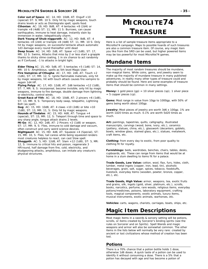#### **MICROLITE74 SWORDS & SORCERY 2E - 35 -**

**Color out of Space**: AC: 14, HD: 10d8, AT: Engulf +10 (special) ST: 9, MR: 10 S: Only hit by magic weapons, touch drains levels or acts as Disintegrate spell, spoils food. **Cthonian**: AC: 19, HD: 8d8, AT: 4 tentacles +8 (2d4) or trample +8 (4d8) ST: 11, MR: 11 S: Burrows, can cause earthquakes, immune to heat damage, instantly slain by immersion in water, telepathically charm.

**Dark Young of Shub-niggurath**: AC: 12, HD: 8d8, AT: 4 tentacles  $+8$  (2d4) or trample  $+8$  (4d8) ST: 11, MR: 10 S: Only hit by magic weapons, on successful tentacle attack automatic 1d3 damage every round thereafter until dead

**Deep Scum**: AC: 14, HD: 2d8, AT: Spear +2 (1d8), ST: 17, MR: 12 S: Swims, Attacks that miss by 2 or less start a grapple thanks to sticky slime coating, 1 in six chance to act randomly as if Confused, -1 to attacks in bright light.

**Elder Thing** AC: 15, HD: 5d8, AT: 5 tentacles +5 (1d6) ST: 14, MR: 10 S: Amphibious, spells as 5th level Magic-User.

Fire Vampires of Cthugha: AC: 17, HD: 2d8, AT: Touch +2 (1d6), ST: 17, MR: 12, S: Ignite flammable materials, only hit by magic weapons, hit with touch attack causes fire vampire to regain 1d4 HP.

**Flying Polyp**: AC: 17, HD: 12d8, AT: 2d6 tentacles +12 (1d8), ST: 7, MR: 9, S: incorporeal, become invisible, only hit by magic weapons, immune to fire damage, double damage from lightning or electricity, control winds.

**Great Race of Yith**: AC: 18, HD: 10d8, AT: 2 pincers +6 (1d8), ST: 13, MR: 9, S: Temporary body swap, telepathic, Lightning Bolt (as spell).

**Gug**: AC: 15, HD: 10d8, AT: 4 claws +10 (2d6) or bite +10 (1d8), ST: 13, MR: 11, S: Only hit by magic weapons.

**Hounds of Tindalos**: AC: 15, HD: 4d8, AT: Tongue +4 (special), ST: 15, MR: 12, S: Teleport through time and space to any sharp angle, tongue attack drains 2 levels.

**Mi-Go**: AC: 12, HD: 2d8, AT: 2 Pincers +2 (1d8) or weapon, ST: 17, MR: 9, S: Flies, immune to cold damage and vacuum, often construct and carry weird science devices.

**Nightgaunt**: AC: 15, HD: 4d8, AT: Squeeze +4 (Special), ST: 15, MR: 10, S: Flies, tail caress while being squeezed renders most creatures helpless to react, can cast Slow spell.

**Shoggoth**: AC: 5, HD: 12d8, AT: Slam +12 (1d8), ST: 5, MR: 12, S: Immune to critical hits and poison, regenerate 3 HP/round, half damage from fire, cold, electricity, and bludgeoning attacks, amphibious, can imitate any creature's physical structures.

# **MICROLITE74 TREASURE**

Here is a list of sample treasure items appropriate to a Microlite74 campaign. Maps to possible hoards of such treasures are also a common treasure item. Of course, any magic item you like from the SRD can be used, but higher powered items may be too powerful for most Microlite74 games.

### **Mundane Items**

The majority of most random treasures should be mundane, non-magical items. While coins, gems, and jewelry seem to make up the majority of mundane treasure in many published adventures, in reality many other types of treasure could and probably should be found. Here are some examples of treasure items that should be common in many settings.

**Money:** 1 gold piece (gp) = 10 silver pieces (sp); 1 silver piece  $= 5$  copper pieces (cp).

**Gems:** Most range in value from 10gp to 1000gp, with 50% of gems being worth about 100gp.

**Jewelry:** Most pieces of jewelry are worth 3d6 x 100gp. 1% are worth 1d20 times as much. 0.1% are worth 5d20 times as much.

**Art:** paintings, tapestries, quilts, calligraphy, illustrated manuscripts, carvings (wood, bone, ivory, etc.), ceramics (pottery, statues, china, etc.), glasswork (decanters, goblets, bowls, window glass, stained glass, etc.), statues, metalwork, craft items, etc.

**Clothing:** from every day to exotic, from poor quality to clothing fit for royalty.

**Furnishings:** beds, wardrobes, benches, chairs, tables, desks, cupboards, etc. These can range from items that would be at home in a slum dwelling to items fit for a palace.

**Trade Goods, Low Value:** cotton, wool, flax, furs, hides, cloth, lumber, metal ingots (copper, iron, lead, tin), alcoholic beverages, grain, salt, sugar, spices, tobacco, foodstuffs, livestock, everyday items (wooden, pewter, bronze, copper, etc.), etc.

**Trade Goods, High Value:** armor, weapons, tea, exotic fruits and grains, silk, ingots (gold, silver, platinum, etc.), scrolls, books, narcotics, perfume, rare woods, religious items, everyday potions/medicines, poisons, laboratory equipment, crafting tools, magical components, exotic animals, luxury items, musical instruments, exotic animals, warhorses, etc.

**Vehicles:** carts, wagons, chariots, carriages, boats, ships, etc.

### **Magic Item Descriptions**

Most magic items in a swords & sorcery setting will be potions, scrolls, or items created by Sorcerer's binding spirits (see the rules on Sorcerer and on Spirits). Spell Wands and magic weapons and armor will also be somewhat common. The other items in the lists below will normally be very rare: created by ancient or lost civilizations whose method of creation has been lost.

#### **Potions**

There is a 70% chance that a potion bottle holds 1 dose, otherwise 1d6 doses. A quick taste of a potion can be used to identify it without consuming a dose. There is a 5% that a potion has decayed with age and has become a potion of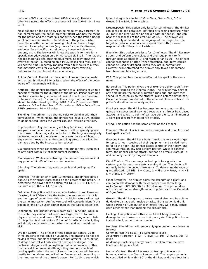delusion (60% chance) or poison (40% chance). Useless otherwise noted, the effects of a dose will last 1d6+6 10 minute turns.

Most potions on the list below can be made by any sorcerer (or non-sorcerer with the potion brewing talent) who has the recipe for the potion and the materials and time, see the Potion Recipe scroll for more information. In addition to the potions listed here, those with the potion brewing talent can brew a large number of everyday potions (e.g. cures for specific diseases, antidotes for a specific natural poison, household cleaning potions, etc.). The brewer will know the specific formula for a specific everyday potion on a MIND-based skill roll. If he has the needed materials and brewing equipment, he may brew the everyday potion (succeeding on a MIND-based skill roll). The GM will set the time (generally ranging from a few hours to a week) and materials costs for everyday potions. Many everyday potions can be purchased at an apothecary.

*Animal Control:* The drinker may control one or more animals with a total hit dice of 3d6 or less. When the effect of the potion wears off, the animals will flee.

*Antidote:* The drinker becomes immune to all poisons of up to a specific strength for the duration of the potion. Poison from noncreature sources (e.g. a Potion of Poison) should be considered to be as if from a 7HD creature. The strength of the potion should be determined by rolling 1d10:  $1-4$  = Poison from 3HD creatures, 5-7 = Poison from 7HD creatures, 8-9 = Poison from 15HD creatures, 10 = All poison.

*Blending:* The drinker may change color to blend in with their surroundings. When hiding, the drinker will have a 90% chance to go unnoticed unless the viewer can see invisible creatures.

*Bug Repellent:* Any normal or giant bug (an insect, spider, scorpion, centipede, or other arthropod) will completely ignore the drinker unless magically controlled. If the bugs are magically controlled to attack the drinker, the drinker gets  $a + 4$  bonus to any saving throws against the controlling effect that allow the damage done by the insects to be reduced.

*Clairaudience:* While concentrating, the drinker may listen as if at any point within 60' of their current location.

*Clairvoyance:* While concentrating, the drinker may see as if at any point within 60' of their current location.

*Climbing:* The drinker may walk on walls and ceilings as if a spider.

*Defense:* This potion only lasts 10 minutes. The drinker gets a bonus to their armor class based on the power of the potion. To determine the power of the potion, roll  $1d10$ :  $1-3 = +1$ ,  $4-5 =$  $+2$ ,  $6-7 = +3$ ,  $8-9 = +4$ ,  $10 = +5$ .

*Delusion:* This potion will have no effect when drunk. However, if tasted, it will falsely give the taster the impression that it is another type of potion from this list. Multiple tasters will all get the same impression. An Analyze spell will correctly identify this potion as one of Delusion rather than as the type it tastes like.

*Diminution:* The drinker shrinks down to 6" in height. While in this state they cannot hurt creatures larger than 1' tall with physical attacks, and have a 90% chance of being able to hide. If this potion is drunk while a Potion of Growth is in effect, they will simply cancel each other rather than making the drinker sick.

*Dragon Control:* The drinker of this potion can control up to three dragons of sub-adult or younger. The dragons do not get saving throws, but older dragons are not affected. Each potion of dragon control will only control one type of dragon. The controlled dragons will do anything that is commanded (other than suicidal commands) although they are not capable of casting spells. When the control ends, the dragons will become hostile to the drinker and will either flee or attack depending on their impression of the drinker's power. Roll 1d10 to see which

type of dragon is affected:  $1-2 = Black$ ,  $3-4 = Blue$ ,  $5-6 =$ Green,  $7 - 8 = Red$ ,  $9 - 10 = White$ .

*Dreamspeech:* This potion only lasts for 10 minutes. The drinker can speak to one paralyzed, petrified or sleeping creature within 30' (only one creature can be spoken with per potion) and can hear the responses of the creature via ESP. The drinker will automatically understand the language of the target, but the target is under no compulsion to speak the truth (or even respond at all) if they do not wish to.

*Elasticity:* This potion only lasts for 10 minutes. The drinker may stretch and deform themselves and their equipment to fit through gaps as small as 1" and reach as far as 30'. The drinker cannot cast spells or attack while stretched, and items carried cannot be used or dropped unless they are in normal form. However, while stretched the drinker only takes half damage from blunt and bashing attacks.

*ESP:* This potion has the same effect at the spell of the same name.

*Ethereality:* This potion gives the drinker the ability to shift from the Prime Plane to the Ethereal Plane. The drinker may shift at any time before the potion's duration runs out, and may then spend up to 24 hours on the ethereal plane before shifting back. Once the drinker has shifted to the ethereal plane and back, the potion's duration immediately expires.

*Fire Resistance:* The drinker becomes immune to normal fire, gains a +2 bonus on all saving throws against fire or heat based attacks, and takes –1 point of damage per die (to a minimum of 1 point per die) from magical fire attacks.

*Flying:* This potion has the same effect as the Fly spell.

*Freedom:* The drinker is immune to paralysis and to all forms of Hold spell or effect.

*Gaseous Form:* The drinker's body transforms to a cloud of gas for up to 1 hour, causing all their equipment and carried items to fall to the floor. The drinker keeps control of their body, and can move through any non-airtight barrier. While in gaseous form, the drinker cannot attack, but has an armour class of –2 and can only be hit by magical weapons.

*Giant Control:* The user may control up to four giants of a certain type, but each one gets a saving throw. The giants will normally be hostile once control ends. To determine the type of giant affected, roll 1d6:  $1 =$  Cloud,  $2 =$  Fire,  $3 =$  Frost,  $4 =$  Hill,  $5 =$  Stone,  $6 =$  Storm.

*Giant Strength:* The drinker gains the strength of a giant, and can do double damage with melee weapons or throw large rocks (range: 60/130/200) for 3d6 damage. This potion does not stack with other strength enhancing items such as Gauntlets of Ogre Power.

*Growth:* The drinker grows to twice normal size, and be able to do double damage with melee attacks. If this potion is drunk while a Potion of Diminution is in effect, they will simply cancel each other rather than making the drinker sick.

*Healing:* This potion will either cure 1d3+1 body points of damage to the drinker or cure their paralysis. This potion has an instant effect, rather than a duration.

*Heroism:* The drinker will temporarily gain one or more levels as follows:

Common Man (no class): +3 Adventurer levels.

Adventurer/Sorcerer: 1-12: +1 level, 13-19: +2 levels, 20: +3 levels

All damage (including energy drains) is taken from the extra levels and hit points first.

*Human Control:* The drinker may control up to 6 levels of humans, similar to a Charm Person spell. The targets can only be controlled while within 60' of the drinker, and the effect lasts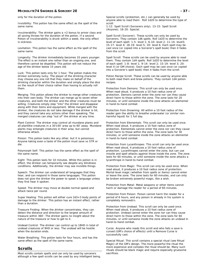#### **MICROLITE74 SWORDS & SORCERY 2E - 37 -**

only for the duration of the potion.

*Invisibility:* This potion has the same effect as the spell of the same name.

*Invulnerability:* The drinker gains a +2 bonus to armor class and all saving throws for the duration of the potion. If a second Potion of Invulnerability is drunk within a week, the only effect is sickness.

*Levitation:* This potion has the same effect as the spell of the same name.

*Longevity:* The drinker immediately becomes 10 years younger. The effect is an instant one rather than an ongoing one, and therefore cannot be dispelled. This potion will not reduce the age of the drinker below 15 years old.

*Luck:* This potion lasts only for 1 hour. The potion makes the drinker extremely lucky. The player of the drinking character may choose any one roll that they make on behalf of the drinking character within the duration and simply place the dice on the result of their choice rather than having to actually roll them.

*Merging:* This potion allows the drinker to merge other creatures into their own body. The drinker can merge up to seven other creatures, and both the drinker and the other creatures must be willing. Creatures simply step "into" the drinker and disappear along with their items and equipment. While merged with the drinker, the creatures do not take damage if the drinker is hit, and they cannot take any actions other than speaking. The merged creatures can step "out of" the drinker at any time.

*Plant Control:* The drinker may control all mundane plants and all plantlike creatures in a 30'x30' area up to 60' away. Mundane plants may entangle creatures in their area, but cannot otherwise attack.

*Poison:* This potion looks like any other, but it is poisonous. Anyone taking even a taste of the potion must save vs STR or die.

*Polymorph Self:* This potion has the same effect as the spell of the same name.

*Sight:* This potion lasts for 10 minutes. While this potion is in effect, the drinker can temporarily see despite any blindness conditions. Additionally, the drinker may see invisible things.

*Speech:* The drinker can understand all languages that they hear, and can respond in those same languages. This potion does not give the drinker the power to speak a language unless they first hear it spoken.

*Speed:* The drinker may move at double normal speed and attack twice per round.

*Super Healing:* This potion will either cure 2d3+3 body points of damage to the drinker. This potion has an instant effect, rather than a duration.

*Treasure Finding:* When the drinker concentrates, they can detect the distance and direction to the largest amount of treasure within 360'. The drinker gains no insight about the nature of the treasure or how to get to it.

*Undead Control:* The drinker can control up to 18HD in total of undead creatures of 9HD or less. The undead will be hostile when the duration ends.

*Water Breathing:* This potion lasts for four hours, and has the same effect as the spell of the same name.

#### **Scrolls**

Most scrolls contain spells and can only be used by sorcerers although a few spell scrolls can be used by any intelligent being. Special scrolls (protection, etc.) can generally be used by anyone able to read them. Roll 1d20 to determine the type of scroll:

1-12: Spell Scroll (Sorcerers only); 13-15: Spell Scroll (Anyone); 16-20: Special.

*Spell Scroll (Sorcerer):* These scrolls can only be used by Sorcerers. They contain 1d6 spells. Roll 1d20 to determine the level of each spell: 1-5: level 1; 6-10: level 2; 11-14: level3; 15-17: level 4; 18-19: level 5; 20: level 6. Each spell may be cast once (or copied into a Sorcerer's spell book) then it fades from the scroll.

*Spell Scroll:* These scrolls can be used by anyone able to read them. They contain 1d4 spells. Roll 1d20 to determine the level of each spell: 1-8: level 1; 9-14: level 2; 15-19: level 3; 20: level 4 (or GM choice). Each spell may be cast once (or copied into a Sorcerer's spell book) then it fades from the scroll.

*Potion Recipe Scroll:* These scrolls can be used by anyone able to both read them and brew potions. They contain 1d4 potion recipes.

*Protection from Demons:* This scroll can only be used once. When read aloud, it produces a 10 foot radius zone of protection. Demons cannot enter the zone nor can they cause direct harm to those within the zone. The zone lasts for 20 minutes, or until someone inside the zone attacks an elemental in hand-to-hand combat.

*Protection from Drowning:* All within a 10 foot radius of the reader gain the ability to breathe underwater (or similar nonharmful liquid) for 1 full day.

*Protection from Elementals:* This scroll can only be used once. When read aloud, it produces a 10 foot radius zone of protection. Elementals cannot enter the zone nor can they cause direct harm to those within the zone. The zone lasts for 30 minutes, or until someone inside the zone attacks an elemental in hand-to-hand combat.

*Protection from Lycanthropes:* This scroll can only be used once. When read aloud, it produces a 10 foot radius zone of protection. Lycanthropes cannot enter the zone, but can use missile and spell attacks against those inside the zone. The zone lasts for 60 minutes, or until someone inside the zone attacks a lycanthrope in hand-to-hand combat.

*Protection from Magic:* This scroll can only be used once. When read aloud, it produces a 10 foot radius zone of protection. Mortal level magic (whether from spells or items) cannot enter or leave the zone. The zone lasts for 60 minutes, and can only be broken extremely powerful magic, like a wish.

*Protection from Metal:* Metal weapons or other items cannot harm or damage the reader for a period of 60 minutes.

*Protection from Poison:* Poison cannot harm the reader for a period of 6 hours, and any poison in already in his system is completely removed/n.

*Protection from Undead:* This scroll can only be used once. When read aloud, it produces a 10 foot radius zone of protection. Undead cannot enter the zone nor can they cause direct harm to those within the zone. The zone lasts for 60 minutes, or until someone inside the zone attacks an undead in hand-to-hand combat.

*Curse:* Anyone who reads this scroll and who fails a save is cursed (GM's choice of effects) until a Remove Curse is successfully cast.

*Special Ritual:* This scroll contains a special ritual (see Ritual Magic) of the GM's design. The more powerful the ritual the more expensive and complex the ritual should be. Many such rituals should be black magic and require especially gruesome sacrifices.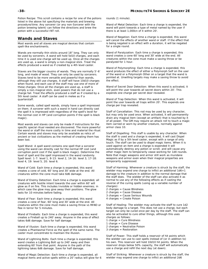#### **Wands and Staves**

Most wands and all staves are magical devices that contain spell-like enchantments.

Wands are normally thin sticks around 18" long. They can only be used by sorcerers. A wand will hold 5d10 charges, and each time it is used one charge will be used up. Once all the charges are used up, a wand is simply a non-magical stick. Treat the effects produced a wand as if created by a 4th level caster.

Staves are the bigger cousins of wands. They are normally 5'-6' long, and made of wood. They can only be used by sorcerers. Staves tend to be more versatile and powerful than wands, although they still use charges. A staff will have 10d10 charges when found, and each use of the staff may use one of more of these charges. Once all the charges are used up, a staff is simply a non-magical stick, even powers that do not use a charge fail. Treat the effects produced a staff as if created by a 5th level caster. A staff can be used in melee as if a quarterstaff.

Some wands, called spell wands, simply have a spell impressed on them. A sorcerer with such a wand in hand can directly cast the spell it is impressed with regardless of the spell's level for the normal cost in HP (and corruption points if the spell is black magic).

Most wands and staves can only be made if instructions for the specific special ritual needed are discovered. The more powerful the wand or staff the more costly in time and material the ritual. Certain wands and staves may only be available as relics of ancient or lost civilizations as the method of creating them has been lost.

*Spell Wand:* A spell wand contains one spell that a sorcerer using the wand can directly cast for the normal HP cost (and corruption point cost if the spell is black magic). Determine the level of spell and the spell impressed in the wand randomly. Spell level: 1-7: level 1, 8-13: level 2, 14-16: level 3, 17-18: level 4, 19: level 5, 20: level 6.

*Wand of Cold:* Each time a charge is expended, this wand creates a cone of cold, 60' long and 30' wide at the end. All creatures within the cone must take 6d6 damage.

*Wand of Enemy Detection:* Each time a charge is expended, all creatures with hostile intent towards the user within 60' will glow as if on fire. This includes Invisible or hidden enemies; in which case the glow may give away their positions. The glow lasts for 10 minutes before fading.

*Wand of Fear:* Each time a charge is expended, this wand creates a cone of fear, 60' long and 30' wide at the end. All creatures within the cone must make a saving throw vs MIND or flee in terror for 5 minutes.

*Wand of Fireballs:* Each time a charge is expended, this wand creates a Fireball up to 240' away. Anyone in the area of effect takes 6d6 damage. Save for half damage.

*Wand of Illusion:* Each time a charge is expended, this wand creates a Phantasmal Force as the spell of the same name. The caster must concentrate to maintain the illusion.

*Wand of Lightning Bolts:* Each time a charge is expended, this wand creates a Lightning Bolt up to 240' away and then extending 60' from that point. Anyone in the path of the lightning takes 6d6 damage. Save for half damage.

*Wand of Magic Detection:* Each time a charge is expended, all magical items and active spells within a 20' radius will glow for 6 rounds (1 minute).

*Wand of Metal Detection:* Each time a charge is expended, the wand will point towards a type of metal named by the user if there is at least 1,000cn of it within 20'.

*Wand of Negation:* Each time a charge is expended, this wand will cancel the effects of another wand or staff. If the effect that is being negated is an effect with a duration, it will be negated for a single round.

*Wand of Paralyzation:* Each time a charge is expended, this wand creates a cone 60' long and 30' wide at the end. All creatures within the cone must make a saving throw or be paralyzed for 1 hour.

*Wand of Polymorphing*: Each time a charge is expended, this wand produces the effect of either a Polymorph Self on the user of the wand or a Polymorph Other on a target that the wand is pointed at. Unwilling targets may make a saving throw to avoid the effect.

*Wand of Secret Door Detection:* When this wand is activated, it will point the user towards all secret doors within 20'. This expends one charge per secret door revealed.

*Wand of Trap Detection:* When this wand is activated, it will point the user towards all traps within 20'. This expends one charge per trap revealed.

*Staff of Cancellation:* This rod may be used by any character, but may only be used once. When activated, it will permanently drain any magical item (except an artifact) that is touched by it of all power. The GM may require an attack roll to touch a magic item carried or worn by another creature, normally against armor class 10.

*Staff of Dispelling:* This staff is usable by any character. When the staff is used and a charge is expended, it will cast Dispel Magic as if by a 5th level caster, except with a range of only touch. The staff can be used to dispel magic items. When it is used against an item and a charge is expended it will automatically destroy any potion or scroll; and will cause any other magic item to temporarily cease working for 1d4 rounds. Note that magic weapons and armor still work as mundane weapons and armor even when their magical properties are temporarily suppressed.

*Staff of Harming*: Whenever a creature is struck by the staff, the wielder may expend one charge to inflict an additional 1d6+1 damage to the creature in addition to the normal damage that the staff does. The wielder of the staff can also activate it as normal to use any of the following effects as if casting the reverse of the curing spells (using up a variable number of charges):

- 2 charges = Cause Blindness
- 2 charges = Cause Disease
- 3 charges = Cause Serious Wounds
- 4 charges = Create Poison

*Staff of Healing:* The wielder may activate the staff to cure 1d2 body damage to a target. This does not use a charge, but each target can only be cured once per day by the staff. The staff can also be activated to cure other things, although this uses charges as follows:

1 charge = Cure Blindness 1 charge = Cure Disease 2 charges = Neutralize Poison 3 charges = Restoration

*Staff of Power:* This staff holds a reservoir of hit points which the wielder can use to cast spells instead of (or in addition to) his own. This reservoir will hold 10d10 hit points. When the reservoir drops below 50% capacity, the staff will automatically use a charge and refill the next day (at dawn).

*Staff of Striking:* Whenever a creature is struck by the staff, the wielder may expend one charge to inflict an additional 2d6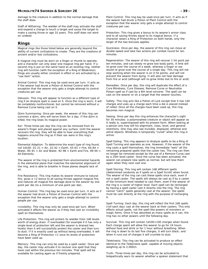#### **MICROLITE74 SWORDS & SORCERY 2E - 39 -**

damage to the creature in addition to the normal damage that the staff does.

*Staff of Withering:* The wielder of the staff may activate the staff and expend a charge to touch a target and cause the target to make a saving throw or age 10 years. This staff does not work on undead.

#### **Rings**

Magical rings like those listed below are generally beyond the ability of current civilizations to create. They are the creations of ancient and/or lost civilizations.

A magical ring must be worn on a finger or thumb to operate, and a character can only wear one magical ring per hand. If a second ring is put on the same hand as an existing ring, neither ring will function (with the exception of a Ring of Weakness). Rings are usually either constant in effect or are activated by a "use item" action.

*Animal Control:* This ring may be used once per turn. It acts as if the wearer had drunk a Potion of Animal Control with the exception that the wearer only gets a single attempt to control creatures per use.

*Delusion:* This ring will appear to function as a different type of ring if an Analyze spell is used on it. Once the ring is worn, it will be completely nonfunctional, but cannot be removed without a Remove Curse being cast on it.

*Djinn Summoning:* Once per week, the wearer of this ring can summon a djinn, who will serve them for a day. If the djinn is killed, the ring loses its magical power.

*Ear:* Three times per day this ring can be removed from its wearer's finger and placed against any surface. Until the wearer recovers the ring, they will be able to hear everything that happens around the ring as if their ear were in the ring's location.

*Elemental Adaption*: To determine the exact type of ring found, roll 1d100: 01-21 = Air, 22-42 = Earth, 43-63 = Fire, 64-84 = Water, 85-91 = Air and Water, 92-98 = Earth and Fire, 99-00 = All Elements.

The wearer of the ring is protected from environmental hazards in the elemental plane that matches the elemental alignment of the ring, and is able to breathe in those planes despite lack of air.

*Fire Resistance:* This ring makes its wearer immune to natural fire, gives a +2 bonus to all saving throws against magical fire, and reduces all magical fire damage done to the wearer by one point per die (to a minimum of one point per die).

*Human Control:* This ring bay be used once per turn. It acts as if the wearer had drunk a Potion of Human Control with the exception that the wearer only gets a single attempt to control people per use.

*Invisibility:* This ring may only be used once per turn. When activated it affects the wearer as if they had cast an Invisibility spell on themselves.

*Life Protection:* This ring will protect its wielder from 1d6 levels worth of energy drain. If overloaded (for example if it has only a single level of protection left and the wearer is drained two levels) then it will successfully protect the caster and then turn to dust. If it is exactly used up without being overloaded, it will become a Ring of Protection +1 once its levels of protection have been used up.

*Memory:* This ring can only be used by a spell caster. Once per day, the caster may activate it to recover one spell that they have cast within the previous ten minutes. That spell will be available for casting again as if freshly prepared.

*Plant Control:* This ring bay be used once per turn. It acts as if the wearer had drunk a Potion of Plant Control with the exception that the wearer only gets a single attempt to control creatures per use.

*Protection:* This ring gives a bonus to its wearer's armor class and to all saving throws equal to its magical bonus. If a character wears a Ring of Protection on both hands, only the larger of the two bonuses applies.

*Quickness:* Once per day, the wearer of this ring can move at double speed and take two actions per combat round for ten minutes.

*Regeneration:* The wearer of this ring will recover 1 hit point per ten minutes, and can slowly re-grow lost body parts. A limb will re-grow over the course of a week, whereas a finger or ear would re-grow over the course of a single day. This ring will not stop working when the wearer is on 0 hit points, and will not prevent the wearer from dying. It will also not heal damage from fire or acid (although will re-grow limbs lost to fire or acid).

*Remedies*: Once per day, this ring will duplicate the effect of a Cure Blindness, Cure Disease, Remove Curse or Neutralize Poison spell as if cast by a 6th level sorcerer. The spell can be cast on the wearer or on a target that the wearer touches.

*Safety:* This ring acts like a Potion of Luck except that it has 1d4 charges and uses up a charge each time a die is placed instead of rolled. Once all the charges have been used up, this ring becomes non-magical.

*Seeing:* Once per day this ring enhances the character's sight for 30 minutes: a polymorphed creature or object will appear as it really is, superimposed with its present form. When looking at a person one may tell his alignment, class, level, and general intentions. One may also see invisible, displaced, ethereal and astral objects. Blindness is temporally "cured" when this ring is active.

*Spell Eating:* This ring appears to Analyze spells to be a Ring of Spell Turning and operates as one. However, if the wearer of the ring casts a spell themselves, the ring immediate "eats" all the remaining prepared spells that the caster has. The ring can then no longer be removed except by the use of a Remove Curse cast by a 25th level caster. Once the curse has been activated, the wearer can prepare new spells as normal, but will lose them again when they next cast one.

*Spell Storing:* This ring will contain 1d6 different spells (determined randomly as if spells on a Spell Scroll) when found. The wearer of the ring can cast these spells once each, even if not a spell caster. The spells will always be cast as if by a caster of the minimum level needed to cast them, even if the wearer of the ring is a caster of higher level. Each spell can be recharged by having a spell caster cast it directly into the ring. The ring cannot "catch" spells generally cast at the wearer; the spells must be cast directly at the ring with the purpose of recharging it.

*Spell Turning:* Each day, this ring will reflect the first 2d6 spells (roll each day) cast at the wearer back at their casters. This only effects actual spells, not the spell-like powers of monsters or magic items. Once it has absorbed as many spells as it can, the ring has no other powers until the following day.

*Survival:* This ring will contain 1d100+100 charges when found. Each charge spent will allow the wearer to go for 24 hours without food and drink or for 1 hour without breathing. When the ring is down to its last five charges, it will turn black; and when it runs out of charges it will crumble to dust.

*Telekinesis:* This ring can be activated to produce an effect identical to the Telekinesis spell, capable of moving objects weighing up to 2,000cn.

*Truth:* Three times per day, this ring can be activated to telepathically warn its wearer whether a spoken statement that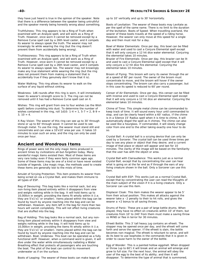they have just heard is true in the opinion of the speaker. Note that there is a difference between the speaker being untruthful and the speaker merely being honestly wrong about something.

*Truthfulness:* This ring appears to be a Ring of Truth when examined with an Analyze spell, and will work as a Ring of Truth. However, once worn it cannot be removed except by a Remove Curse spell cast by a 26th level caster, and it compels its wearer to always speak the truth. The wearer may not knowingly lie while wearing the ring (but the ring doesn't prevent them from accidentally being wrong).

*Truthlessnesss:* This ring appears to be a Ring of Truth when examined with an Analyze spell, and will work as a Ring of Truth. However, once worn it cannot be removed except by a Remove Curse spell cast by a 26th level caster, and it compels its wearer to always speak lies. The wearer may not knowingly make any true statement while wearing the ring (but the ring does not prevent them from making a statement that is accidentally true if they genuinely don't know that it is).

*Water Walking:* This ring allows its wearer to walk on the surface of any liquid without sinking.

*Weakness:* 1d6 rounds after this ring is worn, it will immediately lower its wearer's strength score to 3. The ring can not be removed until it has had a Remove Curse spell cast on it.

*Wishes:* This ring will grant from one to four wishes (as the Wish spell) before crumbling into dust. To determine the number of wishes contained in the ring, roll 1d10:  $1-4 = 1$ ,  $5-7 = 2$ ,  $8-9 = 1$  $3, 10 = 4.$ 

*X-Ray Vision:* The wearer of this ring can see up to 30' through stone or up to 60' through wood. It cannot be used to see through metal. To use the ring, the wearer must stand still and concentrate and can view a 10'x10' area per use. It takes 10 minutes to scan such an area, and the ring can only be used once per hour.

#### **Ancient and Wondrous Items**

Rings of power were not the only magic items produced in ancient times by civilizations all-but-forgotten today. Many wonderful magic items existed then. Most of these items are very rare today even if they were fairly common ages ago. Some of these items may be one of a kind or have never existed outside of legends. Like magic rings, the methods used to create these items are generally lost to the mists of time.

*Amulet of Scrying Protection*: This item protects its wearer from being scried on via a Crystal Ball, and makes them immune to all types of ESP.

*Bag of Devouring*: This bag looks like a normal sack, but any non-living item placed entirely within it disappears from view and weighs nothing while in the bag. It will hold items up to 10,000cn in weight, providing the items fit wholly within it (i.e. they are 5'x1'x1' or smaller). Items placed within the bag can be found by touch by anyone reaching into the bag and can be withdrawn. However, any item left in the bag for more than two hours will vanish completely. This will not affect living creatures that are stuffed into the bag.

*Bag of Holding:* This bag looks like a normal sack, but any nonliving item placed entirely within it disappears from view and weighs nothing while in the bag. It will hold items up to 10,000cn in weight, providing the items fit wholly within it (i.e. they are 5'x1'x1' or smaller). Items placed within the bag can be found by touch by anyone reaching into the bag and can be withdrawn. Boat, Undersea: This boat can be operated as a fully functional skiff. However, when a command word is given, it will dive under the water while simultaneously radiating a Water Breathing effect that protects all passengers who are touching the boat. The pilot of the boat can control its movement underwater as if on the surface.

*Boots of Leaping:* The wearer of these boots can make leaps of

up to 10' vertically and up to 30' horizontally.

*Boots of Levitation:* The wearer of these boots may Levitate as per the spell of the same name. There is no limit to the duration of the levitation. Boots of Speed: When travelling overland, the wearer of these boots travels at the speed of a riding horse. However, the wearer can only move at this speed for a single day and then must rest for a day.

*Bowl of Water Elementals:* Once per day, this bowl can be filled with water and used to cast a Conjure Elemental spell except that it will only conjure a 12 hit dice water elemental. Conjuring the elemental takes 10 minutes. *Brazier of Fire Elementals:* Once per day, this brazier can be lit

and used to cast a Conjure Elemental spell except that it will only conjure a 12 hit dice fire elemental. Conjuring the elemental takes 10 minutes.

*Broom of Flying:* This broom will carry its owner through the air at a speed of 80' per round. The owner of the broom must concentrate to move, and the broom will hover if the owner stops concentrating. The broom can also carry a passenger, but in this case its speed is reduced to 60' per round.

*Censer of Air Elementals:* Once per day, this censer can be filled with incense and used to cast a Conjure Elemental spell except that it will only conjure a 12 hit dice air elemental. Conjuring the elemental takes 10 minutes.

*Chime of Time:* This simple metal chime can be commanded to keep track of time. It will sound every hour until commanded to stop, and can be clearly heard within a 60' radius. If the chime is in a Silence 15' Radius spell when it is time to chime, it will automatically dispel the spell as it chimes. The chime can also be used like a hourglass. If commanded, it will slowly change color from one end to the other taking exactly one hour to do so.

*Crystal Ball:* A crystal ball is a scrying device that can only be used by a Sorcerer. The crystal ball can be used three times per day to see any place or object that they desire; and a current image of that place or object will appear and last for 10 minutes. The clarity of the image will be based on the familiarity that the user has with the object or area.

*Crystal Ball with Clairaudience:* This works just as a normal Crystal Ball, except that by concentrating the user can hear what is going on at the far end as if through the ears of any living creature shown in the ball. Only a Sorcerer can use this item.

*Crystal Ball with ESP:* This works just as a normal Crystal Ball, except that by concentrating the user can read the thoughts of the main subject of the vision if it is a living creature. Only a Sorcerer can use this item.

*Displacer Cloak:* This item makes the wearer appear to be 5' from their actual position. This makes all attacks against the wearer take a –2 penalty to their to hit rolls, and gives the wearer a +2 bonus to all saving throws.

*Drums of Panic:* These are a pair of large kettle drums. When played, they have no effect on creatures within 10' of them, but creatures from 10' to 240' from them must make a saving throw vs MIND or flee in terror for 30 minutes.

*Efreeti Bottle:* This 3' tall heavy jug contains an efreeti. The stopper may be opened once per day, and the efreeti will come forth and serve the opener. If the efreeti is slain, the bottle becomes non-magical. The efreeti is reluctant to serve, and will do its best to use loopholes in the commands that it is given in order to cause harm to the owner of the bottle.

*Egg of Wonder:* This is a painted hollow eggshell. When dropped or throw (up to 60') it will break and an animal will emerge and grow to full size. For the next hour, the animal will obey the user of the egg to the best of its ability; and then it will disappear. To determine the type of animal that is summoned,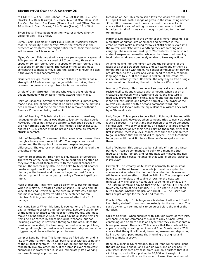#### **MICROLITE74 SWORDS & SORCERY 2E - 41 -**

roll 1d12:  $1 =$  Ape (Rock Baboon),  $2 =$  Bat (Giant),  $3 =$  Bear (Black),  $4 = \text{Bean}$  (Grizzly),  $5 = \text{Boar}$ ,  $6 = \text{Cat}$  (Mountain Lion),  $7 = Cat$  (Panther),  $8 = Ferret$  (Giant),  $9 = Lizard$  (Giant Gecko), 10 = Lizard (Giant Draco), 11 = Snake (Racer), 12 = Wolf.

*Elven Boots:* These boots give their wearer a Move Silently ability of 75%, like a thief.

*Elven Cloak:* This cloak is just like a Ring of Invisibility except that its invisibility is not perfect. When the wearer is in the presence of creatures that might notice them, their faint outline will be seen if a 1 is rolled on 1d6.

*Flying Carpet:* This carpet will carry one passenger at a speed of 100' per round, two at a speed of 80' per round, three at a speed of 60' per round, four at a speed of 40' per round, or five at a speed of 20' per round. The owner of the carpet must concentrate to make it move, and the carpet will hover in place if the owner stops concentrating.

*Gauntlets of Ogre Power:* The owner of these gauntlets has a strength of 18 while wearing the gauntlets, but taking them off return's the owner's strength back to its normal value.

*Girdle of Giant Strength:* Anyone who wears this girdle does double damage with whatever melee attacks they make.

*Helm of Blindness:* Anyone wearing this helmet is immediately made blind. The blindness cannot be cured until the helmet has been removed, and the helmet cannot be removed without a Remove Curse spell being cast on it.

*Helm of Reading:* This helmet allows the wearer to read any language or cipher, and allows them to identify magical scrolls. However, it does not allow the wearer to use Spell Scrolls if they are not normally able to do so. This helmet is rather delicate, and has a 10% chance of being broken each time its wearer is struck in combat.

*Helm of Telepathy:* The wearer of this helmet can transmit their thoughts to any creature within 60'. The target creature will understand the thoughts of the wearer despite language differences. The wearer may also use the ESP spell to read the thoughts of others.

*Helm of Teleportation:* This helm is only usable by Sorcerers. The wearer of the helm may use the Teleport spell as often as they like to teleport themselves, with the normal chances of failure. The wearer may also use the helm to Teleport another creature (again, as if casting the spell). However, doing this discharges the helmet and it can no longer be used for any teleporting until it is recharged by having a Teleport spell cast into it.

*Horn of Blasting:* This horn can be blown once per ten minutes. When it is blown, it creates a cone of sound 100' long and 20' wide at the end. Everyone in the area must take 2d6 damage and make a saving throw vs STR or be deafened for ten minutes. Buildings and ships in the area of effect take 1d8 damage.

*Hurricane Lamp:* When this lamp is opened for the first time in a day, a hurricane of wind and rain emerge. Everyone within 30' of the lamp is knocked to the floor for three rounds, and must make a saving throw vs DEX to avoid having all loose items or items held or carried by them (including weapons, but not including clothing) is scattered throughout the area. Once the hurricane has ended, the lamp may be used as a Lamp of Long Burning, although the hurricane will reset each day and must be triggered again before the lamp can be used.

*Lamp of Long Burning:* This lamp must be filled with oil and lit like any other lantern, but it will burn forever without using any of the oil that it contains. The lamp can be put out and re-lit repeatedly like any other lamp. If the lamp is ever completely submerged in water while lit, it will immediately stop working and lose its magical properties.

*Medallion of ESP:* This medallion allows the wearer to use the ESP spell at will, with a range as given in the item listing (either 30' or 90'). However, each time it is used, there is a 1 in 6 chance that instead of letting its wearer read minds, it will broadcast its all of its wearer's thoughts out loud for the next ten minutes.

*Mirror of Life Trapping:* If the owner of this mirror presents it to a creature of human size or smaller and activates it, the creature must make a saving throw vs MIND or be sucked into the mirror, complete with everything they are wearing and carrying. The mirror can hold up to 20 creatures, who exist in a state of suspended animation while in the mirror, not needing food, drink or air and completely unable to take any actions.

Anyone looking into the mirror can see the reflections of the faces of all those trapped inside, and can wake any of them up temporarily to talk with them. No special communication powers are granted, so the viewer and victim need to share a common language to talk in. If the mirror is broken, all the creatures inside are instantly freed. However, the only way to free a single creature without breaking the mirror is to is a Wish spell.

*Muzzle of Training:* This muzzle will automatically reshape and resize itself to fit any creature with a mouth. When put on a creature and locked with a command word, the creature is magically prevented from biting, talking and casting spells; but it can still eat, drinkd and breathe normally. The owner of the muzzle can unlock it with a second command word, but otherwise it is locked with the equivalent of a Wizard Lock cast by a 6th level caster.

*Nail, Finger:* This appears to be a Nail of Pointing if checked with an Analyze spell. However, when someone tries to use it as such it will disappear. The next time that person tries to be unnoticed (by disguise, Invisibility or hiding), an illusion of a large glowing hand will appear above their head pointing them out. After that first instance, there is a 25% chance each time the person tries to go un-noticed that the hand will re-appear. This will continue to happen until the victim has a Remove Curse spell cast on them.

*Nail of Pointing:* This appears to be a simple 6" iron nail. Once per day, it can be commanded to point to a mundane (not magical or living) object, and for the next ten minutes the nail will point at the closest instance of that type of object (distance is irrelevant).

*Ointment:* This creamy white salve is normally found in small jars. To use the ointment, the whole jar must be applied to someone's skin. When the ointment is applied in this manner, it will have a random effect, rolled on 1d6:  $1 =$  The user gets a +2 bonus to armor class and saving throws for the next ten minutes,  $2 =$  The user is healed  $2d6+2$  points of damage,  $3 =$ The user must make a saving throw vs STR or die,  $4 =$ The user takes 2d6 points of acid damage,  $5 =$  The user is cured of all burn damage, whether magical or normal,  $6 =$  The user's skin turns bright orange for the next 1d4 months.

*Pouch of Security:* If this large sack is stolen, it will shout "Help! I am being stolen!" in common repeatedly for the next hour. The sack's owner can command it to be quiet before the end of the duration.

*Quill of Copying:* When supplied with 1,000gp worth of rare inks, any spell user can command this quill to copy a Spell Scroll containing one or more spells of a type that they can cast onto a blank parchment. There is a 75% chance that the spells will be copied correctly, creating two identical Spell Scrolls, and a 25% chance that the quill will burst, becoming useless and depositing its ink over both parchments (both ruining the original and failing to make a copy).

*Rope of Climbing:* On command, this 50' rope will wriggle along the ground like a snake, and even up walls and on ceilings. It can fasten itself onto any solid protrusion on a surface that it is climbing up, and will support up to 10,000cn of weight. A second command will cause the rope to loosen itself and re-coil.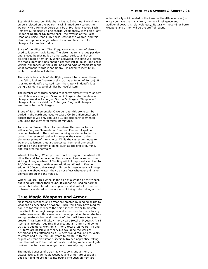#### **-42- MICROLITE74 SWORDS & SORCERY 2E**

*Scarab of Protection:* This charm has 2d6 charges. Each time a curse is placed on the wearer, it will immediately target the wearer with a Remove Curse as if by a 36th level caster. Each Remove Curse uses up one charge. Additionally, it will block any Finger of Death or Obliterate spell (the reverse of the Raise Dead and Raise Dead Fully spells) cast at the wearer; and this also uses up one charge. When the scarab has run out of charges, it crumbles to dust.

*Slate of Identification:* This 3' square framed sheet of slate is used to identify magic items. The slate has ten charges per day, and is used by placing it on a horizontal surface and then placing a magic item on it. When activated, the slate will identify the magic item (if it has enough charges left to do so) and chalk writing will appear on the slate indicating type of magic item and what command words it has (if any). If asked to identify an artifact, the slate will shatter.

The slate is incapable of identifying cursed items, even those that fail to fool an Analyze spell (such as a Potion of Poison). If it is asked to identify a cursed item, the slate will identify it as being a random type of similar but useful item.

The number of charges needed to identify different types of item are: Potion =  $2$  charges, Scroll =  $3$  charges, Ammunition =  $3$ charges, Wand = 4 charges, Staff = 5 charges, Weapon =  $6$ charges, Armor or shield = 7 charges, Ring = 8 charges, Wondrous item  $= 9$  charges.

*Stone of Earth Elementals:* Once per day, this stone can be buried in the earth and used to cast a Conjure Elemental spell except that it will only conjure a 12 hit dice earth elemental. Conjuring the elemental takes 10 minutes.

*Talisman of Travel:* This talisman allows the wearer to cast either a Conjure Elemental or Summon Elemental spell in reverse. Instead of the spell summoning an elemental to the caster, the reversed spell will transport the caster to the elemental plane of their choice. While the caster continues to wear the talisman, they are protected from environmental damage on the elemental plane, such as choking or burning, and can breathe normally.

Wheel of Floating: When put on a cart or wagon, this wheel will allow the cart to be pulled on the surface of water rather than sinking. A single Wheel of Floating will hold up a vehicle of up to 10,000cn in weight, with every additional Wheel of Floating adding 5,000cn to that weight. Although these wheels will keep the vehicle above water, they do not effect whatever animal or animals are pulling the vehicle.

*Wheel, Square:* This wheel is the size of a wagon or cart wheel, but is square rather than round. It cannot be used on normal terrain, but when fitted to a wagon or cart it will allow the cart to travel over desert or mountain as if being pulled along a road.

#### **True Magic Weapons and Armor**

Most magic weapons and armor are created by binding spirits to weapons as described elsewhere. Such items only have magical bonuses for rounds where the spirit spends Power to activate the effect. True magic weapons and armor can be made by any master weaponsmith or master armorer, provided he or she has enough meteoric iron and time.  $A + 1$  item will take a full year to create. A  $+2$  item will take 4 more years (total of 5 years). A  $+3$ item is a lifework, requiring first creating  $a + 2$  item and doing 20 years additional work on it -- for a total of 25 years. +4 and +5 items are possible in theory but would be the work of generations of craftsmen as a +4 item would require 125 years to create and a +5 item 600 years to create, with the original/current craftsman's specially trained apprentice taking over the task -- if the chain of master training replacement gets broken, the item can no longer be successfully improved.

The magic bonuses of true magic weapons and armor are always active. True magic weapons and armor are especially good for binding spirits (spirits bound into such an item are

automatically spirit sealed in the item, as the 4th level spell) so once you have the magic item, giving it intelligence and additional powers is relatively easy. Naturally, most +3 or better weapons and armor will be the stuff of legend.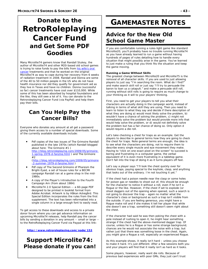## **Donate to the RetroRoleplaying Cancer Fund and Get Some PDF Goodies**

Many Microlite74 gamers know that Randall Stukey, the author of Microlite74 and other M20-based old school games is trying to raise funds to pay the bills from his wife's oral cancer treatments and that he worked on the original Microlite74 as way to cope during her recovery from 6 weeks of radiation treatment in 2008. Randall and Donna are some of the 40 to 50 million people in the US who do not have health insurance nor did they qualify for government aid as they live in Texas and have no children. Donna (successful so far) cancer treatments have cost over \$110,000. While some of this has been absorbed by hospital foundations and the like, they still owe a lot of it. You can donate to the Retroroleplaying Cancer Fund (via PayPal) and help them pay their bills.

### **Can You Help Pay the Cancer Bills?**

Everyone who donates any amount at all get a password giving them access to a number of special downloads. *Some* of the currently available downloads include:

- Pdf copies of the two issues of The Grimoire Randall published in the late 1970s (which Randall blogged about here: The Grimoire #1 ( http://blog.retroroleplaying.com/2009/05/grimoire-1-spring-1978-d-fanzine.html) and The Grimoire  $#2$ (http://blog.retroroleplaying.com/2009/05/grimoire -2-summer-1979-d-fanzine.html )
- Pdf copy of The Second Grimoire of Pharesm the Bright-Eyed, a set of house rules for a BECMI campaign Randall ran at a game shop in the mid-1980s.
- A copy of the Player's Introduction to the Fourth Campaign Arn (from about 1984)
- Microlite74 2.0 Special Edition -- a 60-page PDF designed to be printed in booklet format from Adobe Acrobat. Artwork is by Håkan Ackegård. This Special Edition incorporates the rules from the first supplement. The text has been reformatted into a single column in a large enough font to easily read.

To get access to these downloads and access to a private donor forum where you can get advance information on upcoming Microlite74 releases, help Randall pay the cancer bills by sending a donation in any amount -- small or large - to the RetroRoleplaying Cancer Fund via Paypal at this link:

**http://www.retroroleplaying.com/node/153**

### **Support Microlite74: Please donate if you can!**

# **GAMEMASTER NOTES**

### **Advice for the New Old School Game Master**

If you are comfortable running a rules-light game like standard Microlite20, you'll probably have no trouble running Microlite74 as you have already learned to run a game without having hundreds of pages of rules detailing how to handle every situation that might possibly arise in the game. You've learned to just make a ruling that you think fits the situation and keep the game moving.

#### **Running a Game Without Skills**

The greatest change between Microlite20 and Microlite75 is the removal of all character skills. If you are used to just allowing players to just say "I'm searching the room. What do I find?" and make search skill roll or just say "I'll try to persuade the baron to loan us a catapult." and make a persuade skill roll, running without skill rolls is going to require as much change to your thinking as it will to your players' thinking.

First, you need to get your players to tell you what their characters are actually doing in the campaign world, instead of talking in terms of what skill they are using. Then you need to learn to listen to what they say and decide if there description of what they are doing a) would most likely solve the problem, b) wouldn't have a chance of solving the problem, c) might not immediately solve the problem but would provide more info that would help solve the problem, or d) would not definitely solve the problem but has a fair chance of doing so. Only option d would require a die roll.

Let's take checking a chest for traps as an example. Get the players to describe in general terms how they are going to check the chest for traps. Note general terms are enough; the idea is to see what the characters are doing, not to require them to describe every single muscle and eye movement they make. Having to "click on one exact pixel on the screen" to succeed is boring and frustrating in a computer game, the verbal equivalent of it is even more frustrating in a tabletop game. Don't fall into the trap of doing it as it turns players off fast.

Let's say a player says "I'll look the chest quickly over for obvious traps, paying special to the keyhole, clasp, and anything that looks out of the ordinary. I'm not touching it yet."

If the chest had a poison needle near the clasp or some holes for poison gas or needles to shoot out of, this should be enough for the character to notice it without a roll, even if he isn't a Rogue or the like. However, if the chest if set to explode (or shoot daggers out of the opening when opened, such a search is not going to discover the trap – again no matter what the character's class or background as such a trap isn't visible from the outside. If you are feeling generous, you might have a Rogue make roll and if she makes it tell her player that while she doesn't see a trap, something still doesn't seem right about the chest.

If the character had said he was then poking the chest with a pole instead of rushing to open it, he might hear something strange if the chest had the above-mentioned dagger trap. Of course, unless he is a Rogue or has some strange background, chances are he would not associate the noise with a trap, but rather just that there was something loose in the chest. Again, you might give a Rogue a roll, especially an experienced Rogue.

As this example shows, it really isn't hard – unless you choose to make it hard. It's just different. After a few sessions both you and your players will find that it really isn't as hard as it looks.

Some players, however, really want die rolls. Because of previous bad experiences with poor GMs, they just can't trust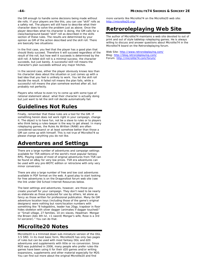the GM enough to handle some decisions being made without die rolls. If your players are like this, you can use "skill" rolls as a safety net. The players will still have to describe what their character does to solve the problem just as above. Once the player describes what his character is doing, the GM calls for a class/background based "skill" roll as described in the skills section of these rules. The results are determined by your opinion as GM of the action described and the skill roll. There are basically two situations:

In the first case, you feel that the player has a good plan that should likely succeed. Therefore it will succeed regardless of the result of the roll, but how well it succeeds is determined by the skill roll. A failed skill roll is a minimal success; the character succeeds, but just barely. A successful skill roll means the character's plan succeeds without any major hitches.

In the second case, either the player obviously knows less than his character does about the situation or just comes up with a bad idea that you feel is unlikely to work. You let the skill roll decide the result. A failed roll means the plan fails, while a successful roll means the plan somehow worked after all, but probably not perfectly.

Players who refuse to even try to come up with some type of rational statement about what their character is actually doing but just want to let the skill roll decide automatically fail.

### **Guidelines Not Rules**

Finally, remember that these rules are a tool for the GM. If something herein does not work right in your campaign, change it. The object is to have fun, not be a slave to rules or to players who think being a rules-lawyer is the way to get ahead. In many roleplaying games, the Rules As Written (RAW) are often considered sacrosanct or at least somehow better than those a GM can come up with himself. This is not true of Microlite74 so please change anything you do not like.

### **Adventures and Settings**

There are a large number of adventures and campaign settings available for TSR editions of the world's most popular fantasy RPG. Playing copies of most of original adventures from TSR can be found on eBay for very low prices. TSR era adventures can be used with any pre-WOTC edition or retroclone with only very minor conversion.

There are also a large number of free and low cost adventures available in PDF format on the web. A good play to start looking for free adventures is on the Dragonsfoot forum web site (see the link under Old School Internet Resources below.

The best settings and adventures, however, are those you create yourself for your campaign. They don't need to be nearly as elaborate as those produced for use by others, let alone as fancy as those written for professional publication. Many 0e GM adventure location keys (including those of the game's original designers) were nothing but room/location numbers with something like "8 hobgoblins, leader has 20gp, trapdoor in floor hides skeleton with silver dagger (animates if dagger touched)" or "Small village, 27 families, 10 orc slaves, Headman: Mongar the Brown (Adv 4th lvl, +1 sword) Mongar's wife, Rose is a 3rd lvl sorcerer)." You can do that.

### **Microlite20 Notes**

Microlite20 is a trimmed down sub-miniature version of the OGL 3.5 SRD. In its most basic form, Microlite20 has only two pages of rules but can be used with most fantasy OGL and d20 adventures and supplements with little or no conversion. Since M20 was published in 2006, many people who prefer rules-lite games have been using it for their d20 games and/or writing expansions, supplements and other material especially for M20. You can find out more about the original Microlite20 and find

more variants like Microlite74 on the Microlite20 web site: http://microlite20.org/

### **Retroroleplaying Web Site**

The author of Microlite74 maintains a web site devoted to out of print and out of style tabletop roleplaying games. He is always willing to discuss and answer questions about Microlite74 in the Microlite74 board on the Retroroleplaying forum.

Web Site: http://www.retroroleplaying.com/ Blog: http://blog.retroroleplaying.com/ Forum: http://microlite74.com/forum/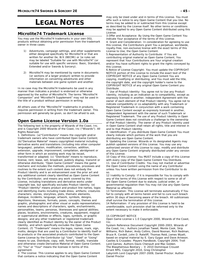# **LEGAL NOTES**

#### **Microlite74 Trademark License**

You may use the Microlite74 trademarks in your own OGL products without obtaining prior permission from the trademark owner in three cases:

- 1) Adventures, campaign settings, and other supplements either designed specifically for Microlite74 or that are written for another 0e, B/X (BECMI) or 1e rules set may be labeled "Suitable for use with Microlite74" (or suitable for use with specific versions: Basic, Standard, Extended and/or Swords & Sorcery).
- 2) Microlite74 may be mentioned by name in documents (or sections of a larger product) written to provide information on converting adventures and other materials between one game system and another.

In no case may the Microlite74 trademarks be used in any manner than indicates a product is endorsed or otherwise approved by the author of Microlite74. The terms "Microlite74 Companion" and "Microlite74 Supplement" may not be used in the title of a product without permission in writing.

All others uses of the "Microlite74" trademarks in products requires permission in writing from the trademark owner. This permission will generally be given, so don't be afraid to ask.

#### **Open Game License Version 1.0a**

The following text is the property of Wizards of the Coast, Inc. and is Copyright 2000 Wizards of the Coast, Inc ("Wizards"). All Rights Reserved.

1. Definitions: (a)"Contributors" means the copyright and/or trademark owners who have contributed Open Game Content; (b)"Derivative Material" means copyrighted material including derivative works and translations (including into other computer languages), potation, modification, correction, addition, extension, upgrade, improvement, compilation, abridgment or other form in which an existing work may be recast, transformed or adapted; (c) "Distribute" means to reproduce, license, rent, lease, sell, broadcast, publicly display, transmit or otherwise distribute; "Open Game Content" means the game mechanic and includes the methods, procedures, processes and routines to the extent such content does not embody the Product Identity and is an enhancement over the prior art and any additional content clearly identified as Open Game Content by the Contributor, and means any work covered by this License, including translations and derivative works under copyright law, but specifically excludes Product Identity. (e) "Product Identity" means product and product line names, logos and identifying marks including trade dress; artifacts; creatures characters; stories, storylines, plots, thematic elements, dialogue, incidents, language, artwork, symbols, designs, depictions, likenesses, formats, poses, concepts, themes and graphic, photographic and other visual or audio representations; names and descriptions of characters, spells, enchantments, personalities, teams, personas, likenesses and special abilities; places, locations, environments, creatures, equipment, magical or supernatural abilities or effects, logos, symbols, or graphic designs; and any other trademark or registered trademark clearly identified as Product identity by the owner of the Product Identity, and which specifically excludes the Open Game Content; (f) "Trademark" means the logos, names, mark, sign, motto, designs that are used by a Contributor to identify itself or its products or the associated products contributed to the Open Game License by the Contributor (g) "Use", "Used" or "Using" means to use, Distribute, copy, edit, format, modify, translate and otherwise create Derivative Material of Open Game Content. (h) "You" or "Your" means the licensee in terms of this agreement.

2. The License: This License applies to any Open Game Content that contains a notice indicating that the Open Game Content

may only be Used under and in terms of this License. You must affix such a notice to any Open Game Content that you Use. No terms may be added to or subtracted from this License except as described by the License itself. No other terms or conditions may be applied to any Open Game Content distributed using this License.

3.Offer and Acceptance: By Using the Open Game Content You indicate Your acceptance of the terms of this License. 4. Grant and Consideration: In consideration for agreeing to use this License, the Contributors grant You a perpetual, worldwide, royalty-free, non-exclusive license with the exact terms of this License to Use, the Open Game Content.

5.Representation of Authority to Contribute: If You are contributing original material as Open Game Content, You represent that Your Contributions are Your original creation and/or You have sufficient rights to grant the rights conveyed by this License.

6.Notice of License Copyright: You must update the COPYRIGHT NOTICE portion of this License to include the exact text of the COPYRIGHT NOTICE of any Open Game Content You are copying, modifying or distributing, and You must add the title, the copyright date, and the copyright holder's name to the COPYRIGHT NOTICE of any original Open Game Content you Distribute.

7. Use of Product Identity: You agree not to Use any Product Identity, including as an indication as to compatibility, except as expressly licensed in another, independent Agreement with the owner of each element of that Product Identity. You agree not to indicate compatibility or co-adaptability with any Trademark or Registered Trademark in conjunction with a work containing Open Game Content except as expressly licensed in another, independent Agreement with the owner of such Trademark or Registered Trademark. The use of any Product Identity in Open Game Content does not constitute a challenge to the ownership of that Product Identity. The owner of any Product Identity used in Open Game Content shall retain all rights, title and interest in and to that Product Identity.

8. Identification: If you distribute Open Game Content You must clearly indicate which portions of the work that you are distributing are Open Game Content.

9. Updating the License: Wizards or its designated Agents may publish updated versions of this License. You may use any authorized version of this License to copy, modify and distribute any Open Game Content originally distributed under any version of this License.

10 Copy of this License: You MUST include a copy of this License with every copy of the Open Game Content You Distribute.

11. Use of Contributor Credits: You may not market or advertise the Open Game Content using the name of any Contributor unless You have written permission from the Contributor to do so.

12 Inability to Comply: If it is impossible for You to comply with any of the terms of this License with respect to some or all of the Open Game Content due to statute, judicial order, or governmental regulation then You may not Use any Open Game Material so affected.

13 Termination: This License will terminate automatically if You fail to comply with all terms herein and fail to cure such breach within 30 days of becoming aware of the breach. All sublicenses shall survive the termination of this License.

14 Reformation: If any provision of this License is held to be unenforceable, such provision shall be reformed only to the extent necessary to make it enforceable.

#### 15 COPYRIGHT NOTICE

Open Game License v 1.0 Copyright 2000, Wizards of the Coast, Inc.

System Reference Document Copyright 2000-2003, Wizards of the Coast, Inc.; Authors Jonathan Tweet, Monte Cook, Skip Williams, Rich Baker, Andy Collins, David Noonan, Rich Redman, Bruce R. Cordell, John D. Rateliff, Thomas Reid, James Wyatt, based on original material by E. Gary Gygax and Dave Arneson. Castles & Crusades: Players Handbook, Copyright 2004, Troll Lord Games; Authors Davis Chenault and Mac Golden. The Blasphemous Bestiary – © 2010 Dominique Crouzet Errant RPG, Copyright 2010, Greg Christopher Labyrinth Lord Copyright 2007-2009, Daniel Proctor. Author Daniel Proctor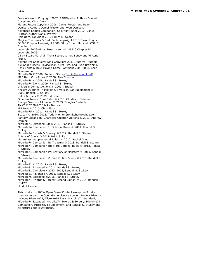Darwin's World Copyright 2002, RPGObjects; Authors Dominic Covey and Chris Davis.

Mutant Future Copyright 2008, Daniel Proctor and Ryan Denison. Authors Daniel Proctor and Ryan Denison.

Advanced Edition Companion, Copyright 2009-2010, Daniel Proctor. Author Daniel Proctor.

Half-Ogre, copyright 2012 James M. Spahn

Magical Theorems & Dark Pacts, copyright 2013 Dyson Logos OSRIC Chapter I copyright 2006-08 by Stuart Marshall. OSRIC Chapter II

copyright 2006-08 by Stuart Marshall. OSRIC Chapter III copyright 2006-

08 by Stuart Marshall, Trent Foster, James Boney and Vincent Fruge.

Adventurer Conqueror King Copyright 2011, Autarch; Authors Alexander Macris, TavisAllison, Greg Tito, and Ryan Browning. Basic Fantasy Role-Playing Game Copyright 2006-2008, Chris Gonnerman. Microlite20 © 2006, Robin V. Stacey (robin@greywulf.net) M20 Hard Core Rules © 2008, Alex Shroder

Microlite74 © 2008, Randall S. Stukey

Microlite74 2.0 © 2009, Randall S. Stukey

Universal Combat Actions © 2009, JSpektr

Ancient Auguries: A Microlite74 Version 2.0 Supplement © 2009, Randall S. Stukey

Relics & Ruins © 2009, Ed Green

Omerian Tales – Core Rules © 2010, Charles J. Eichman

Savage Swords of Athanor © 2009, Douglas Easterly

TMKT © 2008-2010 Mike Berkey

MULRAH © 2010, Chris Flood

Microlite75 © 2011, Randall S. Stukey

Beacon © 2010, 2011, Todd Mitchell (temitchell@yahoo.com)

Fantasy Expansion: Character Creation Options © 2011, Andrew Domino

Microlite74 Extended 3.0 © 2011, Randall S. Stukey

Microlite74 Companion 1: Optional Rules © 2011, Randall S. Stukey

Microlite74 Swords & Sorcery © 2012, Randall S. Stukey

A Pack of Gnolls © 2011-2012, Sully

Librarylass' Supplemental Rules, © 2012, Rachel Ghoul

Microlite74 Companion II: Treasure © 2013, Randall S. Stukey

Microlite74 Companion III: More Optional Rules © 2013, Randall S. Stukey

Microlite74 Companion IV: Bestiary of Monsters © 2013, Randall S. Stukey

Microlite74 Companion V: First Edition Spells © 2013, Randall S. Stukey

Microlite81 © 2013, Randall S. Stukey

Microlite81 Extended © 2014, Randall S. Stukey

Microlite81 Complete ©2013, 2015, Randall S. Stukey

Microlite81 Advanced ©2015, Randall S. Stukey

Microlite75 Extended ©2016, Randall S. Stukey

Microlite74 Swords & Sorcery Second Edition © 2016, Randall S. Stukey

[End of License]

This product is 100% Open Game Content except for Product Identity, as per the Open Game License above. Product Identity includes Microlite74, Microlite74 Basic. Microlite74 Standard, Microlite74 Extended, Microlite74 Swords & Sorcery, Microlite74 Companion, Microlite74 Supplement, and Randall S. Stukey and all pictures and illustrations.